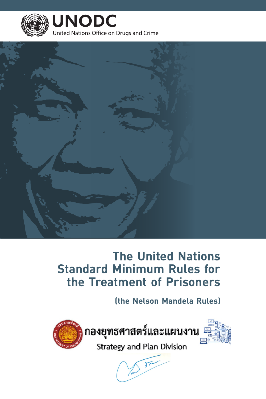

**UNODC** United Nations Office on Drugs and Crime



# **The United Nations Standard Minimum Rules for the Treatment of Prisoners**

# **(the Nelson Mandela Rules)**



กองยุทธศาสตร์และแผนงาน



Strategy and Plan Division

 $\overline{\mathfrak{z}}$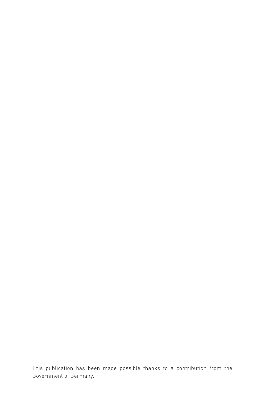This publication has been made possible thanks to a contribution from the Government of Germany.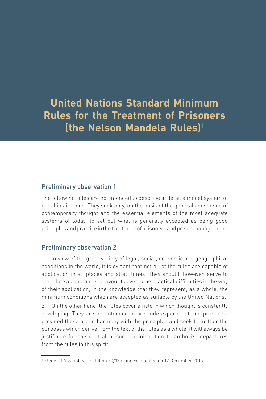**United Nations Standard Minimum Rules for the Treatment of Prisoners (the Nelson Mandela Rules)**<sup>1</sup>

# Preliminary observation 1

The following rules are not intended to describe in detail a model system of penal institutions. They seek only, on the basis of the general consensus of contemporary thought and the essential elements of the most adequate systems of today, to set out what is generally accepted as being good principles and practice in the treatment of prisoners and prison management.

# Preliminary observation 2

1. In view of the great variety of legal, social, economic and geographical conditions in the world, it is evident that not all of the rules are capable of application in all places and at all times. They should, however, serve to stimulate a constant endeavour to overcome practical difficulties in the way of their application, in the knowledge that they represent, as a whole, the minimum conditions which are accepted as suitable by the United Nations.

2. On the other hand, the rules cover a field in which thought is constantly developing. They are not intended to preclude experiment and practices, provided these are in harmony with the principles and seek to further the purposes which derive from the text of the rules as a whole. It will always be justifiable for the central prison administration to authorize departures from the rules in this spirit.

<sup>1</sup> General Assembly resolution 70/175, annex, adopted on 17 December 2015.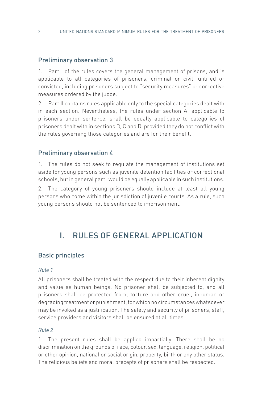### Preliminary observation 3

1. Part I of the rules covers the general management of prisons, and is applicable to all categories of prisoners, criminal or civil, untried or convicted, including prisoners subject to "security measures" or corrective measures ordered by the judge.

2. Part II contains rules applicable only to the special categories dealt with in each section. Nevertheless, the rules under section A, applicable to prisoners under sentence, shall be equally applicable to categories of prisoners dealt with in sections B, C and D, provided they do not conflict with the rules governing those categories and are for their benefit.

#### Preliminary observation 4

1. The rules do not seek to regulate the management of institutions set aside for young persons such as juvenile detention facilities or correctional schools, but in general part I would be equally applicable in such institutions.

2. The category of young prisoners should include at least all young persons who come within the jurisdiction of juvenile courts. As a rule, such young persons should not be sentenced to imprisonment.

# I. RULES OF GENERAL APPLICATION

#### Basic principles

#### *Rule 1*

All prisoners shall be treated with the respect due to their inherent dignity and value as human beings. No prisoner shall be subjected to, and all prisoners shall be protected from, torture and other cruel, inhuman or degrading treatment or punishment, for which no circumstances whatsoever may be invoked as a justification. The safety and security of prisoners, staff, service providers and visitors shall be ensured at all times.

#### *Rule 2*

1. The present rules shall be applied impartially. There shall be no discrimination on the grounds of race, colour, sex, language, religion, political or other opinion, national or social origin, property, birth or any other status. The religious beliefs and moral precepts of prisoners shall be respected.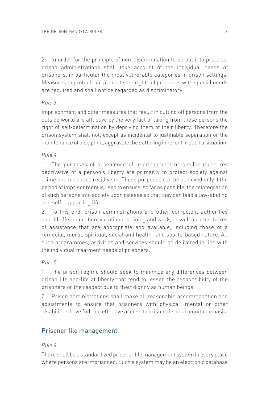2. In order for the principle of non-discrimination to be put into practice, prison administrations shall take account of the individual needs of prisoners, in particular the most vulnerable categories in prison settings. Measures to protect and promote the rights of prisoners with special needs are required and shall not be regarded as discriminatory.

#### *Rule 3*

Imprisonment and other measures that result in cutting off persons from the outside world are afflictive by the very fact of taking from these persons the right of self-determination by depriving them of their liberty. Therefore the prison system shall not, except as incidental to justifiable separation or the maintenance of discipline, aggravate the suffering inherent in such a situation.

#### *Rule 4*

1. The purposes of a sentence of imprisonment or similar measures deprivative of a person's liberty are primarily to protect society against crime and to reduce recidivism. Those purposes can be achieved only if the period of imprisonment is used to ensure, so far as possible, the reintegration of such persons into society upon release so that they can lead a law-abiding and self-supporting life.

2. To this end, prison administrations and other competent authorities should offer education, vocational training and work, as well as other forms of assistance that are appropriate and available, including those of a remedial, moral, spiritual, social and health- and sports-based nature. All such programmes, activities and services should be delivered in line with the individual treatment needs of prisoners.

#### *Rule 5*

1. The prison regime should seek to minimize any differences between prison life and life at liberty that tend to lessen the responsibility of the prisoners or the respect due to their dignity as human beings.

2. Prison administrations shall make all reasonable accommodation and adjustments to ensure that prisoners with physical, mental or other disabilities have full and effective access to prison life on an equitable basis.

# Prisoner file management

#### *Rule 6*

There shall be a standardized prisoner file management system in every place where persons are imprisoned. Such a system may be an electronic database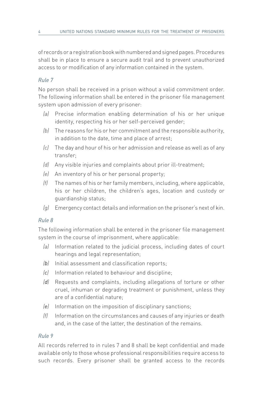of records or a registration book with numbered and signed pages. Procedures shall be in place to ensure a secure audit trail and to prevent unauthorized access to or modification of any information contained in the system.

# *Rule 7*

No person shall be received in a prison without a valid commitment order. The following information shall be entered in the prisoner file management system upon admission of every prisoner:

- *(a)* Precise information enabling determination of his or her unique identity, respecting his or her self-perceived gender;
- *(b)* The reasons for his or her commitment and the responsible authority, in addition to the date, time and place of arrest;
- *(c)* The day and hour of his or her admission and release as well as of any transfer;
- *(d)* Any visible injuries and complaints about prior ill-treatment;
- *(e)* An inventory of his or her personal property;
- *(f)* The names of his or her family members, including, where applicable, his or her children, the children's ages, location and custody or guardianship status;
- *(g)* Emergency contact details and information on the prisoner's next of kin.

# *Rule 8*

The following information shall be entered in the prisoner file management system in the course of imprisonment, where applicable:

- *(a)* Information related to the judicial process, including dates of court hearings and legal representation;
- *(b)* Initial assessment and classification reports;
- *(c)* Information related to behaviour and discipline;
- *(d)* Requests and complaints, including allegations of torture or other cruel, inhuman or degrading treatment or punishment, unless they are of a confidential nature;
- *(e)* Information on the imposition of disciplinary sanctions;
- *(f)* Information on the circumstances and causes of any injuries or death and, in the case of the latter, the destination of the remains.

# *Rule 9*

All records referred to in rules 7 and 8 shall be kept confidential and made available only to those whose professional responsibilities require access to such records. Every prisoner shall be granted access to the records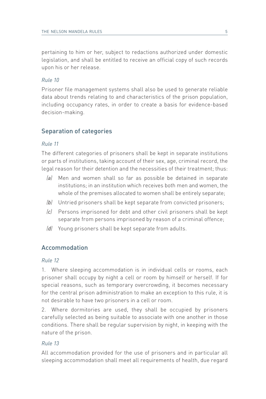pertaining to him or her, subject to redactions authorized under domestic legislation, and shall be entitled to receive an official copy of such records upon his or her release.

#### *Rule 10*

Prisoner file management systems shall also be used to generate reliable data about trends relating to and characteristics of the prison population, including occupancy rates, in order to create a basis for evidence-based decision-making.

# Separation of categories

#### *Rule 11*

The different categories of prisoners shall be kept in separate institutions or parts of institutions, taking account of their sex, age, criminal record, the legal reason for their detention and the necessities of their treatment; thus:

- *(a)* Men and women shall so far as possible be detained in separate institutions; in an institution which receives both men and women, the whole of the premises allocated to women shall be entirely separate;
- *(b)* Untried prisoners shall be kept separate from convicted prisoners;
- *(c)* Persons imprisoned for debt and other civil prisoners shall be kept separate from persons imprisoned by reason of a criminal offence;
- *(d)* Young prisoners shall be kept separate from adults.

# Accommodation

#### *Rule 12*

1. Where sleeping accommodation is in individual cells or rooms, each prisoner shall occupy by night a cell or room by himself or herself. If for special reasons, such as temporary overcrowding, it becomes necessary for the central prison administration to make an exception to this rule, it is not desirable to have two prisoners in a cell or room.

2. Where dormitories are used, they shall be occupied by prisoners carefully selected as being suitable to associate with one another in those conditions. There shall be regular supervision by night, in keeping with the nature of the prison.

#### *Rule 13*

All accommodation provided for the use of prisoners and in particular all sleeping accommodation shall meet all requirements of health, due regard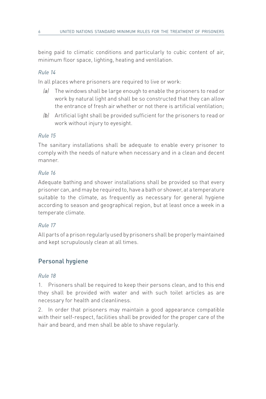being paid to climatic conditions and particularly to cubic content of air, minimum floor space, lighting, heating and ventilation.

# *Rule 14*

In all places where prisoners are required to live or work:

- *(a)* The windows shall be large enough to enable the prisoners to read or work by natural light and shall be so constructed that they can allow the entrance of fresh air whether or not there is artificial ventilation;
- *(b)* Artificial light shall be provided sufficient for the prisoners to read or work without injury to eyesight.

# *Rule 15*

The sanitary installations shall be adequate to enable every prisoner to comply with the needs of nature when necessary and in a clean and decent manner.

# *Rule 16*

Adequate bathing and shower installations shall be provided so that every prisoner can, and may be required to, have a bath or shower, at a temperature suitable to the climate, as frequently as necessary for general hygiene according to season and geographical region, but at least once a week in a temperate climate.

# *Rule 17*

All parts of a prison regularly used by prisoners shall be properly maintained and kept scrupulously clean at all times.

# Personal hygiene

# *Rule 18*

1. Prisoners shall be required to keep their persons clean, and to this end they shall be provided with water and with such toilet articles as are necessary for health and cleanliness.

2. In order that prisoners may maintain a good appearance compatible with their self-respect, facilities shall be provided for the proper care of the hair and beard, and men shall be able to shave regularly.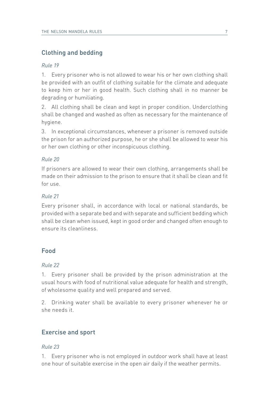# Clothing and bedding

#### *Rule 19*

1. Every prisoner who is not allowed to wear his or her own clothing shall be provided with an outfit of clothing suitable for the climate and adequate to keep him or her in good health. Such clothing shall in no manner be degrading or humiliating.

2. All clothing shall be clean and kept in proper condition. Underclothing shall be changed and washed as often as necessary for the maintenance of hygiene.

3. In exceptional circumstances, whenever a prisoner is removed outside the prison for an authorized purpose, he or she shall be allowed to wear his or her own clothing or other inconspicuous clothing.

### *Rule 20*

If prisoners are allowed to wear their own clothing, arrangements shall be made on their admission to the prison to ensure that it shall be clean and fit for use.

### *Rule 21*

Every prisoner shall, in accordance with local or national standards, be provided with a separate bed and with separate and sufficient bedding which shall be clean when issued, kept in good order and changed often enough to ensure its cleanliness.

# Food

#### *Rule 22*

1. Every prisoner shall be provided by the prison administration at the usual hours with food of nutritional value adequate for health and strength, of wholesome quality and well prepared and served.

2. Drinking water shall be available to every prisoner whenever he or she needs it.

# Exercise and sport

#### *Rule 23*

1. Every prisoner who is not employed in outdoor work shall have at least one hour of suitable exercise in the open air daily if the weather permits.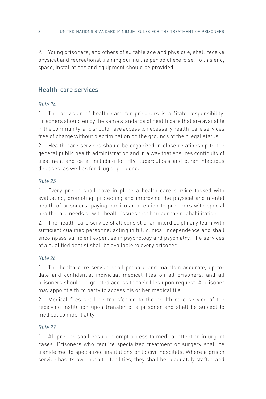2. Young prisoners, and others of suitable age and physique, shall receive physical and recreational training during the period of exercise. To this end, space, installations and equipment should be provided.

# Health-care services

# *Rule 24*

1. The provision of health care for prisoners is a State responsibility. Prisoners should enjoy the same standards of health care that are available in the community, and should have access to necessary health-care services free of charge without discrimination on the grounds of their legal status.

2. Health-care services should be organized in close relationship to the general public health administration and in a way that ensures continuity of treatment and care, including for HIV, tuberculosis and other infectious diseases, as well as for drug dependence.

# *Rule 25*

1. Every prison shall have in place a health-care service tasked with evaluating, promoting, protecting and improving the physical and mental health of prisoners, paying particular attention to prisoners with special health-care needs or with health issues that hamper their rehabilitation.

2. The health-care service shall consist of an interdisciplinary team with sufficient qualified personnel acting in full clinical independence and shall encompass sufficient expertise in psychology and psychiatry. The services of a qualified dentist shall be available to every prisoner.

# *Rule 26*

1. The health-care service shall prepare and maintain accurate, up-todate and confidential individual medical files on all prisoners, and all prisoners should be granted access to their files upon request. A prisoner may appoint a third party to access his or her medical file.

2. Medical files shall be transferred to the health-care service of the receiving institution upon transfer of a prisoner and shall be subject to medical confidentiality.

# *Rule 27*

1. All prisons shall ensure prompt access to medical attention in urgent cases. Prisoners who require specialized treatment or surgery shall be transferred to specialized institutions or to civil hospitals. Where a prison service has its own hospital facilities, they shall be adequately staffed and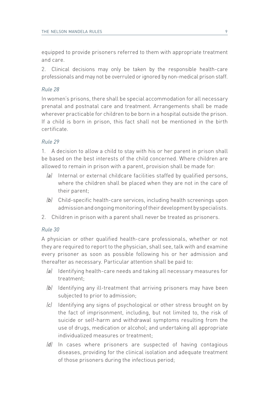equipped to provide prisoners referred to them with appropriate treatment and care.

2. Clinical decisions may only be taken by the responsible health-care professionals and may not be overruled or ignored by non-medical prison staff.

#### *Rule 28*

In women's prisons, there shall be special accommodation for all necessary prenatal and postnatal care and treatment. Arrangements shall be made wherever practicable for children to be born in a hospital outside the prison. If a child is born in prison, this fact shall not be mentioned in the birth certificate.

### *Rule 29*

1. A decision to allow a child to stay with his or her parent in prison shall be based on the best interests of the child concerned. Where children are allowed to remain in prison with a parent, provision shall be made for:

- *(a)* Internal or external childcare facilities staffed by qualified persons, where the children shall be placed when they are not in the care of their parent;
- *(b)* Child-specific health-care services, including health screenings upon admission and ongoing monitoring of their development by specialists.
- 2. Children in prison with a parent shall never be treated as prisoners.

#### *Rule 30*

A physician or other qualified health-care professionals, whether or not they are required to report to the physician, shall see, talk with and examine every prisoner as soon as possible following his or her admission and thereafter as necessary. Particular attention shall be paid to:

- *(a)* Identifying health-care needs and taking all necessary measures for treatment;
- *(b)* Identifying any ill-treatment that arriving prisoners may have been subjected to prior to admission;
- *(c)* Identifying any signs of psychological or other stress brought on by the fact of imprisonment, including, but not limited to, the risk of suicide or self-harm and withdrawal symptoms resulting from the use of drugs, medication or alcohol; and undertaking all appropriate individualized measures or treatment;
- *(d)* In cases where prisoners are suspected of having contagious diseases, providing for the clinical isolation and adequate treatment of those prisoners during the infectious period;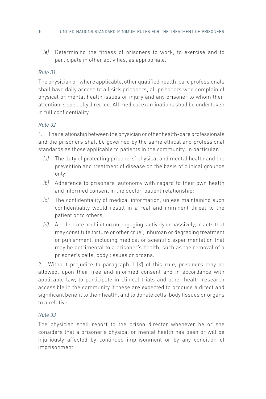*(e)* Determining the fitness of prisoners to work, to exercise and to participate in other activities, as appropriate.

# *Rule 31*

The physician or, where applicable, other qualified health-care professionals shall have daily access to all sick prisoners, all prisoners who complain of physical or mental health issues or injury and any prisoner to whom their attention is specially directed. All medical examinations shall be undertaken in full confidentiality.

# *Rule 32*

1. The relationship between the physician or other health-care professionals and the prisoners shall be governed by the same ethical and professional standards as those applicable to patients in the community, in particular:

- *(a)* The duty of protecting prisoners' physical and mental health and the prevention and treatment of disease on the basis of clinical grounds only;
- *(b)* Adherence to prisoners' autonomy with regard to their own health and informed consent in the doctor-patient relationship;
- *(c)* The confidentiality of medical information, unless maintaining such confidentiality would result in a real and imminent threat to the patient or to others;
- *(d)* An absolute prohibition on engaging, actively or passively, in acts that may constitute torture or other cruel, inhuman or degrading treatment or punishment, including medical or scientific experimentation that may be detrimental to a prisoner's health, such as the removal of a prisoner's cells, body tissues or organs.

2. Without prejudice to paragraph 1 (*d*) of this rule, prisoners may be allowed, upon their free and informed consent and in accordance with applicable law, to participate in clinical trials and other health research accessible in the community if these are expected to produce a direct and significant benefit to their health, and to donate cells, body tissues or organs to a relative.

# *Rule 33*

The physician shall report to the prison director whenever he or she considers that a prisoner's physical or mental health has been or will be injuriously affected by continued imprisonment or by any condition of imprisonment.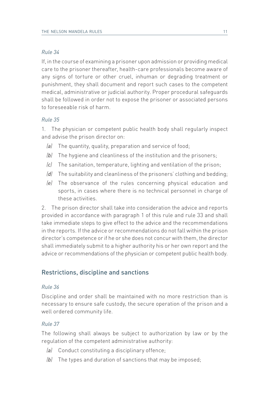If, in the course of examining a prisoner upon admission or providing medical care to the prisoner thereafter, health-care professionals become aware of any signs of torture or other cruel, inhuman or degrading treatment or punishment, they shall document and report such cases to the competent medical, administrative or judicial authority. Proper procedural safeguards shall be followed in order not to expose the prisoner or associated persons to foreseeable risk of harm.

#### *Rule 35*

1. The physician or competent public health body shall regularly inspect and advise the prison director on:

- *(a)* The quantity, quality, preparation and service of food;
- *(b)* The hygiene and cleanliness of the institution and the prisoners;
- *(c)* The sanitation, temperature, lighting and ventilation of the prison;
- *(d)* The suitability and cleanliness of the prisoners' clothing and bedding;
- *(e)* The observance of the rules concerning physical education and sports, in cases where there is no technical personnel in charge of these activities.

2. The prison director shall take into consideration the advice and reports provided in accordance with paragraph 1 of this rule and rule 33 and shall take immediate steps to give effect to the advice and the recommendations in the reports. If the advice or recommendations do not fall within the prison director's competence or if he or she does not concur with them, the director shall immediately submit to a higher authority his or her own report and the advice or recommendations of the physician or competent public health body.

# Restrictions, discipline and sanctions

#### *Rule 36*

Discipline and order shall be maintained with no more restriction than is necessary to ensure safe custody, the secure operation of the prison and a well ordered community life.

#### *Rule 37*

The following shall always be subject to authorization by law or by the regulation of the competent administrative authority:

- *(a)* Conduct constituting a disciplinary offence;
- *(b)* The types and duration of sanctions that may be imposed;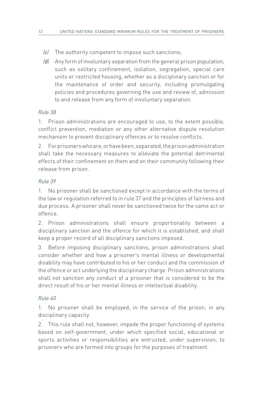- *(c)* The authority competent to impose such sanctions;
- *(d)* Any form of involuntary separation from the general prison population, such as solitary confinement, isolation, segregation, special care units or restricted housing, whether as a disciplinary sanction or for the maintenance of order and security, including promulgating policies and procedures governing the use and review of, admission to and release from any form of involuntary separation.

1. Prison administrations are encouraged to use, to the extent possible, conflict prevention, mediation or any other alternative dispute resolution mechanism to prevent disciplinary offences or to resolve conflicts.

2. For prisoners who are, or have been, separated, the prison administration shall take the necessary measures to alleviate the potential detrimental effects of their confinement on them and on their community following their release from prison.

### *Rule 39*

1. No prisoner shall be sanctioned except in accordance with the terms of the law or regulation referred to in rule 37 and the principles of fairness and due process. A prisoner shall never be sanctioned twice for the same act or offence.

2. Prison administrations shall ensure proportionality between a disciplinary sanction and the offence for which it is established, and shall keep a proper record of all disciplinary sanctions imposed.

3. Before imposing disciplinary sanctions, prison administrations shall consider whether and how a prisoner's mental illness or developmental disability may have contributed to his or her conduct and the commission of the offence or act underlying the disciplinary charge. Prison administrations shall not sanction any conduct of a prisoner that is considered to be the direct result of his or her mental illness or intellectual disability.

# *Rule 40*

1. No prisoner shall be employed, in the service of the prison, in any disciplinary capacity.

2. This rule shall not, however, impede the proper functioning of systems based on self-government, under which specified social, educational or sports activities or responsibilities are entrusted, under supervision, to prisoners who are formed into groups for the purposes of treatment.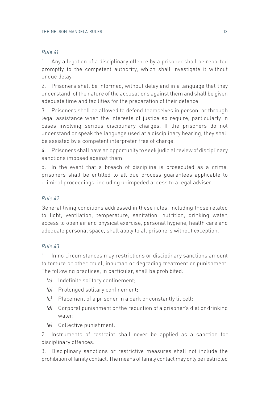1. Any allegation of a disciplinary offence by a prisoner shall be reported promptly to the competent authority, which shall investigate it without undue delay.

2. Prisoners shall be informed, without delay and in a language that they understand, of the nature of the accusations against them and shall be given adequate time and facilities for the preparation of their defence.

3. Prisoners shall be allowed to defend themselves in person, or through legal assistance when the interests of justice so require, particularly in cases involving serious disciplinary charges. If the prisoners do not understand or speak the language used at a disciplinary hearing, they shall be assisted by a competent interpreter free of charge.

4. Prisoners shall have an opportunity to seek judicial review of disciplinary sanctions imposed against them.

5. In the event that a breach of discipline is prosecuted as a crime, prisoners shall be entitled to all due process guarantees applicable to criminal proceedings, including unimpeded access to a legal adviser.

# *Rule 42*

General living conditions addressed in these rules, including those related to light, ventilation, temperature, sanitation, nutrition, drinking water, access to open air and physical exercise, personal hygiene, health care and adequate personal space, shall apply to all prisoners without exception.

# *Rule 43*

1. In no circumstances may restrictions or disciplinary sanctions amount to torture or other cruel, inhuman or degrading treatment or punishment. The following practices, in particular, shall be prohibited:

- *(a)* Indefinite solitary confinement;
- *(b)* Prolonged solitary confinement;
- *(c)* Placement of a prisoner in a dark or constantly lit cell;
- *(d)* Corporal punishment or the reduction of a prisoner's diet or drinking water;
- *(e)* Collective punishment.

2. Instruments of restraint shall never be applied as a sanction for disciplinary offences.

3. Disciplinary sanctions or restrictive measures shall not include the prohibition of family contact. The means of family contact may only be restricted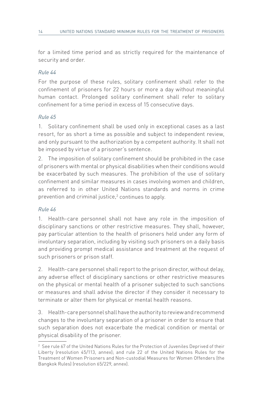for a limited time period and as strictly required for the maintenance of security and order.

# *Rule 44*

For the purpose of these rules, solitary confinement shall refer to the confinement of prisoners for 22 hours or more a day without meaningful human contact. Prolonged solitary confinement shall refer to solitary confinement for a time period in excess of 15 consecutive days.

# *Rule 45*

1. Solitary confinement shall be used only in exceptional cases as a last resort, for as short a time as possible and subject to independent review, and only pursuant to the authorization by a competent authority. It shall not be imposed by virtue of a prisoner's sentence.

2. The imposition of solitary confinement should be prohibited in the case of prisoners with mental or physical disabilities when their conditions would be exacerbated by such measures. The prohibition of the use of solitary confinement and similar measures in cases involving women and children, as referred to in other United Nations standards and norms in crime prevention and criminal justice,<sup>2</sup> continues to apply.

# *Rule 46*

1. Health-care personnel shall not have any role in the imposition of disciplinary sanctions or other restrictive measures. They shall, however, pay particular attention to the health of prisoners held under any form of involuntary separation, including by visiting such prisoners on a daily basis and providing prompt medical assistance and treatment at the request of such prisoners or prison staff.

2. Health-care personnel shall report to the prison director, without delay, any adverse effect of disciplinary sanctions or other restrictive measures on the physical or mental health of a prisoner subjected to such sanctions or measures and shall advise the director if they consider it necessary to terminate or alter them for physical or mental health reasons.

3. Health-care personnel shall have the authority to review and recommend changes to the involuntary separation of a prisoner in order to ensure that such separation does not exacerbate the medical condition or mental or physical disability of the prisoner.

 $2$  See rule 67 of the United Nations Rules for the Protection of Juveniles Deprived of their Liberty (resolution 45/113, annex); and rule 22 of the United Nations Rules for the Treatment of Women Prisoners and Non-custodial Measures for Women Offenders (the Bangkok Rules) (resolution 65/229, annex).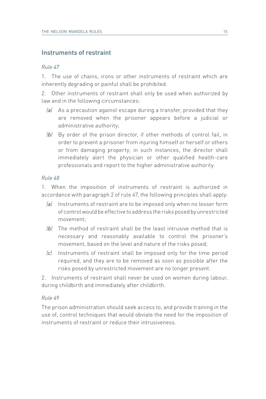# Instruments of restraint

#### *Rule 47*

1. The use of chains, irons or other instruments of restraint which are inherently degrading or painful shall be prohibited.

2. Other instruments of restraint shall only be used when authorized by law and in the following circumstances:

- *(a)* As a precaution against escape during a transfer, provided that they are removed when the prisoner appears before a judicial or administrative authority;
- *(b)* By order of the prison director, if other methods of control fail, in order to prevent a prisoner from injuring himself or herself or others or from damaging property; in such instances, the director shall immediately alert the physician or other qualified health-care professionals and report to the higher administrative authority.

#### *Rule 48*

1. When the imposition of instruments of restraint is authorized in accordance with paragraph 2 of rule 47, the following principles shall apply:

- *(a)* Instruments of restraint are to be imposed only when no lesser form of control would be effective to address the risks posed by unrestricted movement;
- *(b)* The method of restraint shall be the least intrusive method that is necessary and reasonably available to control the prisoner's movement, based on the level and nature of the risks posed;
- *(c)* Instruments of restraint shall be imposed only for the time period required, and they are to be removed as soon as possible after the risks posed by unrestricted movement are no longer present.

2. Instruments of restraint shall never be used on women during labour, during childbirth and immediately after childbirth.

#### *Rule 49*

The prison administration should seek access to, and provide training in the use of, control techniques that would obviate the need for the imposition of instruments of restraint or reduce their intrusiveness.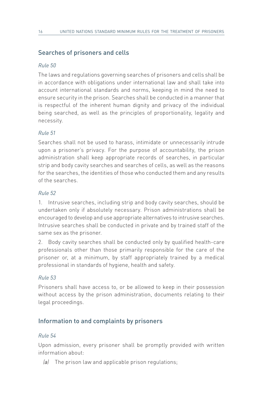# Searches of prisoners and cells

### *Rule 50*

The laws and regulations governing searches of prisoners and cells shall be in accordance with obligations under international law and shall take into account international standards and norms, keeping in mind the need to ensure security in the prison. Searches shall be conducted in a manner that is respectful of the inherent human dignity and privacy of the individual being searched, as well as the principles of proportionality, legality and necessity.

### *Rule 51*

Searches shall not be used to harass, intimidate or unnecessarily intrude upon a prisoner's privacy. For the purpose of accountability, the prison administration shall keep appropriate records of searches, in particular strip and body cavity searches and searches of cells, as well as the reasons for the searches, the identities of those who conducted them and any results of the searches.

#### *Rule 52*

1. Intrusive searches, including strip and body cavity searches, should be undertaken only if absolutely necessary. Prison administrations shall be encouraged to develop and use appropriate alternatives to intrusive searches. Intrusive searches shall be conducted in private and by trained staff of the same sex as the prisoner.

2. Body cavity searches shall be conducted only by qualified health-care professionals other than those primarily responsible for the care of the prisoner or, at a minimum, by staff appropriately trained by a medical professional in standards of hygiene, health and safety.

#### *Rule 53*

Prisoners shall have access to, or be allowed to keep in their possession without access by the prison administration, documents relating to their legal proceedings.

# Information to and complaints by prisoners

#### *Rule 54*

Upon admission, every prisoner shall be promptly provided with written information about:

*(a)* The prison law and applicable prison regulations;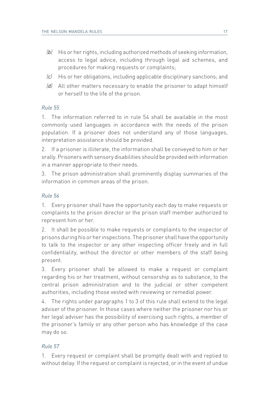- *(b)* His or her rights, including authorized methods of seeking information, access to legal advice, including through legal aid schemes, and procedures for making requests or complaints;
- *(c)* His or her obligations, including applicable disciplinary sanctions; and
- *(d)* All other matters necessary to enable the prisoner to adapt himself or herself to the life of the prison.

1. The information referred to in rule 54 shall be available in the most commonly used languages in accordance with the needs of the prison population. If a prisoner does not understand any of those languages, interpretation assistance should be provided.

2. If a prisoner is illiterate, the information shall be conveyed to him or her orally. Prisoners with sensory disabilities should be provided with information in a manner appropriate to their needs.

3. The prison administration shall prominently display summaries of the information in common areas of the prison.

# *Rule 56*

1. Every prisoner shall have the opportunity each day to make requests or complaints to the prison director or the prison staff member authorized to represent him or her.

2. It shall be possible to make requests or complaints to the inspector of prisons during his or her inspections. The prisoner shall have the opportunity to talk to the inspector or any other inspecting officer freely and in full confidentiality, without the director or other members of the staff being present.

3. Every prisoner shall be allowed to make a request or complaint regarding his or her treatment, without censorship as to substance, to the central prison administration and to the judicial or other competent authorities, including those vested with reviewing or remedial power.

4. The rights under paragraphs 1 to 3 of this rule shall extend to the legal adviser of the prisoner. In those cases where neither the prisoner nor his or her legal adviser has the possibility of exercising such rights, a member of the prisoner's family or any other person who has knowledge of the case may do so.

# *Rule 57*

1. Every request or complaint shall be promptly dealt with and replied to without delay. If the request or complaint is rejected, or in the event of undue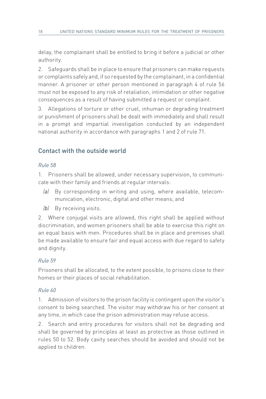delay, the complainant shall be entitled to bring it before a judicial or other authority.

2. Safeguards shall be in place to ensure that prisoners can make requests or complaints safely and, if so requested by the complainant, in a confidential manner. A prisoner or other person mentioned in paragraph 4 of rule 56 must not be exposed to any risk of retaliation, intimidation or other negative consequences as a result of having submitted a request or complaint.

3. Allegations of torture or other cruel, inhuman or degrading treatment or punishment of prisoners shall be dealt with immediately and shall result in a prompt and impartial investigation conducted by an independent national authority in accordance with paragraphs 1 and 2 of rule 71.

# Contact with the outside world

### *Rule 58*

1. Prisoners shall be allowed, under necessary supervision, to communicate with their family and friends at regular intervals:

- *(a)* By corresponding in writing and using, where available, telecommunication, electronic, digital and other means; and
- *(b)* By receiving visits.

2. Where conjugal visits are allowed, this right shall be applied without discrimination, and women prisoners shall be able to exercise this right on an equal basis with men. Procedures shall be in place and premises shall be made available to ensure fair and equal access with due regard to safety and dignity.

#### *Rule 59*

Prisoners shall be allocated, to the extent possible, to prisons close to their homes or their places of social rehabilitation.

#### *Rule 60*

1. Admission of visitors to the prison facility is contingent upon the visitor's consent to being searched. The visitor may withdraw his or her consent at any time, in which case the prison administration may refuse access.

2. Search and entry procedures for visitors shall not be degrading and shall be governed by principles at least as protective as those outlined in rules 50 to 52. Body cavity searches should be avoided and should not be applied to children.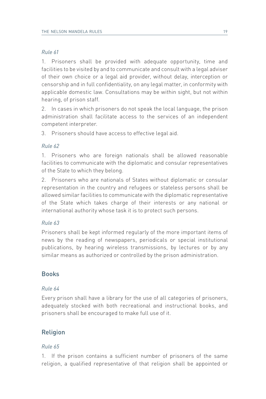1. Prisoners shall be provided with adequate opportunity, time and facilities to be visited by and to communicate and consult with a legal adviser of their own choice or a legal aid provider, without delay, interception or censorship and in full confidentiality, on any legal matter, in conformity with applicable domestic law. Consultations may be within sight, but not within hearing, of prison staff.

2. In cases in which prisoners do not speak the local language, the prison administration shall facilitate access to the services of an independent competent interpreter.

3. Prisoners should have access to effective legal aid.

### *Rule 62*

1. Prisoners who are foreign nationals shall be allowed reasonable facilities to communicate with the diplomatic and consular representatives of the State to which they belong.

2. Prisoners who are nationals of States without diplomatic or consular representation in the country and refugees or stateless persons shall be allowed similar facilities to communicate with the diplomatic representative of the State which takes charge of their interests or any national or international authority whose task it is to protect such persons.

# *Rule 63*

Prisoners shall be kept informed regularly of the more important items of news by the reading of newspapers, periodicals or special institutional publications, by hearing wireless transmissions, by lectures or by any similar means as authorized or controlled by the prison administration.

# Books

#### *Rule 64*

Every prison shall have a library for the use of all categories of prisoners, adequately stocked with both recreational and instructional books, and prisoners shall be encouraged to make full use of it.

# **Religion**

# *Rule 65*

1. If the prison contains a sufficient number of prisoners of the same religion, a qualified representative of that religion shall be appointed or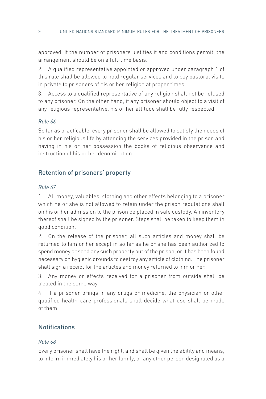approved. If the number of prisoners justifies it and conditions permit, the arrangement should be on a full-time basis.

2. A qualified representative appointed or approved under paragraph 1 of this rule shall be allowed to hold regular services and to pay pastoral visits in private to prisoners of his or her religion at proper times.

3. Access to a qualified representative of any religion shall not be refused to any prisoner. On the other hand, if any prisoner should object to a visit of any religious representative, his or her attitude shall be fully respected.

# *Rule 66*

So far as practicable, every prisoner shall be allowed to satisfy the needs of his or her religious life by attending the services provided in the prison and having in his or her possession the books of religious observance and instruction of his or her denomination.

# Retention of prisoners' property

# *Rule 67*

1. All money, valuables, clothing and other effects belonging to a prisoner which he or she is not allowed to retain under the prison regulations shall on his or her admission to the prison be placed in safe custody. An inventory thereof shall be signed by the prisoner. Steps shall be taken to keep them in good condition.

2. On the release of the prisoner, all such articles and money shall be returned to him or her except in so far as he or she has been authorized to spend money or send any such property out of the prison, or it has been found necessary on hygienic grounds to destroy any article of clothing. The prisoner shall sign a receipt for the articles and money returned to him or her.

3. Any money or effects received for a prisoner from outside shall be treated in the same way.

4. If a prisoner brings in any drugs or medicine, the physician or other qualified health-care professionals shall decide what use shall be made of them.

# **Notifications**

# *Rule 68*

Every prisoner shall have the right, and shall be given the ability and means, to inform immediately his or her family, or any other person designated as a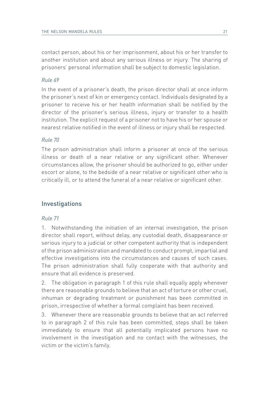contact person, about his or her imprisonment, about his or her transfer to another institution and about any serious illness or injury. The sharing of prisoners' personal information shall be subject to domestic legislation.

#### *Rule 69*

In the event of a prisoner's death, the prison director shall at once inform the prisoner's next of kin or emergency contact. Individuals designated by a prisoner to receive his or her health information shall be notified by the director of the prisoner's serious illness, injury or transfer to a health institution. The explicit request of a prisoner not to have his or her spouse or nearest relative notified in the event of illness or injury shall be respected.

#### *Rule 70*

The prison administration shall inform a prisoner at once of the serious illness or death of a near relative or any significant other. Whenever circumstances allow, the prisoner should be authorized to go, either under escort or alone, to the bedside of a near relative or significant other who is critically ill, or to attend the funeral of a near relative or significant other.

# Investigations

#### *Rule 71*

1. Notwithstanding the initiation of an internal investigation, the prison director shall report, without delay, any custodial death, disappearance or serious injury to a judicial or other competent authority that is independent of the prison administration and mandated to conduct prompt, impartial and effective investigations into the circumstances and causes of such cases. The prison administration shall fully cooperate with that authority and ensure that all evidence is preserved.

2. The obligation in paragraph 1 of this rule shall equally apply whenever there are reasonable grounds to believe that an act of torture or other cruel, inhuman or degrading treatment or punishment has been committed in prison, irrespective of whether a formal complaint has been received.

3. Whenever there are reasonable grounds to believe that an act referred to in paragraph 2 of this rule has been committed, steps shall be taken immediately to ensure that all potentially implicated persons have no involvement in the investigation and no contact with the witnesses, the victim or the victim's family.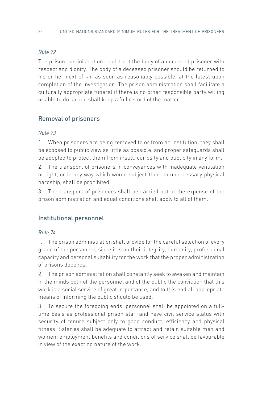The prison administration shall treat the body of a deceased prisoner with respect and dignity. The body of a deceased prisoner should be returned to his or her next of kin as soon as reasonably possible, at the latest upon completion of the investigation. The prison administration shall facilitate a culturally appropriate funeral if there is no other responsible party willing or able to do so and shall keep a full record of the matter.

# Removal of prisoners

### *Rule 73*

1. When prisoners are being removed to or from an institution, they shall be exposed to public view as little as possible, and proper safeguards shall be adopted to protect them from insult, curiosity and publicity in any form.

2. The transport of prisoners in conveyances with inadequate ventilation or light, or in any way which would subject them to unnecessary physical hardship, shall be prohibited.

3. The transport of prisoners shall be carried out at the expense of the prison administration and equal conditions shall apply to all of them.

# Institutional personnel

#### *Rule 74*

1. The prison administration shall provide for the careful selection of every grade of the personnel, since it is on their integrity, humanity, professional capacity and personal suitability for the work that the proper administration of prisons depends.

2. The prison administration shall constantly seek to awaken and maintain in the minds both of the personnel and of the public the conviction that this work is a social service of great importance, and to this end all appropriate means of informing the public should be used.

3. To secure the foregoing ends, personnel shall be appointed on a fulltime basis as professional prison staff and have civil service status with security of tenure subject only to good conduct, efficiency and physical fitness. Salaries shall be adequate to attract and retain suitable men and women; employment benefits and conditions of service shall be favourable in view of the exacting nature of the work.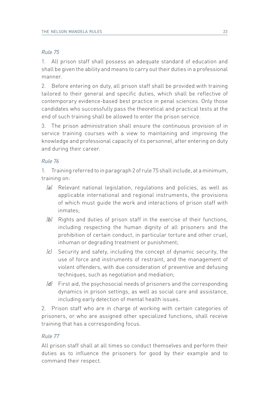1. All prison staff shall possess an adequate standard of education and shall be given the ability and means to carry out their duties in a professional manner.

2. Before entering on duty, all prison staff shall be provided with training tailored to their general and specific duties, which shall be reflective of contemporary evidence-based best practice in penal sciences. Only those candidates who successfully pass the theoretical and practical tests at the end of such training shall be allowed to enter the prison service.

3. The prison administration shall ensure the continuous provision of in service training courses with a view to maintaining and improving the knowledge and professional capacity of its personnel, after entering on duty and during their career.

#### *Rule 76*

1. Training referred to in paragraph 2 of rule 75 shall include, at a minimum, training on:

- *(a)* Relevant national legislation, regulations and policies, as well as applicable international and regional instruments, the provisions of which must guide the work and interactions of prison staff with inmates;
- *(b)* Rights and duties of prison staff in the exercise of their functions, including respecting the human dignity of all prisoners and the prohibition of certain conduct, in particular torture and other cruel, inhuman or degrading treatment or punishment;
- *(c)* Security and safety, including the concept of dynamic security, the use of force and instruments of restraint, and the management of violent offenders, with due consideration of preventive and defusing techniques, such as negotiation and mediation;
- *(d)* First aid, the psychosocial needs of prisoners and the corresponding dynamics in prison settings, as well as social care and assistance, including early detection of mental health issues.

2. Prison staff who are in charge of working with certain categories of prisoners, or who are assigned other specialized functions, shall receive training that has a corresponding focus.

#### *Rule 77*

All prison staff shall at all times so conduct themselves and perform their duties as to influence the prisoners for good by their example and to command their respect.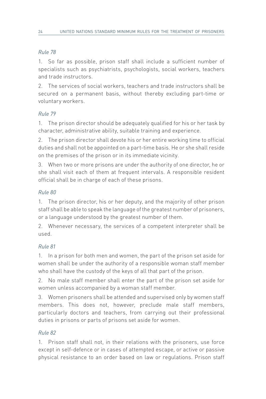1. So far as possible, prison staff shall include a sufficient number of specialists such as psychiatrists, psychologists, social workers, teachers and trade instructors.

2. The services of social workers, teachers and trade instructors shall be secured on a permanent basis, without thereby excluding part-time or voluntary workers.

# *Rule 79*

1. The prison director should be adequately qualified for his or her task by character, administrative ability, suitable training and experience.

2. The prison director shall devote his or her entire working time to official duties and shall not be appointed on a part-time basis. He or she shall reside on the premises of the prison or in its immediate vicinity.

3. When two or more prisons are under the authority of one director, he or she shall visit each of them at frequent intervals. A responsible resident official shall be in charge of each of these prisons.

# *Rule 80*

1. The prison director, his or her deputy, and the majority of other prison staff shall be able to speak the language of the greatest number of prisoners, or a language understood by the greatest number of them.

2. Whenever necessary, the services of a competent interpreter shall be used.

# *Rule 81*

1. In a prison for both men and women, the part of the prison set aside for women shall be under the authority of a responsible woman staff member who shall have the custody of the keys of all that part of the prison.

2. No male staff member shall enter the part of the prison set aside for women unless accompanied by a woman staff member.

3. Women prisoners shall be attended and supervised only by women staff members. This does not, however, preclude male staff members, particularly doctors and teachers, from carrying out their professional duties in prisons or parts of prisons set aside for women.

# *Rule 82*

1. Prison staff shall not, in their relations with the prisoners, use force except in self-defence or in cases of attempted escape, or active or passive physical resistance to an order based on law or regulations. Prison staff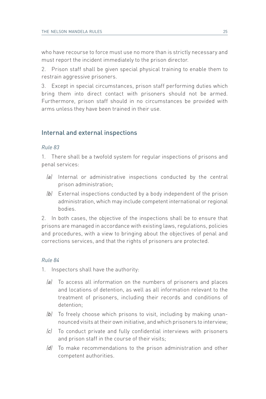who have recourse to force must use no more than is strictly necessary and must report the incident immediately to the prison director.

2. Prison staff shall be given special physical training to enable them to restrain aggressive prisoners.

3. Except in special circumstances, prison staff performing duties which bring them into direct contact with prisoners should not be armed. Furthermore, prison staff should in no circumstances be provided with arms unless they have been trained in their use.

# Internal and external inspections

#### *Rule 83*

1. There shall be a twofold system for regular inspections of prisons and penal services:

- *(a)* Internal or administrative inspections conducted by the central prison administration;
- *(b)* External inspections conducted by a body independent of the prison administration, which may include competent international or regional bodies.

2. In both cases, the objective of the inspections shall be to ensure that prisons are managed in accordance with existing laws, regulations, policies and procedures, with a view to bringing about the objectives of penal and corrections services, and that the rights of prisoners are protected.

#### *Rule 84*

- 1. Inspectors shall have the authority:
	- *(a)* To access all information on the numbers of prisoners and places and locations of detention, as well as all information relevant to the treatment of prisoners, including their records and conditions of detention;
	- *(b)* To freely choose which prisons to visit, including by making unannounced visits at their own initiative, and which prisoners to interview;
	- *(c)* To conduct private and fully confidential interviews with prisoners and prison staff in the course of their visits;
	- *(d)* To make recommendations to the prison administration and other competent authorities.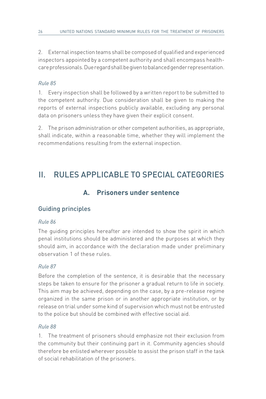2. External inspection teams shall be composed of qualified and experienced inspectors appointed by a competent authority and shall encompass healthcare professionals. Due regard shall be given to balanced gender representation.

# *Rule 85*

1. Every inspection shall be followed by a written report to be submitted to the competent authority. Due consideration shall be given to making the reports of external inspections publicly available, excluding any personal data on prisoners unless they have given their explicit consent.

2. The prison administration or other competent authorities, as appropriate, shall indicate, within a reasonable time, whether they will implement the recommendations resulting from the external inspection.

# II. RULES APPLICABLE TO SPECIAL CATEGORIES

# **A. Prisoners under sentence**

# Guiding principles

# *Rule 86*

The guiding principles hereafter are intended to show the spirit in which penal institutions should be administered and the purposes at which they should aim, in accordance with the declaration made under preliminary observation 1 of these rules.

# *Rule 87*

Before the completion of the sentence, it is desirable that the necessary steps be taken to ensure for the prisoner a gradual return to life in society. This aim may be achieved, depending on the case, by a pre-release regime organized in the same prison or in another appropriate institution, or by release on trial under some kind of supervision which must not be entrusted to the police but should be combined with effective social aid.

# *Rule 88*

1. The treatment of prisoners should emphasize not their exclusion from the community but their continuing part in it. Community agencies should therefore be enlisted wherever possible to assist the prison staff in the task of social rehabilitation of the prisoners.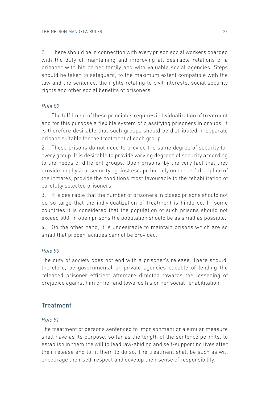2. There should be in connection with every prison social workers charged with the duty of maintaining and improving all desirable relations of a prisoner with his or her family and with valuable social agencies. Steps should be taken to safeguard, to the maximum extent compatible with the law and the sentence, the rights relating to civil interests, social security rights and other social benefits of prisoners.

#### *Rule 89*

1. The fulfilment of these principles requires individualization of treatment and for this purpose a flexible system of classifying prisoners in groups. It is therefore desirable that such groups should be distributed in separate prisons suitable for the treatment of each group.

2. These prisons do not need to provide the same degree of security for every group. It is desirable to provide varying degrees of security according to the needs of different groups. Open prisons, by the very fact that they provide no physical security against escape but rely on the self-discipline of the inmates, provide the conditions most favourable to the rehabilitation of carefully selected prisoners.

3. It is desirable that the number of prisoners in closed prisons should not be so large that the individualization of treatment is hindered. In some countries it is considered that the population of such prisons should not exceed 500. In open prisons the population should be as small as possible.

4. On the other hand, it is undesirable to maintain prisons which are so small that proper facilities cannot be provided.

#### *Rule 90*

The duty of society does not end with a prisoner's release. There should, therefore, be governmental or private agencies capable of lending the released prisoner efficient aftercare directed towards the lessening of prejudice against him or her and towards his or her social rehabilitation.

# **Treatment**

#### *Rule 91*

The treatment of persons sentenced to imprisonment or a similar measure shall have as its purpose, so far as the length of the sentence permits, to establish in them the will to lead law-abiding and self-supporting lives after their release and to fit them to do so. The treatment shall be such as will encourage their self-respect and develop their sense of responsibility.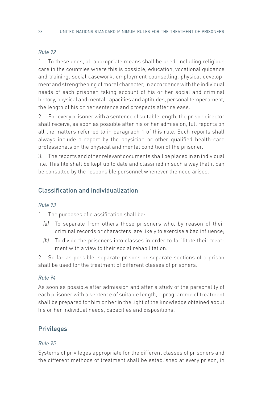1. To these ends, all appropriate means shall be used, including religious care in the countries where this is possible, education, vocational guidance and training, social casework, employment counselling, physical development and strengthening of moral character, in accordance with the individual needs of each prisoner, taking account of his or her social and criminal history, physical and mental capacities and aptitudes, personal temperament, the length of his or her sentence and prospects after release.

2. For every prisoner with a sentence of suitable length, the prison director shall receive, as soon as possible after his or her admission, full reports on all the matters referred to in paragraph 1 of this rule. Such reports shall always include a report by the physician or other qualified health-care professionals on the physical and mental condition of the prisoner.

3. The reports and other relevant documents shall be placed in an individual file. This file shall be kept up to date and classified in such a way that it can be consulted by the responsible personnel whenever the need arises.

# Classification and individualization

# *Rule 93*

1. The purposes of classification shall be:

- *(a)* To separate from others those prisoners who, by reason of their criminal records or characters, are likely to exercise a bad influence;
- *(b)* To divide the prisoners into classes in order to facilitate their treatment with a view to their social rehabilitation.

2. So far as possible, separate prisons or separate sections of a prison shall be used for the treatment of different classes of prisoners.

# *Rule 94*

As soon as possible after admission and after a study of the personality of each prisoner with a sentence of suitable length, a programme of treatment shall be prepared for him or her in the light of the knowledge obtained about his or her individual needs, capacities and dispositions.

# Privileges

#### *Rule 95*

Systems of privileges appropriate for the different classes of prisoners and the different methods of treatment shall be established at every prison, in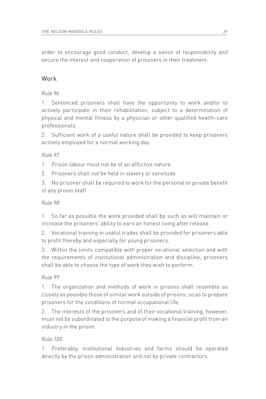order to encourage good conduct, develop a sense of responsibility and secure the interest and cooperation of prisoners in their treatment.

# **Work**

# *Rule 96*

1. Sentenced prisoners shall have the opportunity to work and/or to actively participate in their rehabilitation, subject to a determination of physical and mental fitness by a physician or other qualified health-care professionals.

2. Sufficient work of a useful nature shall be provided to keep prisoners actively employed for a normal working day.

# *Rule 97*

1. Prison labour must not be of an afflictive nature.

2. Prisoners shall not be held in slavery or servitude.

3. No prisoner shall be required to work for the personal or private benefit of any prison staff.

# *Rule 98*

1. So far as possible the work provided shall be such as will maintain or increase the prisoners' ability to earn an honest living after release.

2. Vocational training in useful trades shall be provided for prisoners able to profit thereby and especially for young prisoners.

3. Within the limits compatible with proper vocational selection and with the requirements of institutional administration and discipline, prisoners shall be able to choose the type of work they wish to perform.

# *Rule 99*

1. The organization and methods of work in prisons shall resemble as closely as possible those of similar work outside of prisons, so as to prepare prisoners for the conditions of normal occupational life.

2. The interests of the prisoners and of their vocational training, however, must not be subordinated to the purpose of making a financial profit from an industry in the prison.

# *Rule 100*

1. Preferably, institutional industries and farms should be operated directly by the prison administration and not by private contractors.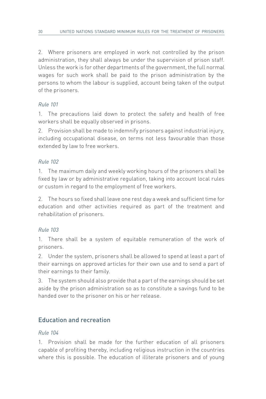2. Where prisoners are employed in work not controlled by the prison administration, they shall always be under the supervision of prison staff. Unless the work is for other departments of the government, the full normal wages for such work shall be paid to the prison administration by the persons to whom the labour is supplied, account being taken of the output of the prisoners.

# *Rule 101*

1. The precautions laid down to protect the safety and health of free workers shall be equally observed in prisons.

2. Provision shall be made to indemnify prisoners against industrial injury, including occupational disease, on terms not less favourable than those extended by law to free workers.

# *Rule 102*

1. The maximum daily and weekly working hours of the prisoners shall be fixed by law or by administrative regulation, taking into account local rules or custom in regard to the employment of free workers.

2. The hours so fixed shall leave one rest day a week and sufficient time for education and other activities required as part of the treatment and rehabilitation of prisoners.

# *Rule 103*

1. There shall be a system of equitable remuneration of the work of prisoners.

2. Under the system, prisoners shall be allowed to spend at least a part of their earnings on approved articles for their own use and to send a part of their earnings to their family.

3. The system should also provide that a part of the earnings should be set aside by the prison administration so as to constitute a savings fund to be handed over to the prisoner on his or her release.

# Education and recreation

# *Rule 104*

1. Provision shall be made for the further education of all prisoners capable of profiting thereby, including religious instruction in the countries where this is possible. The education of illiterate prisoners and of young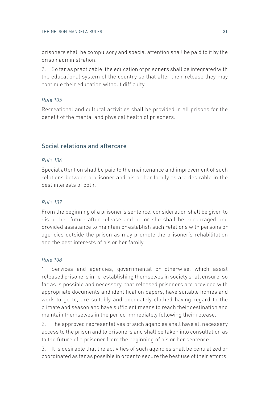prisoners shall be compulsory and special attention shall be paid to it by the prison administration.

2. So far as practicable, the education of prisoners shall be integrated with the educational system of the country so that after their release they may continue their education without difficulty.

#### *Rule 105*

Recreational and cultural activities shall be provided in all prisons for the benefit of the mental and physical health of prisoners.

# Social relations and aftercare

#### *Rule 106*

Special attention shall be paid to the maintenance and improvement of such relations between a prisoner and his or her family as are desirable in the best interests of both.

#### *Rule 107*

From the beginning of a prisoner's sentence, consideration shall be given to his or her future after release and he or she shall be encouraged and provided assistance to maintain or establish such relations with persons or agencies outside the prison as may promote the prisoner's rehabilitation and the best interests of his or her family.

#### *Rule 108*

1. Services and agencies, governmental or otherwise, which assist released prisoners in re-establishing themselves in society shall ensure, so far as is possible and necessary, that released prisoners are provided with appropriate documents and identification papers, have suitable homes and work to go to, are suitably and adequately clothed having regard to the climate and season and have sufficient means to reach their destination and maintain themselves in the period immediately following their release.

2. The approved representatives of such agencies shall have all necessary access to the prison and to prisoners and shall be taken into consultation as to the future of a prisoner from the beginning of his or her sentence.

3. It is desirable that the activities of such agencies shall be centralized or coordinated as far as possible in order to secure the best use of their efforts.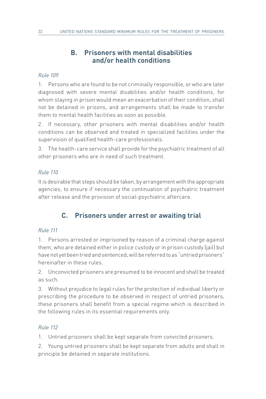# **B. Prisoners with mental disabilities and/or health conditions**

### *Rule 109*

1. Persons who are found to be not criminally responsible, or who are later diagnosed with severe mental disabilities and/or health conditions, for whom staying in prison would mean an exacerbation of their condition, shall not be detained in prisons, and arrangements shall be made to transfer them to mental health facilities as soon as possible.

2. If necessary, other prisoners with mental disabilities and/or health conditions can be observed and treated in specialized facilities under the supervision of qualified health-care professionals.

3. The health-care service shall provide for the psychiatric treatment of all other prisoners who are in need of such treatment.

### *Rule 110*

It is desirable that steps should be taken, by arrangement with the appropriate agencies, to ensure if necessary the continuation of psychiatric treatment after release and the provision of social-psychiatric aftercare.

# **C. Prisoners under arrest or awaiting trial**

#### *Rule 111*

1. Persons arrested or imprisoned by reason of a criminal charge against them, who are detained either in police custody or in prison custody (jail) but have not yet been tried and sentenced, will be referred to as "untried prisoners" hereinafter in these rules.

2. Unconvicted prisoners are presumed to be innocent and shall be treated as such.

3. Without prejudice to legal rules for the protection of individual liberty or prescribing the procedure to be observed in respect of untried prisoners, these prisoners shall benefit from a special regime which is described in the following rules in its essential requirements only.

#### *Rule 112*

1. Untried prisoners shall be kept separate from convicted prisoners.

2. Young untried prisoners shall be kept separate from adults and shall in principle be detained in separate institutions.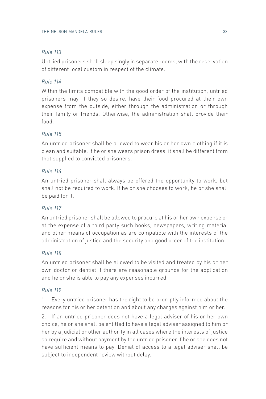Untried prisoners shall sleep singly in separate rooms, with the reservation of different local custom in respect of the climate.

### *Rule 114*

Within the limits compatible with the good order of the institution, untried prisoners may, if they so desire, have their food procured at their own expense from the outside, either through the administration or through their family or friends. Otherwise, the administration shall provide their food.

### *Rule 115*

An untried prisoner shall be allowed to wear his or her own clothing if it is clean and suitable. If he or she wears prison dress, it shall be different from that supplied to convicted prisoners.

#### *Rule 116*

An untried prisoner shall always be offered the opportunity to work, but shall not be required to work. If he or she chooses to work, he or she shall be paid for it.

#### *Rule 117*

An untried prisoner shall be allowed to procure at his or her own expense or at the expense of a third party such books, newspapers, writing material and other means of occupation as are compatible with the interests of the administration of justice and the security and good order of the institution.

#### *Rule 118*

An untried prisoner shall be allowed to be visited and treated by his or her own doctor or dentist if there are reasonable grounds for the application and he or she is able to pay any expenses incurred.

#### *Rule 119*

1. Every untried prisoner has the right to be promptly informed about the reasons for his or her detention and about any charges against him or her.

2. If an untried prisoner does not have a legal adviser of his or her own choice, he or she shall be entitled to have a legal adviser assigned to him or her by a judicial or other authority in all cases where the interests of justice so require and without payment by the untried prisoner if he or she does not have sufficient means to pay. Denial of access to a legal adviser shall be subject to independent review without delay.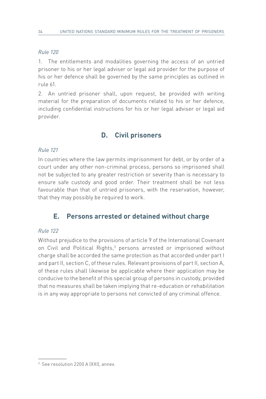1. The entitlements and modalities governing the access of an untried prisoner to his or her legal adviser or legal aid provider for the purpose of his or her defence shall be governed by the same principles as outlined in rule 61.

2. An untried prisoner shall, upon request, be provided with writing material for the preparation of documents related to his or her defence, including confidential instructions for his or her legal adviser or legal aid provider.

# **D. Civil prisoners**

### *Rule 121*

In countries where the law permits imprisonment for debt, or by order of a court under any other non-criminal process, persons so imprisoned shall not be subjected to any greater restriction or severity than is necessary to ensure safe custody and good order. Their treatment shall be not less favourable than that of untried prisoners, with the reservation, however, that they may possibly be required to work.

# **E. Persons arrested or detained without charge**

#### *Rule 122*

Without prejudice to the provisions of article 9 of the International Covenant on Civil and Political Rights,<sup>3</sup> persons arrested or imprisoned without charge shall be accorded the same protection as that accorded under part I and part II, section C, of these rules. Relevant provisions of part II, section A, of these rules shall likewise be applicable where their application may be conducive to the benefit of this special group of persons in custody, provided that no measures shall be taken implying that re-education or rehabilitation is in any way appropriate to persons not convicted of any criminal offence.

<sup>&</sup>lt;sup>3</sup> See resolution 2200 A (XXI), annex.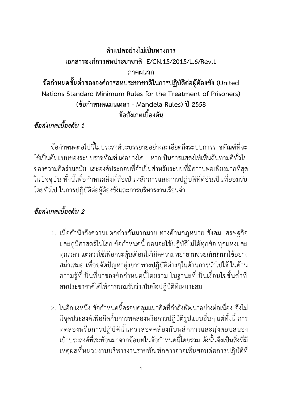# **คำแปลอย่างไม่เป็นทางการ**

**เอกสารองค์การสหประชาชาติ E/CN.15/2015/L.6/Rev.1**

**ภาคผนวก**

**ข้อกำหนดขั้นต่ำขององค์การสหประชาชาติในการปฏิบัติต่อผู้ต้องขัง (United Nations Standard Minimum Rules for the Treatment of Prisoners) (ข้อกำหนดแมนเดลา - Mandela Rules) ปี2558 ข้อสังเกตเบื้องต้น**

*ข้อสังเกตเบื้องต้น 1*

ข้อกำหนดต่อไปนี้ไม่ประสงค์จะบรรยายอย่างละเอียดถึงระบบการราชทัณฑ์ที่จะ ใช้เป็นต้นแบบของระบบราชทัณฑ์แต่อย่างใด หากเป็นการแสดงให้เห็นฉันทามติทั่วไป ของความคิดร่วมสมัย และองค์ประกอบที่จำเป็นสำหรับระบบที่มีความพอเพียงมากที่สุด ในปัจจุบัน ทั้งนี้เพื่อกำหนดสิ่งที่ถือเป็นหลักการและการปฏิบัติที่ดีอันเป็นที่ยอมรับ โดยทั่วไป ในการปฏิบัติต่อผู้ต้องขังและการบริหารงานเรือนจำ

# *ข้อสังเกตเบื้องต้น 2*

- 1. เมื่อคำนึงถึงความแตกต่างกันมากมาย ทางด้านกฎหมาย สังคม เศรษฐกิจ และภูมิศาสตร์ในโลก ข้อกำหนดนี้ ย่อมจะใช้ปฏิบัติไม่ได้ทุกข้อ ทุกแห่งและ ทุกเวลา แต่ควรใช้เพื่อกระตุ้นเตือนให้เกิดความพยายามช่วยกันนำมาใช้อย่าง สม่ำเสมอ เพื่อขจัดปัญหายุ่งยากทางปฏิบัติต่างๆในด้านการนำไปใช้ ในด้าน ความรู้ที่เป็นที่มาของข้อกำหนดนี้โดยรวม ในฐานะที่เป็นเงื่อนไขขั้นต่ำที่ สหประชาชาติได้ให้การยอมรับว่าเป็นข้อปฏิบัติที่เหมาะสม
- 2. ในอีกแง่หนึ่ง ข้อกำหนดนี้ครอบคลุมแนวคิดที่กำลังพัฒนาอย่างต่อเนื่อง จึงไม่ มีจุดประสงค์เพื่อกีดกั้นการทดลองหรือการปฏิบัติรูปแบบอื่นๆ แต่ทั้งนี้ การ ทดลองหรือการปฏิบัตินั้นควรสอดคล้องกับหลักการและมุ่งตอบสนอง เป้าประสงค์ที่สะท้อนมาจากข้อบทในข้อกำหนดนี้โดยรวม ดังนั้นจึงเป็นสิ่งที่มี เหตุผลที่หน่วยงานบริหารงานราชทัณฑ์กลางอาจเห็นชอบต่อการปฎิบัติที่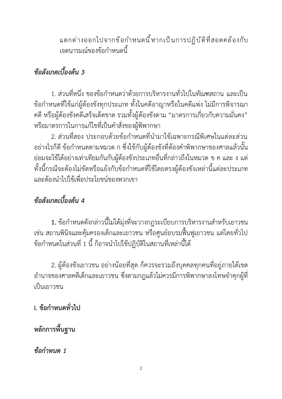แตกต่างออกไปจากข้อกำหนดนี้หากเป็นการปฏิบัติที่สอดคล้องกับ เจตนารมณ์ของข้อกำหนดนี้

# *ข้อสังเกตเบื้องต้น 3*

1. ส่วนที่หนึ่ง ของข้อกำหนดว่าด้วยการบริหารงานทั่วไปในทัณฑสถาน และเป็น ข้อกำหนดที่ใช้แก่ผู้ต้องขังทุกประเภท ทั้งในคดีอาญาหรือในคดีแพ่ง ไม่มีการพิจารณา คดีหรือผู้ต้องขังคดีเสร็จเด็ดขาด รวมทั้งผู้ต้องขังตาม "มาตรการเกี่ยวกับความมั่นคง" หรือมาตรการในการแก้ไขที่เป็นคำสั่งของผู้พิพากษา

2. ส่วนที่สอง ประกอบด้วยข้อกำหนดที่นำมาใช้เฉพาะกรณีพิเศษในแต่ละส่วน อย่างไรก็ดี ข้อกำหนดตามหมวด ก ซึ่งใช้กับผู้ต้องขังที่ต้องคำพิพากษาของศาลแล้วนั้น ย่อมจะใช้ได้อย่างเท่าเทียมกันกับผู้ต้องขังประเภทอื่นที่กล่าวถึงในหมวด ข ค และ ง แต่ ทั้งนี้กรณีจะต้องไม่ขัดหรือแย้งกับข้อกำหนดที่ใช้โดยตรงผู้ต้องขังเหล่านี้แต่ละประเภท และต้องนำไปใช้เพื่อประโยชน์ของพวกเขา

# *ข้อสังเกตเบื้องต้น 4*

**1.** ข้อกำหนดดังกล่าวนี้ไม่ได้มุ่งที่จะวางกฎระเบียบการบริหารงานสำหรับเยาวชน เช่น สถานพินิจและคุ้มครองเด็กและเยาวชน หรือศูนย์อบรมฟื้นฟูเยาวชน แต่โดยทั่วไป ข้อกำหนดในส่วนที่ 1 นี้ ก็อาจนำไปใช้ปฏิบัติในสถานที่เหล่านี้ได้

2. ผู้ต้องขังเยาวชน อย่างน้อยที่สุด ก็ควรจะรวมถึงบุคคลทุกคนที่อยู่ภายใต้เขต อำนาจของศาลคดีเด็กและเยาวชน ซึ่งตามกฎแล้วไม่ควรมีการพิพากษาลงโทษจำคุกผู้ที่ เป็นเยาวชน

**I. ข้อกำหนดทั่วไป** 

**หลักการพื้นฐาน**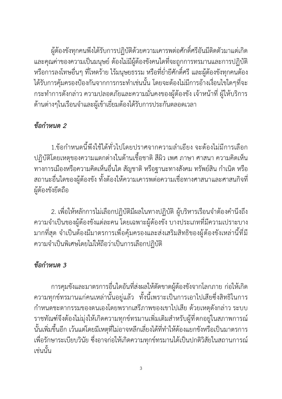ผู้ต้องขังทุกคนพึงได้รับการปฏิบัติด้วยความเคารพต่อศักดิ์ศรีอันมีติดตัวมาแต่เกิด และคุณค่าของความเป็นมนุษย์ ต้องไม่มีผู้ต้องขังคนใดที่จะถูกการทรมานและการปฏิบัติ หรือการลงโทษอื่นๆ ที่โหดร้าย ไร้มนุษยธรรม หรือที่ย่ำยีศักดิ์ศรีและผู้ต้องขังทุกคนต้อง ได้รับการคุ้มครองป้องกันจากการกระทำเช่นนั้น โดยจะต้องไม่มีการอ้างเงื่อนไขใดๆที่จะ กระทำการดังกล่าว ความปลอดภัยและความมั่นคงของผู้ต้องขัง เจ้าหน้าที่ ผู้ให้บริการ ด้านต่างๆในเรือนจำและผู้เข้าเยี่ยมต้องได้รับการประกันตลอดเวลา

#### *ข้อกำหนด 2*

1.ข้อกำหนดนี้พึงใช้ได้ทั่วไปโดยปราศจากความลำเอียง จะต้องไม่มีการเลือก ปฏิบัติโดยเหตุของความแตกต่างในด้านเชื้อชาติ สีผิว เพศ ภาษา ศาสนา ความคิดเห็น ทางการเมืองหรือความคิดเห็นอื่นใด สัญชาติ หรือฐานะทางสังคม ทรัพย์สิน กำเนิด หรือ สถานะอื่นใดของผู้ต้องขัง ทั้งต้องให้ความเคารพต่อความเชื่อทางศาสนาและศาสนกิจที่ ผู้ต้องขังยึดถือ

2. เพื่อให้หลักการไม่เลือกปฏิบัติมีผลในทางปฏิบัติผู้บริหารเรือนจำต้องคำนึงถึง ความจำเป็นของผู้ต้องขังแต่ละคน โดยเฉพาะผู้ต้องขัง บางประเภทที่มีความเปราะบาง มากที่สุด จำเป็นต้องมีมาตรการเพื่อคุ้มครองและส่งเสริมสิทธิของผู้ต้องขังเหล่านี้ที่มี ความจำเป็นพิเศษโดยไม่ให้ถือว่าเป็นการเลือกปฏิบัติ

## *ข้อกำหนด 3*

การคุมขังและมาตรการอื่นใดอันที่ส่งผลให้ตัดขาดผู้ต้องขังจากโลกภาย ก่อให้เกิด ความทุกข์ทรมานแก่คนเหล่านั้นอยู่แล้ว ทั้งนี้เพราะเป็นการเอาไปเสียซึ่งสิทธิในการ กำหนดชะตากรรมของตนเองโดยพรากเสรีภาพของเขาไปเสีย ด้วยเหตุดังกล่าว ระบบ ราชทัณฑ์จึงต้องไม่มุ่งให้เกิดความทุกข์ทรมานเพิ่มเติมสำหรับผู้ที่ตกอยู่ในสภาพการณ์ นั้นเพิ่มขึ้นอีก เว้นแต่โดยมีเหตุที่ไม่อาจหลีกเลี่ยงได้ที่ทำให้ต้องแยกขังหรือเป็นมาตรการ เพื่อรักษาระเบียบวินัย ซึ่งอาจก่อให้เกิดความทุกข์ทรมานได้เป็นปกติวิสัยในสถานการณ์ เช่นนั้น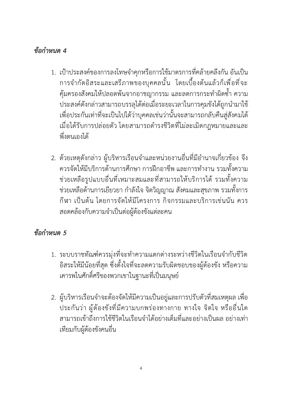#### *ข้อกำหนด 4*

- 1. เป้าประสงค์ของการลงโทษจำคุกหรือการใช้มาตรการที่คล้ายคลึงกัน อันเป็น การจำกัดอิสระและเสรีภาพของบุคคลนั้น โดยเบื้องต้นแล้วก็เพื่อที่จะ คุ้มครองสังคมให้ปลอดพ้นจากอาชญากรรม และลดการกระทำผิดซ้ำ ความ ประสงค์ดังกล่าวสามารถบรรลุได้ต่อเมื่อระยะเวลาในการคุมขังได้ถูกนำมาใช้ เพื่อประกันเท่าที่จะเป็นไปได้ว่าบุคคลเช่นว่านั้นจะสามารถกลับคืนสู่สังคมได้ เมื่อได้รับการปล่อยตัว โดยสามารถดำรงชีวิตที่ไม่ละเมิดกฎหมายและและ พึ่งตนเองได้
- 2. ด้วยเหตุดังกล่าว ผู้บริหารเรือนจำและหน่วยงานอื่นที่มีอำนาจเกี่ยวข้อง จึง ควรจัดให้มีบริการด้านการศึกษา การฝึกอาชีพ และการทำงาน รวมทั้งความ ช่วยเหลือรูปแบบอื่นที่เหมาะสมและที่สามารถให้บริการได้รวมทั้งความ ช่วยเหลือด้านการเยียวยา กำลังใจ จิตวิญญาณ สังคมและสุขภาพ รวมทั้งการ กีฬา เป็นต้น โดยการจัดให้มีโครงการ กิจกรรมและบริการเช่นนัน ควร สอดคล้องกับความจำเป็นต่อผู้ต้องขังแต่ละคน

- 1. ระบบราชทัณฑ์ควรมุ่งที่จะทำความแตกต่างระหว่างชีวิตในเรือนจำกับชีวิต อิสระให้มีน้อยที่สุด ซึ่งตั้งใจที่จะลดความรับผิดชอบของผู้ต้องขัง หรือความ เคารพในศักดิ์ศรีของพวกเขาในฐานะที่เป็นมนุษย์
- 2. ผู้บริหารเรือนจำจะต้องจัดให้มีความเป็นอยู่และการปรับตัวที่สมเหตุผล เพื่อ ประกันว่า ผู้ต้องขังที่มีความบกพร่องทางกาย ทางใจ จิตใจ หรืออื่นใด สามารถเข้าถึงการใช้ชีวิตในเรือนจำได้อย่างเต็มที่และอย่างเป็นผล อย่างเท่า เทียมกับผู้ต้องขังคนอื่น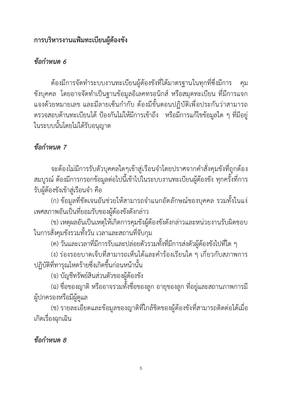#### **การบริหารงานแฟ้มทะเบียนผู้ต้องขัง**

#### *ข้อกำหนด 6*

ต้องมีการจัดทำระบบงานทะเบียนผู้ต้องขังที่ได้มาตรฐานในทุกที่ซึ่งมีการ คุม ขังบุคคล โดยอาจจัดทำเป็นฐานข้อมูลอิเลคทรอนิกส์ หรือสมุดทะเบียน ที่มีการแจก แจงด้วยหมายเลข และมีลายเซ็นกำกับ ต้องมีขั้นตอนปฏิบัติเพื่อประกันว่าสามารถ ตรวจสอบด้านทะเบียนได้ ป้องกันไม่ให้มีการเข้าถึง หรือมีการแก้ไขข้อมูลใด ๆ ที่มีอยู่ ในระบบนั้นโดยไม่ได้รับอนุญาต

### *ข้อกำหนด 7*

จะต้องไม่มีการรับตัวบุคคลใดๆเข้าสู่เรือนจำโดยปราศจากคำสั่งคุมขังที่ถูกต้อง สมบูรณ์ ต้องมีการกรอกข้อมูลต่อไปนี้เข้าไปในระบบงานทะเบียนผู้ต้องขัง ทุกครั้งที่การ รับผู้ต้องขังเข้าสู่เรือนจำ คือ

(ก) ข้อมูลที่ชัดเจนอันช่วยให้สามารถจำแนกอัตลักษณ์ของบุคคล รวมทั้งในแง่ เพศสภาพอันเป็นที่ยอมรับของผู้ต้องขังดังกล่าว

(ข) เหตุผลอันเป็นเหตุให้เกิดการคุมขังผู้ต้องขังดังกล่าวและหน่วยงานรับผิดชอบ ในการสั่งคุมขังรวมทั้งวัน เวลาและสถานที่จับกุม

(ค) วันและเวลาที่มีการรับและปล่อยตัวรวมทั้งที่มีการส่งตัวผู้ต้องขังไปที่ใด ๆ

(ง) ร่องรอยบาดเจ็บที่สามารถเห็นได้และคำร้องเรียนใด ๆ เกี่ยวกับสภาพการ ปฏิบัติที่ทารุณโหดร้ายซึ่งเกิดขึ้นก่อนหน้านั้น

(จ) บัญชีทรัพย์สินส่วนตัวของผู้ต้องขัง

(ฉ) ชื่อของญาติ หรืออาจรวมทั้งชื่อของลูก อายุของลูก ที่อยู่และสถานภาพการมี ผู้ปกครองหรือมีผู้ดูแล

(ช) รายละเอียดและข้อมูลของญาติที่ใกล้ชิดของผู้ต้องขังที่สามารถติดต่อได้เมื่อ เกิดเรื่องฉุกเฉิน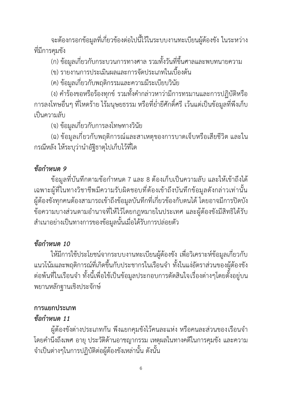จะต้องกรอกข้อมูลที่เกี่ยวข้องต่อไปนี้ไว้ในระบบงานทะเบียนผู้ต้องขัง ในระหว่าง ที่มีการคุมขัง

(ก) ข้อมูลเกี่ยวกับกระบวนการทางศาล รวมทั้งวันที่ขึ้นศาลและพบทนายความ

- (ข) รายงานการประเมินผลและการจัดประเภทในเบื้องต้น
- (ค) ข้อมูลเกี่ยวกับพฤติกรรมและความมีระเบียบวินัย

(ง) คำร้องขอหรือร้องทุกข์รวมทั้งคำกล่าวหาว่ามีการทรมานและการปฏิบัติหรือ การลงโทษอื่นๆ ที่โหดร้าย ไร้มนุษยธรรม หรือที่ย่ำยีศักดิ์ศรี เว้นแต่เป็นข้อมูลที่พึงเก็บ เป็นความลับ

(จ) ข้อมูลเกี่ยวกับการลงโทษทางวินัย

(ฉ) ข้อมูลเกี่ยวกับพฤติการณ์และสาเหตุของการบาดเจ็บหรือเสียชีวิต และใน กรณีหลัง ให้ระบุว่านำอัฐิธาตุไปเก็บไว้ที่ใด

#### *ข้อกำหนด 9*

ข้อมูลที่บันทึกตามข้อกำหนด 7 และ 8 ต้องเก็บเป็นความลับ และให้เข้าถึงได้ เฉพาะผู้ที่ในทางวิชาชีพมีความรับผิดชอบที่ต้องเข้าถึงบันทึกข้อมูลดังกล่าวเท่านั้น ผู้ต้องขังทุกคนต้องสามารถเข้าถึงข้อมูลบันทึกที่เกี่ยวข้องกับตนได้โดยอาจมีการปิดบัง ข้อความบางส่วนตามอำนาจที่ให้ไว้โดยกฎหมายในประเทศ และผู้ต้องขังมีสิทธิได้รับ สำเนาอย่างเป็นทางการของข้อมูลนั้นเมื่อได้รับการปล่อยตัว

### *ข้อกำหนด 10*

ให้มีการใช้ประโยชน์จากระบบงานทะเบียนผู้ต้องขัง เพื่อวิเคราะห์ข้อมูลเกี่ยวกับ แนวโน้มและพฤติการณ์ที่เกิดขึ้นกับประชากรในเรือนจำ ทั้งในแง่อัตราส่วนของผู้ต้องขัง ต่อพ้นที่ในเรือนจำ ทั้งนี้เพื่อใช้เป็นข้อมูลประกอบการตัดสินใจเรื่องต่างๆโดยตั้งอยู่บน พยานหลักฐานเชิงประจักษ์

#### **การแยกประเภท**

### *ข้อกำหนด 11*

ผู้ต้องขังต่างประเภทกัน พึงแยกคุมขังไว้คนละแห่ง หรือคนละส่วนของเรือนจำ โดยคำนึงถึงเพศ อายุ ประวัติด้านอาชญากรรม เหตุผลในทางคดีในการคุมขัง และความ จำเป็นต่างๆในการปฏิบัติต่อผู้ต้องขังเหล่านั้น ดังนั้น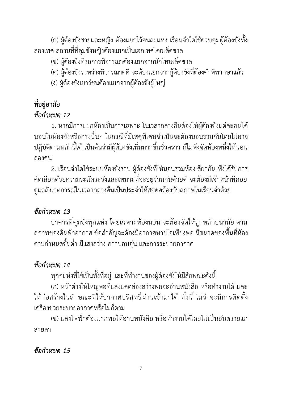(ก) ผู้ต้องขังชายและหญิง ต้องแยกไว้คนละแห่ง เรือนจำใดใช้ควบคุมผู้ต้องขังทั้ง สองเพศ สถานที่ที่คุมขังหญิงต้องแยกเป็นเอกเทศโดยเด็ดขาด

- (ข) ผู้ต้องขังที่รอการพิจารณาต้องแยกจากนักโทษเด็ดขาด
- (ค) ผู้ต้องขังระหว่างพิจารณาคดี จะต้องแยกจากผู้ต้องขังที่ต้องคำพิพากษาแล้ว
- (ง) ผู้ต้องขังเยาว์ชนต้องแยกจากผู้ต้องขังผู้ใหญ่

# **ที่อยู่อาศัย**

### *ข้อกำหนด 12*

**1**. หากมีการแยกห้องเป็นการเฉพาะ ในเวลากลางคืนต้องให้ผู้ต้องขังแต่ละคนได้ นอนในห้องขังหรือกรงนั้นๆ ในกรณีที่มีเหตุพิเศษจำเป็นจะต้องนอนรวมกันโดยไม่อาจ ปฏิบัติตามหลักนี้ได้เป็นต้นว่ามีผู้ต้องขังเพิ่มมากขึ้นชั่วคราว ก็ไม่พึงจัดห้องหนึ่งให้นอน สองคน

2. เรือนจำใดใช้ระบบห้องขังรวม ผู้ต้องขังที่ให้นอนรวมห้องเดียวกัน พึงได้รับการ คัดเลือกด้วยความระมัดระวังและเหมาะที่จะอยู่ร่วมกันด้วยดี จะต้องมีเจ้าหน้าที่คอย ดูแลสังเกตการณ์ในเวลากลางคืนเป็นประจำให้สอดคล้องกับสภาพในเรือนจำด้วย

### *ข้อกำหนด 13*

อาคารที่คุมขังทุกแห่ง โดยเฉพาะห้องนอน จะต้องจัดให้ถูกหลักอนามัย ตาม สภาพของดินฟ้าอากาศ ข้อสำคัญจะต้องมีอากาศหายใจเพียงพอ มีขนาดของพื้นที่ห้อง ตามกำหนดขั้นต่ำ มีแสงสว่าง ความอบอุ่น และการระบายอากาศ

### *ข้อกำหนด 14*

ทุกๆแห่งที่ใช้เป็นทั้งที่อยู่ และที่ทำงานของผู้ต้องขังให้มีลักษณะดังนี้

(ก) หน้าต่างให้ใหญ่พอที่แสงแดดส่องสว่างพอจะอ่านหนังสือ หรือทำงานได้ และ ให้ก่อสร้างในลักษณะที่ให้อากาศบริสุทธิ์ผ่านเข้ามาได้ทั้งนี้ ไม่ว่าจะมีการติดตั้ง เครื่องช่วยระบายอากาศหรือไม่ก็ตาม

(ข) แสงไฟฟ้าต้องมากพอให้อ่านหนังสือ หรือทำงานได้โดยไม่เป็นอันตรายแก่ สายตา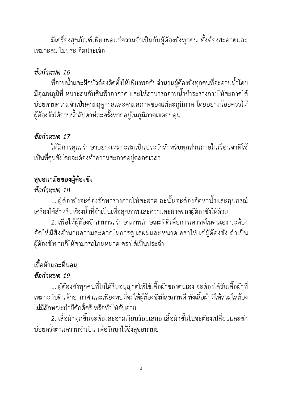มีเครื่องสุขภัณฑ์เพียงพอแก่ความจำเป็นกับผู้ต้องขังทุกคน ทั้งต้องสะอาดและ เหมาะสม ไม่ประเจิดประเจ้อ

### *ข้อกำหนด 16*

ที่อาบน้ำและฝักบัวต้องติดตั้งให้เพียงพอกับจำนวนผู้ต้องขังทุกคนที่จะอาบน้ำโดย มีอุณหภูมิที่เหมาะสมกับดินฟ้าอากาศ และให้สามารถอาบน้ำชำระร่างกายให้สะอาดได้ บ่อยตามความจำเป็นตามฤดูกาลและตามสภาพของแต่ละภูมิภาค โดยอย่างน้อยควรให้ ผู้ต้องขังได้อาบน้ำสัปดาห์ละครั้งหากอยู่ในภูมิภาคเขตอบอุ่น

## *ข้อกำหนด 17*

ให้มีการดูแลรักษาอย่างเหมาะสมเป็นประจำสำหรับทุกส่วนภายในเรือนจำที่ใช้ เป็นที่คุมขังโดยจะต้องทำความสะอาดอยู่ตลอดเวลา

# **สุขอนามัยของผู้ต้องขัง**

### *ข้อกำหนด 18*

1. ผู้ต้องขังจะต้องรักษาร่างกายให้สะอาด ฉะนั้นจะต้องจัดหาน้ำและอุปกรณ์ เครื่องใช้สำหรับห้องน้ำที่จำเป็นเพื่อสุขภาพและความสะอาดของผู้ต้องขังให้ด้วย

2. เพื่อให้ผู้ต้องขังสามารถรักษาภาพลักษณะที่ดีเพื่อการเคารพในตนเอง จะต้อง จัดให้มีสิ่งอำนวยความสะดวกในการดูแลผมและหนวดเคราให้แก่ผู้ต้องขัง ถ้าเป็น ผู้ต้องขังชายก็ให้สามารถโกนหนวดเคราได้เป็นประจำ

# **เสื้อผ้าและที่นอน**

### *ข้อกำหนด 19*

1. ผู้ต้องขังทุกคนที่ไม่ได้รับอนุญาตให้ใช้เสื้อผ้าของตนเอง จะต้องได้รับเสื้อผ้าที่ เหมาะกับดินฟ้าอากาศ และเพียงพอที่จะให้ผู้ต้องขังมีสุขภาพดี ทั้งเสื้อผ้าที่ให้สวมใส่ต้อง ไม่มีลักษณะย่ำยีศักดิ์ศรี หรือทำให้อับอาย

2. เสื้อผ้าทุกชิ้นจะต้องสะอาดเรียบร้อยเสมอ เสื้อผ้าชั้นในจะต้องเปลี่ยนและซัก บ่อยครั้งตามความจำเป็น เพื่อรักษาไว้ซึ่งสุขอนามัย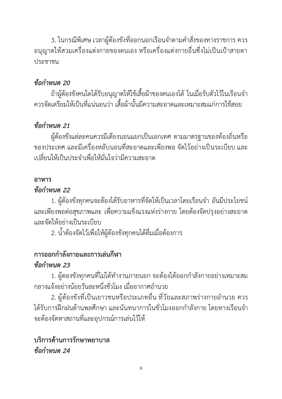3. ในกรณีพิเศษ เวลาผู้ต้องขังที่ออกนอกเรือนจำตามคำสั่งของทางราชการ ควร อนุญาตให้สวมเครื่องแต่งกายของตนเอง หรือเครื่องแต่งกายอื่นซึ่งไม่เป็นเป้าสายตา ประชาชน

### *ข้อกำหนด 20*

ถ้าผู้ต้องขังคนใดได้รับอนุญาตให้ใช้เสื้อผ้าของตนเองได้ในเมื่อรับตัวไว้ในเรือนจำ ควรจัดเตรียมให้เป็นที่แน่นอนว่า เสื้อผ้านั้นมีความสะอาดและเหมาะสมแก่การใช้สอย

### *ข้อกำหนด 21*

ผู้ต้องขังแต่ละคนควรมีเตียงนอนแยกเป็นเอกเทศ ตามมาตรฐานของท้องถิ่นหรือ ของประเทศ และมีเครื่องหลับนอนที่สะอาดและเพียงพอ จัดไว้อย่างเป็นระเบียบ และ เปลี่ยนให้เป็นประจำเพื่อให้มั่นใจว่ามีความสะอาด

#### **อาหาร**

#### *ข้อกำหนด 22*

1. ผู้ต้องขังทุกคนจะต้องได้รับอาหารที่จัดให้เป็นเวลาโดยเรือนจำ อันมีประโยชน์ และเพียงพอต่อสุขภาพและ เพื่อความแข็งแรงแห่งร่างกาย โดยต้องจัดปรุงอย่างสะอาด และจัดให้อย่างเป็นระเบียบ

2. น้ำต้องจัดไว้เพื่อให้ผู้ต้องขังทุกคนได้ดื่มเมื่อต้องการ

### **การออกกำลังกายและการเล่นกีฬา**

### *ข้อกำหนด 23*

1. ผู้ตองขังทุกคนที่ไม่ได้ทำงานภายนอก จะต้องได้ออกกำลังกายอย่างเหมาะสม กลางแจ้งอย่างน้อยวันละหนึ่งชั่วโมง เมื่ออากาศอำนวย

2. ผู้ต้องขังที่เป็นเยาวชนหรือประเภทอื่น ที่วัยและสภาพร่างกายอำนวย ควร ได้รับการฝึกฝนด้านพลศึกษา และนันทนาการในชั่วโมงออกกำลังกาย โดยทางเรือนจำ จะต้องจัดหาสถานที่และอุปกรณ์การเล่นไว้ให้

### **บริการด้านการรักษาพยาบาล** *ข้อกำหนด 24*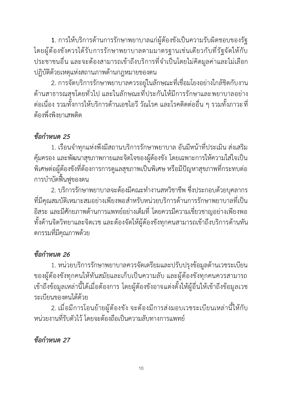**1**. การให้บริการด้านการรักษาพยาบาลแก่ผู้ต้องขังเป็นความรับผิดชอบของรัฐ โดยผู้ต้องขังควรได้รับการรักษาพยาบาลตามมาตรฐานเช่นเดียวกับที่รัฐจัดให้กับ ประชาชนอื่น และจะต้องสามารถเข้าถึงบริการที่จำเป็นโดยไม่คิดมูลค่าและไม่เลือก ปฏิบัติด้วยเหตุแห่งสถานภาพด้านกฎหมายของตน

2. การจัดบริการรักษาพยาบาลควรอยู่ในลักษณะที่เชื่อมโยงอย่างใกล้ชิดกับงาน ด้านสาธารณสุขโดยทั่วไป และในลักษณะที่ประกันให้มีการรักษาและพยาบาลอย่าง ต่อเนื่อง รวมทั้งการให้บริการด้านเอชไอวี วัณโรค และโรคติดต่ออื่น ๆ รวมทั้งภาวะที่ ต้องพึ่งพิงยาเสพติด

### *ข้อกำหนด 25*

1. เรือนจำทุกแห่งพึงมีสถานบริการรักษาพยาบาล อันมีหน้าที่ประเมิน ส่งเสริม คุ้มครอง และพัฒนาสุขภาพกายและจิตใจของผู้ต้องขัง โดยเฉพาะการให้ความใส่ใจเป็น พิเศษต่อผู้ต้องขังที่ต้องการการดูแลสุขภาพเป็นพิเศษ หรือมีปัญหาสุขภาพที่กระทบต่อ การบำบัดฟื้นฟูของตน

2. บริการรักษาพยาบาลจะต้องมีคณะทำงานสหวิชาชีพ ซึ่งประกอบด้วยบุคลากร ที่มีคุณสมบัติเหมาะสมอย่างเพียงพอสำหรับหน่วยบริการด้านการรักษาพยาบาลที่เป็น อิสระ และมีศักยภาพด้านการแพทย์อย่างเต็มที่ โดยควรมีความเชี่ยวชาญอย่างเพียงพอ ทั้งด้านจิตวิทยาและจิตเวช และต้องจัดให้ผู้ต้องขังทุกคนสามารถเข้าถึงบริการด้านทัน ตกรรมที่มีคุณภาพด้วย

### *ข้อกำหนด 26*

1. หน่วยบริการรักษาพยาบาลควรจัดเตรียมและปรับปรุงข้อมูลด้านเวชระเบียน ของผู้ต้องขังทุกคนให้ทันสมัยและเก็บเป็นความลับ และผู้ต้องขังทุกคนควรสามารถ เข้าถึงข้อมูลเหล่านี้ได้เมื่อต้องการ โดยผู้ต้องขังอาจแต่งตั้งให้ผู้อื่นให้เข้าถึงข้อมูลเวช ระเบียนของตนได้ด้วย

2. เมื่อมีการโอนย้ายผู้ต้องขัง จะต้องมีการส่งมอบเวชระเบียนเหล่านี้ให้กับ หน่วยงานที่รับตัวไว้ โดยจะต้องถือเป็นความลับทางการแพทย์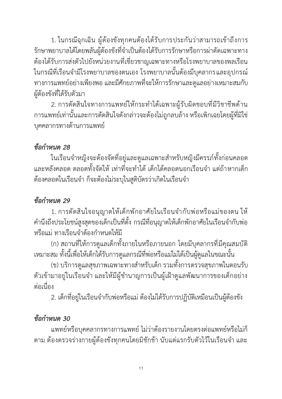1. ในกรณีฉุกเฉิน ผู้ต้องขังทุกคนต้องได้รับการประกันว่าสามารถเข้าถึงการ รักษาพยาบาลได้โดยพลันผู้ต้องขังที่จำเป็นต้องได้รับการรักษาหรือการผ่าตัดเฉพาะทาง ต้องได้รับการส่งตัวไปยังหน่วยงานที่เชี่ยวชาญเฉพาะทางหรือโรงพยาบาลของพลเรือน ในกรณีที่เรือนจำมีโรงพยาบาลของตนเอง โรงพยาบาลนั้นต้องมีบุคลากรและอุปกรณ์ ทางการแพทย์อย่างเพียงพอ และมีศักยภาพที่จะให้การรักษาและดูแลอย่างเหมาะสมกับ ผู้ต้องขังที่ได้รับตัวมา

2. การตัดสินใจทางการแพทย์ให้กระทำได้เฉพาะผู้รับผิดชอบที่มีวิชาชีพด้าน การแพทย์เท่านั้นและการตัดสินใจดังกล่าวจะต้องไม่ถูกลบล้าง หรือเพิกเฉยโดยผู้ที่มิใช่ บุคคลากรทางด้านการแพทย์

### *ข้อกำหนด 28*

ในเรือนจำหญิงจะต้องจัดที่อยู่และดูแลเฉพาะสำหรับหญิงมีครรภ์ทั้งก่อนคลอด และหลังคลอด ตลอดทั้งจัดให้ เท่าที่จะทำได้ เด็กได้คลอดนอกเรือนจำ แต่ถ้าหากเด็ก ต้องคลอดในเรือนจำ ก็จะต้องไม่ระบุในสูติบัตรว่าเกิดในเรือนจำ

### *ข้อกำหนด 29*

1. การตัดสินใจอนุญาตให้เด็กพักอาศัยในเรือนจำกับพ่อหรือแม่ของตน ให้ คำนึงถึงประโยชน์สูงสุดของเด็กเป็นที่ตั้ง กรณีที่อนุญาตให้เด็กพักอาศัยในเรือนจำกับพ่อ หรือแม่ ทางเรือนจำต้องกำหนดให้มี

(ก) สถานที่ให้การดูแลเด็กทั้งภายในหรือภายนอก โดยมีบุคลากรที่มีคุณสมบัติ เหมาะสม ทั้งนี้เพื่อให้เด็กได้รับการดูแลกรณีที่พ่อหรือแม่ไม่ได้เป็นผู้ดูแลในขณะนั้น

(ข) บริการดูแลสุขภาพเฉพาะทางสำหรับเด็ก รวมทั้งการตรวจสุขภาพในตอนรับ ตัวเข้ามาอยู่ในเรือนจำ และให้มีผู้ชำนาญการเป็นผู้เฝ้าดูแลพัฒนาการของเด็กอย่าง ต่อเนื่อง

2. เด็กที่อยู่ในเรือนจำกับพ่อหรือแม่ ต้องไม่ได้รับการปฏิบัติเหมือนเป็นผู้ต้องขัง

#### *ข้อกำหนด 30*

แพทย์หรือบุคคลากรทางการแพทย์ไม่ว่าต้องรายงานโดยตรงต่อแพทย์หรือไม่ก็ ตาม ต้องตรวจร่างกายผู้ต้องขังทุกคนโดยมิชักช้า นับแต่แรกรับตัวไว้ในเรือนจำ และ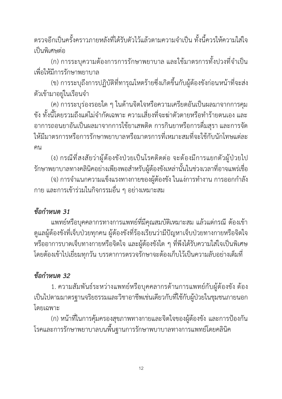ตรวจอีกเป็นครั้งคราวภายหลังที่ได้รับตัวไว้แล้วตามความจำเป็น ทั้งนี้ควรให้ความใส่ใจ เป็นพิเศษต่อ

(ก) การระบุความต้องการการรักษาพยาบาล และใช้มาตรการทั้งปวงที่จำเป็น เพื่อให้มีการรักษาพยาบาล

(ข) การระบุถึงการปฏิบัติที่ทารุณโหดร้ายซึ่งเกิดขึ้นกับผู้ต้องขังก่อนหน้าที่จะส่ง ตัวเข้ามาอยู่ในเรือนจำ

(ค) การระบุร่องรอยใด ๆ ในด้านจิตใจหรือความเครียดอันเป็นผลมาจากการคุม ขัง ทั้งนี้โดยรวมถึงแต่ไม่จำกัดเฉพาะ ความเสี่ยงที่จะฆ่าตัวตายหรือทำร้ายตนเอง และ อาการถอนยาอันเป็นผลมาจากการใช้ยาเสพติด การกินยาหรือการดื่มสุรา และการจัด ให้มีมาตรการหรือการรักษาพยาบาลหรือมาตรการที่เหมาะสมที่จะใช้กับนักโทษแต่ละ คน

(ง) กรณีที่สงสัยว่าผู้ต้องขังป่วยเป็นโรคติดต่อ จะต้องมีการแยกตัวผู้ป่วยไป รักษาพยาบาลทางคลินิคอย่างเพียงพอสำหรับผู้ต้องขังเหล่านั้นในช่วงเวลาที่อาจแพร่เชื่อ (จ) การจำแนกความแข็งแรงทางกายของผู้ต้องขัง ในแง่การทำงาน การออกกำลัง กาย และการเข้าร่วมในกิจกรรมอื่น ๆ อย่างเหมาะสม

### *ข้อกำหนด 31*

แพทย์หรือบุคคลากรทางการแพทย์ที่มีคุณสมบัติเหมาะสม แล้วแต่กรณี ต้องเข้า ดูแลผู้ต้องขังที่เจ็บป่วยทุกคน ผู้ต้องขังที่ร้องเรียนว่ามีปัญหาเจ็บป่วยทางกายหรือจิตใจ หรืออาการบาดเจ็บทางกายหรือจิตใจ และผู้ต้องขังใด ๆ ที่พึงได้รับความใส่ใจเป็นพิเศษ โดยต้องเข้าไปเยี่ยมทุกวัน บรรดาการตรวจรักษาจะต้องเก็บไว้เป็นความลับอย่างเต็มที่

### *ข้อกำหนด 32*

1. ความสัมพันธ์ระหว่างแพทย์หรือบุคคลากรด้านการแพทย์กับผู้ต้องขัง ต้อง เป็นไปตามมาตรฐานจริยธรรมและวิชาอาชีพเช่นเดียวกับที่ใช้กับผู้ป่วยในชุมชนภายนอก โดยเฉพาะ

(ก) หน้าที่ในการคุ้มครองสุขภาพทางกายและจิตใจของผู้ต้องขัง และการป้องกัน โรคและการรักษาพยาบาลบนพื้นฐานการรักษาพบาบาลทางการแพทย์โดยคลินิค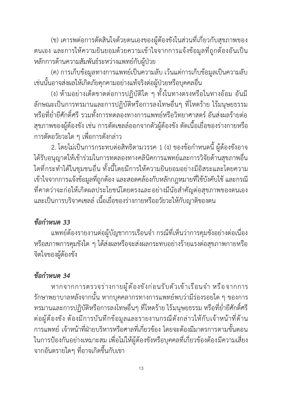(ข) เคารพต่อการตัดสินใจด้วยตนเองของผู้ต้องขังในส่วนที่เกี่ยวกับสุขภาพของ ตนเอง และการให้ความยินยอมด้วยความเข้าใจจากการแจ้งข้อมูลที่ถูกต้องอันเป็น หลักการด้านความสัมพันธ์ระหว่างแพทย์กับผู้ป่วย

(ค) การเก็บข้อมูลทางการแพทย์เป็นความลับ เว้นแต่การเก็บข้อมูลเป็นความลับ เช่นนั้นอาจส่งผลให้เกิดภัยคุกคามอย่างแท้จริงต่อผู้ป่วยหรือบุคคลอื่น

(ง) ห้ามอย่างเด็ดขาดต่อการปฏิบัติใด ๆ ทั้งในทางตรงหรือในทางอ้อม อันมี ลักษณะเป็นการทรมานและการปฏิบัติหรือการลงโทษอื่นๆ ที่โหดร้าย ไร้มนุษยธรรม หรือที่ย่ำยีศักดิ์ศรีรวมทั้งการทดลองทางการแพทย์หรือวิทยาศาสตร์ อันส่งผลร้ายต่อ สุขภาพของผู้ต้องขัง เช่น การตัดเซลล์ออกจากตัวผู้ต้องขัง ตัดเนื้อเยื่อของร่างกายหรือ การตัดอวัยวะใด ๆ เพื่อการดังกล่าว

2. โดยไม่เป็นการกระทบต่อสิทธิตามวรรค 1 (ง) ของข้อกำหนดนี้ ผู้ต้องขังอาจ ได้รับอนุญาตให้เข้าร่วมในการทดลองทางคลินิคการแพทย์และการวิจัยด้านสุขภาพอื่น ใดที่กระทำได้ในชุมชนอื่น ทั้งนี้โดยมีการให้ความยินยอมอย่างมีอิสระและโดยความ เข้าใจจากการแจ้งข้อมูลที่ถูกต้อง และสอดคล้องกับหลักกฎหมายที่ใช้บังคับใช้ และกรณี ที่คาดว่าจะก่อให้เกิดผลประโยชน์โดยตรงและอย่างมีนัยสำคัญต่อสุขภาพของตนเอง และเป็นการบริจาคเซลล์ เนื้อเยื่อของร่างกายหรืออวัยวะให้กับญาติของตน

#### *ข้อกำหนด 33*

แพทย์ต้องรายงานต่อผู้บัญชาการเรือนจำ กรณีที่เห็นว่าการคุมขังอย่างต่อเนื่อง หรือสภาพการคุมขังใด ๆ ได้ส่งผลหรือจะส่งผลกระทบอย่างร้ายแรงต่อสุขภาพกายหรือ จิตใจของผู้ต้องขัง

#### *ข้อกำหนด 34*

หากจากการตรวจร่างกายผู้ต้องขังก่อนรับตัวเข้าเรือนจำ หรือจากการ รักษาพยาบาลหลังจากนั้น หากบุคคลากรทางการแพทย์พบว่ามีร่องรอยใด ๆ ของการ ทรมานและการปฏิบัติหรือการลงโทษอื่นๆ ที่โหดร้าย ไร้มนุษยธรรม หรือที่ย่ำยีศักดิ์ศรี ต่อผู้ต้องขัง ต้องมีการบันทึกข้อมูลและรายงานกรณีดังกล่าวให้กับเจ้าหน้าที่ด้าน การแพทย์ เจ้าหน้าที่ฝ่ายบริหารหรือศาลที่เกี่ยวข้อง โดยจะต้องมีมาตรการตามขั้นตอน ในการป้องกันอย่างเหมาะสม เพื่อไม่ให้ผู้ต้องขังหรือบุคคลที่เกี่ยวข้องต้องมีความเสี่ยง จากอันตรายใดๆ ที่อาจเกิดขึ้นกับเขา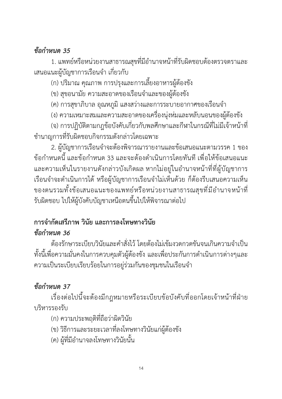#### *ข้อกำหนด 35*

1. แพทย์หรือหน่วยงานสาธารณสุขที่มีอำนาจหน้าที่รับผิดชอบต้องตรวจตราและ เสนอแนะผู้บัญชาการเรือนจำ เกี่ยวกับ

(ก) ปริมาณ คุณภาพ การปรุงและการเลี้ยงอาหารผู้ต้องขัง

(ข) สุขอนามัย ความสะอาดของเรือนจำและของผู้ต้องขัง

(ค) การสุขาภิบาล อุณหภูมิ แสงสว่างและการระบายอากาศของเรือนจำ

(ง) ความเหมาะสมและความสะอาดของเครื่องนุ่งห่มและหลับนอนของผู้ต้องขัง

(จ) การปฏิบัติตามกฎข้อบังคับเกี่ยวกับพลศึกษาและกีฬาในกรณีที่ไม่มีเจ้าหน้าที่ ชำนาญการที่รับผิดชอบกิจกรรมดังกล่าวโดยเฉพาะ

2. ผู้บัญชาการเรือนจำจะต้องพิจารณารายงานและข้อเสนอแนะตามวรรค 1 ของ ข้อกำหนดนี้และข้อกำหนด 33 และจะต้องดำเนินการโดยทันที เพื่อให้ข้อเสนอแนะ และความเห็นในรายงานดังกล่าวบังเกิดผล หากไม่อยู่ในอำนาจหน้าที่ที่ผู้บัญชาการ เรือนจำจะดำเนินการได้ หรือผู้บัญชาการเรือนจำไม่เห็นด้วย ก็ต้องรีบเสนอความเห็น ของตนรวมทั้งข้อเสนอแนะของแพทย์หรือหน่วยงานสาธารณสุขที่มีอำนาจหน้าที่ รับผิดชอบ ไปให้ผู้บังคับบัญชาเหนือตนขึ้นไปให้พิจารณาต่อไป

#### **การจำกัดเสรีภาพ วินัย และการลงโทษทางวินัย** *ข้อกำหนด 36*

ต้องรักษาระเบียบวินัยและคำสั่งไว้โดยต้องไม่เข้มงวดกวดขันจนเกินความจำเป็น ทั้งนี้เพื่อความมั่นคงในการควบคุมตัวผู้ต้องขัง และเพื่อประกันการดำเนินการต่างๆและ ความเป็นระเบียบเรียบร้อยในการอยู่ร่วมกันของชุมชนในเรือนจำ

### *ข้อกำหนด 37*

เรื่องต่อไปนี้จะต้องมีกฎหมายหรือระเบียบข้อบังคับที่ออกโดยเจ้าหน้าที่ฝ่าย บริหารรองรับ

(ก) ความประพฤติที่ถือว่าผิดวินัย

(ข) วิธีการและระยะเวลาที่ลงโทษทางวินัยแก่ผู้ต้องขัง

(ค) ผู้ที่มีอำนาจลงโทษทางวินัยนั้น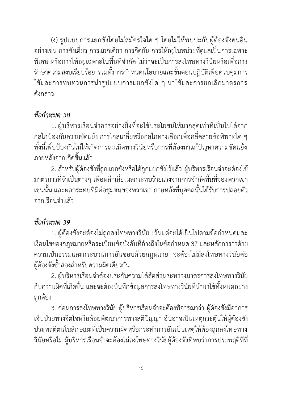(ง) รูปแบบการแยกขังโดยไม่สมัครใจใด ๆ โดยไม่ให้พบปะกับผู้ต้องขังคนอื่น อย่างเช่น การขังเดี่ยว การแยกเดี่ยว การกีดกัน การให้อยู่ในหน่วยที่ดูแลเป็นการเฉพาะ พิเศษ หรือการให้อยู่เฉพาะในพื้นที่จำกัด ไม่ว่าจะเป็นการลงโทษทางวินัยหรือเพื่อการ รักษาความสงบเรียบร้อย รวมทั้งการกำหนดนโยบายและขั้นตอนปฏิบัติเพื่อควบคุมการ ใช้และการทบทวนการนำรูปแบบการแยกขังใด ๆ มาใช้และการยกเลิกมาตรการ ดังกล่าว

#### *ข้อกำหนด 38*

1. ผู้บริหารเรือนจำควรอย่างยิ่งที่จะใช้ประโยชน์ให้มากสุดเท่าที่เป็นไปได้จาก กลไกป้องกันความขัดแย้ง การไกล่เกลี่ยหรือกลไกทางเลือกเพื่อคลี่คลายข้อพิพาทใด ๆ ทั้งนี้เพื่อป้องกันไม่ให้เกิดการละเมิดทางวินัยหรือการที่ต้องมาแก้ปัญหาความขัดแย้ง ภายหลังจากเกิดขึ้นแล้ว

2. สำหรับผู้ต้องขังที่ถูกแยกขังหรือได้ถูกแยกขังไว้แล้ว ผู้บริหารเรือนจำจะต้องใช้ มาตรการที่จำเป็นต่างๆ เพื่อหลีกเลี่ยงผลกระทบร้ายแรงจากการจำกัดพื้นที่ของพวกเขา เช่นนั้น และผลกระทบที่มีต่อชุมชนของพวกเขา ภายหลังที่บุคคลนั้นได้รับการปล่อยตัว จากเรือนจำแล้ว

# *ข้อกำหนด 39*

1. ผู้ต้องขังจะต้องไม่ถูกลงโทษทางวินัย เว้นแต่จะได้เป็นไปตามข้อกำหนดและ เงื่อนไขของกฎหมายหรือระเบียบข้อบังคับที่อ้างถึงในข้อกำหนด37 และหลักการว่าด้วย ความเป็นธรรมและกระบวนการอันชอบด้วยกฎหมาย จะต้องไม่มีลงโทษทางวินัยต่อ ผู้ต้องขังซ้ำสองสำหรับความผิดเดียวกัน

2. ผู้บริหารเรือนจำต้องประกันความได้สัดส่วนระหว่างมาตรการลงโทษทางวินัย กับความผิดที่เกิดขึ้น และจะต้องบันทึกข้อมูลการลงโทษทางวินัยที่นำมาใช้ทั้งหมดอย่าง ถูกต้อง

3. ก่อนการลงโทษทางวินัย ผู้บริหารเรือนจำจะต้องพิจารณาว่า ผู้ต้องขังมีอาการ เจ็บป่วยทางจิตใจหรือด้อยพัฒนาการทางสติปัญญา อันอาจเป็นเหตุกระตุ้นให้ผู้ต้องขัง ประพฤติตนในลักษณะที่เป็นความผิดหรือกระทำการอันเป็นเหตุให้ต้องถูกลงโทษทาง วินัยหรือไม่ ผู้บริหารเรือนจำจะต้องไม่ลงโทษทางวินัยผู้ต้องขังที่พบว่าการประพฤติทีที่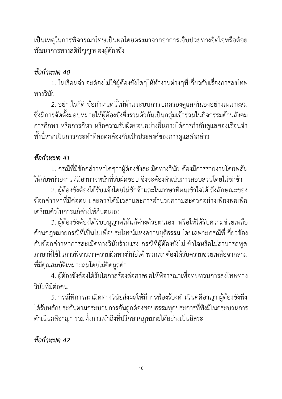เป็นเหตุในการพิจารณาโทษเป็นผลโดยตรงมาจากอาการเจ็บป่วยทางจิตใจหรือด้อย พัฒนาการทางสติปัญญาของผู้ต้องขัง

### *ข้อกำหนด 40*

1. ในเรือนจำ จะต้องไม่ใช้ผู้ต้องขังใดๆให้ทำงานต่างๆที่เกี่ยวกับเรื่องการลงโทษ ทางวินัย

2. อย่างไรก็ดี ข้อกำหนดนี้ไม่ห้ามระบบการปกครองดูแลกันเองอย่างเหมาะสม ซึ่งมีการจัดตั้งมอบหมายให้ผู้ต้องขังซึ่งรวมตัวกันเป็นกลุ่มเข้าร่วมในกิจกรรมด้านสังคม การศึกษา หรือการกีฬา หรือความรับผิดชอบอย่างอื่นภายใต้การกำกับดูแลของเรือนจำ ทั้งนี้หากเป็นการกระทำที่สอดคล้องกับเป้าประสงค์ของการดูแลดังกล่าว

## *ข้อกำหนด 41*

1. กรณีที่มีข้อกล่าวหาใดๆว่าผู้ต้องขังละเมิดทางวินัย ต้องมีการรายงานโดยพลัน ให้กับหน่วยงานที่มีอำนาจหน้าที่รับผิดชอบ ซึ่งจะต้องดำเนินการสอบสวนโดยไม่ชักช้า

2. ผู้ต้องขังต้องได้รับแจ้งโดยไม่ชักช้าและในภาษาที่ตนเข้าใจได้ ถึงลักษณะของ ข้อกล่าวหาที่มีต่อตน และควรได้มีเวลาและการอำนวยความสะดวกอย่างเพียงพอเพื่อ เตรียมตัวในการแก้ต่างให้กับตนเอง

3. ผู้ต้องขังต้องได้รับอนุญาตให้แก้ต่างด้วยตนเอง หรือให้ได้รับความช่วยเหลือ ด้านกฎหมายกรณีที่เป็นไปเพื่อประโยชน์แห่งความยุติธรรม โดยเฉพาะกรณีที่เกี่ยวข้อง กับข้อกล่าวหาการละเมิดทางวินัยร้ายแรง กรณีที่ผู้ต้องขังไม่เข้าใจหรือไม่สามารถพูด ภาษาที่ใช้ในการพิจารณาความผิดทางวินัยได้ พวกเขาต้องได้รับความช่วยเหลือจากล่าม ที่มีคุณสมบัติเหมาะสมโดยไม่คิดมูลค่า

4. ผู้ต้องขังต้องได้รับโอกาสร้องต่อศาลขอให้พิจารณาเพื่อทบทวนการลงโทษทาง วินัยที่มีต่อตน

5. กรณีที่การละเมิดทางวินัยส่งผลให้มีการฟ้องร้องดำเนินคดีอาญา ผู้ต้องขังพึง ได้รับหลักประกันตามกระบวนการอันถูกต้องชอบธรรมทุกประการที่พึงมีในกระบวนการ ดำเนินคดีอาญา รวมทั้งการเข้าถึงที่ปรึกษากฎหมายได้อย่างเป็นอิสระ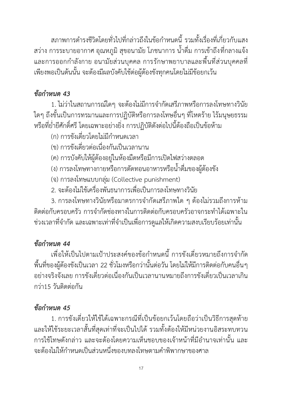สภาพการดำรงชีวิตโดยทั่วไปที่กล่าวถึงในข้อกำหนดนี้ รวมทั้งเรื่องที่เกี่ยวกับแสง สว่าง การระบายอากาศ อุณหภูมิ สุขอนามัย โภชนาการ น้ำดื่ม การเข้าถึงที่กลางแจ้ง และการออกกำลังกาย อนามัยส่วนบุคคล การรักษาพยาบาลและพื้นที่ส่วนบุคคลที่ เพียงพอเป็นต้นนั้น จะต้องมีผลบังคับใช้ต่อผู้ต้องขังทุกคนโดยไม่มีข้อยกเว้น

### *ข้อกำหนด 43*

1. ไม่ว่าในสถานการณ์ใดๆ จะต้องไม่มีการจำกัดเสรีภาพหรือการลงโทษทางวินัย ใดๆ ถึงขั้นเป็นการทรมานและการปฏิบัติหรือการลงโทษอื่นๆ ที่โหดร้าย ไร้มนุษยธรรม หรือที่ย่ำยีศักดิ์ศรีโดยเฉพาะอย่างยิ่ง การปฏิบัติดังต่อไปนี้ต้องถือเป็นข้อห้าม

- (ก) การขังเดี่ยวโดยไม่มีกำหนดเวลา
- (ข) การขังเดี่ยวต่อเนื่องกันเป็นเวลานาน
- (ค) การบังคับให้ผู้ต้องอยู่ในห้องมืดหรือมีการเปิดไฟสว่างตลอด
- (ง) การลงโทษทางกายหรือการตัดทอนอาหารหรือน้ำดื่มของผู้ต้องขัง
- (จ) การลงโทษแบบกลุ่ม (Collective punishment)
- 2. จะต้องไม่ใช้เครื่องพันธนาการเพื่อเป็นการลงโทษทางวินัย

3. การลงโทษทางวินัยหรือมาตรการจำกัดเสรีภาพใด ๆ ต้องไม่รวมถึงการห้าม ติดต่อกับครอบครัว การจำกัดช่องทางในการติดต่อกับครอบครัวอาจกระทำได้เฉพาะใน ช่วงเวลาที่จำกัด และเฉพาะเท่าที่จำเป็นเพื่อการดูแลให้เกิดความสงบเรียบร้อยเท่านั้น

#### *ข้อกำหนด 44*

เพื่อให้เป็นไปตามเป้าประสงค์ของข้อกำหนดนี้ การขังเดี่ยวหมายถึงการจำกัด พื้นที่ของผู้ต้องขังเป็นเวลา 22 ชั่วโมงหรือกว่านั้นต่อวัน โดยไม่ให้มีการติดต่อกับคนอื่นๆ อย่างจริงจังเลย การขังเดี่ยวต่อเนื่องกันเป็นเวลานานหมายถึงการขังเดี่ยวเป็นเวลาเกิน กว่า15 วันติดต่อกัน

### *ข้อกำหนด 45*

1. การขังเดี่ยวให้ใช้ได้เฉพาะกรณีที่เป็นข้อยกเว้นโดยถือว่าเป็นวิธีการสุดท้าย และให้ใช้ระยะเวลาสั้นที่สุดเท่าที่จะเป็นไปได้ รวมทั้งต้องให้มีหน่วยงานอิสระทบทวน การใช้โทษดังกล่าว และจะต้องโดยความเห็นชอบของเจ้าหน้าที่มีอำนาจเท่านั้น และ จะต้องไม่ให้กำหนดเป็นส่วนหนึ่งของบทลงโทษตามคำพิพากษาของศาล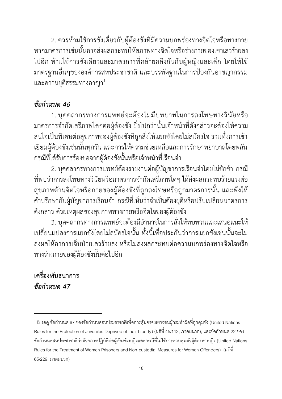2. ควรห้ามใช้การขังเดี่ยวกับผู้ต้องขังที่มีความบกพร่องทางจิตใจหรือทางกาย หากมาตรการเช่นนั้นอาจส่งผลกระทบให้สภาพทางจิตใจหรือร่างกายของเขาเลวร้ายลง ไปอีก ห้ามใช้การขังเดี่ยวและมาตรการที่คล้ายคลึงกันกับผู้หญิงและเด็ก โดยให้ใช้ มาตรฐานอื่นๆขององค์การสหประชาชาติและบรรทัดฐานในการป้องกันอาชญากรรม  $\mu$ ละความยุติธรรมทางอาญา $^1$ 

#### *ข้อกำหนด 46*

1. บุคคลากรทางการแพทย์จะต้องไม่มีบทบาทในการลงโทษทางวินัยหรือ มาตรการจำกัดเสรีภาพใดๆต่อผู้ต้องขัง ยิ่งไปกว่านั้นเจ้าหน้าที่ดังกล่าวจะต้องให้ความ สนใจเป็นพิเศษต่อสุขภาพของผู้ต้องขังที่ถูกสั่งให้แยกขังโดยไม่สมัครใจ รวมทั้งการเข้า เยี่ยมผู้ต้องขังเช่นนั้นทุกวัน และการให้ความช่วยเหลือและการรักษาพยาบาลโดยพลัน กรณีที่ได้รับการร้องขอจากผู้ต้องขังนั้นหรือเจ้าหน้าที่เรือนจำ

2. บุคคลากรทางการแพทย์ต้องรายงานต่อผู้บัญชาการเรือนจำโดยไม่ชักช้า กรณี ที่พบว่าการลงโทษทางวินัยหรือมาตรการจำกัดเสรีภาพใดๆ ได้ส่งผลกระทบร้ายแรงต่อ สุขภาพด้านจิตใจหรือกายของผู้ต้องขังที่ถูกลงโทษหรือถูกมาตรการนั้น และพึงให้ คำปรึกษากับผู้บัญชาการเรือนจำ กรณีที่เห็นว่าจำเป็นต้องยุติหรือปรับเปลี่ยนมาตรการ ดังกล่าว ด้วยเหตุผลของสุขภาพทางกายหรือจิตใจของผู้ต้องขัง

3. บุคคลากรทางการแพทย์จะต้องมีอำนาจในการสั่งให้ทบทวนและเสนอแนะให้ เปลี่ยนแปลงการแยกขังโดยไม่สมัครใจนั้น ทั้งนี้เพื่อประกันว่าการแยกขังเช่นนั้นจะไม่ ส่งผลให้อาการเจ็บป่วยเลวร้ายลง หรือไม่ส่งผลกระทบต่อความบกพร่องทางจิตใจหรือ ทางร่างกายของผู้ต้องขังนั้นต่อไปอีก

**เครื่องพันธนาการ**  *ข้อกำหนด 47*

<sup>&</sup>lt;sup>1</sup> โปรดดู ข้อกำหนด 67 ของข้อกำหนดสหประชาชาติเพื่อการคุ้มครองเยาวชนผู้กระทำผิดที่ถูกคุมขัง (United Nations Rules for the Protection of Juveniles Deprived of their Liberty) (มติที่ 45/113, ภาคผนวก); และข้อกำหนด 22 ของ ข้อกำหนดสหประชาชาติว่าด้วยการปฏิบัติต่อผู้ต้องขังหญิงและกรณีที่ไม่ใช้การควบคุมตัวผู้ต้องหาหญิง (United Nations Rules for the Treatment of Women Prisoners and Non-custodial Measures for Women Offenders) (มติที่ 65/229, ภำคผนวก)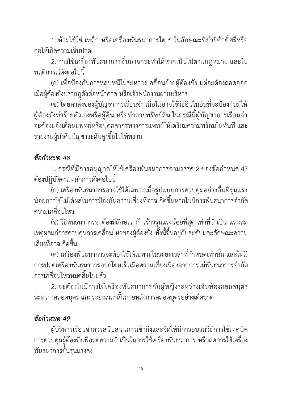1. ห้ามใช้โซ่ เหล็ก หรือเครื่องพันธนาการใด ๆ ในลักษณะที่ย่ำยีศักดิ์ศรีหรือ ก่อให้เกิดความเจ็บปวด

2. การใช้เครื่องพันธนาการอื่นอาจกระทำได้หากเป็นไปตามกฎหมาย และใน พฤติการณ์ดังต่อไปนี้

(ก) เพื่อป้องกันการหลบหนีในระหว่างเคลื่อนย้ายผู้ต้องขัง แต่จะต้องถอดออก เมื่อผู้ต้องขังปรากฎตัวต่อหน้าศาล หรือเจ้าพนักงานฝ่ายบริหาร

(ข) โดยคำสั่งของผู้บัญชาการเรือนจำ เมื่อไม่อาจใช้วิธีอื่นในอันที่จะป้องกันมิให้ ผู้ต้องขังทำร้ายตัวเองหรือผู้อื่น หรือทำลายทรัพย์สิน ในกรณีนี้ผู้บัญชาการเรือนจำ จะต้องแจ้งเตือนแพทย์หรือบุคคลากรทางการแพทย์ให้เตรียมความพร้อมในทันที และ รายงานผู้บังคับบัญชาระดับสูงขึ้นไปให้ทราบ

### *ข้อกำหนด 48*

1. กรณีที่มีการอนุญาตให้ใช้เครื่องพันธนาการตามวรรค 2 ของข้อกำหนด 47 ต้องปฏิบัติตามหลักการดังต่อไปนี้

(ก) เครื่องพันธนาการอาจใช้ได้เฉพาะเมื่อรูปแบบการควบคุมอย่างอื่นที่รุนแรง น้อยกว่าใช้ไม่ได้ผลในการป้องกันความเสี่ยงที่อาจเกิดขึ้นหากไม่มีการพันธนาการจำกัด ความเคลื่อนไหว

(ข) วิธีพันธนาการจะต้องมีลักษณะก้าวร้าวรุนแรงน้อยที่สุด เท่าที่จำเป็น และสม เหตุผลแก่การควบคุมการเคลื่อนไหวของผู้ต้องขัง ทั้งนี้ขึ้นอยู่กับระดับและลักษณะความ เสี่ยงที่อาจเกิดขึ้น

(ค) เครื่องพันธนาการจะต้องใช้ได้เฉพาะในระยะเวลาที่กำหนดเท่านั้น และให้มี การปลดเครื่องพันธนาการออกโดยเร็วเมื่อความเสี่ยงเนื่องจากการไม่พันธนาการจำกัด การเคลื่อนไหวหมดสิ้นไปแล้ว

2. จะต้องไม่มีการใช้เครื่องพันธนาการกับผู้หญิงระหว่างเจ็บท้องคลอดบุตร ระหว่างคลอดบุตร และระยะเวลาสั้นภายหลังการคลอดบุตรอย่างเด็ดขาด

### *ข้อกำหนด 49*

ผู้บริหารเรือนจำควรสนับสนุนการเข้าถึงและจัดให้มีการอบรมวิธีการใช้เทคนิค การควบคุมผู้ต้องขังเพื่อลดความจำเป็นในการใช้เครื่องพันธนาการ หรือลดการใช้เครื่อง พันธนาการขั้นรุนแรงลง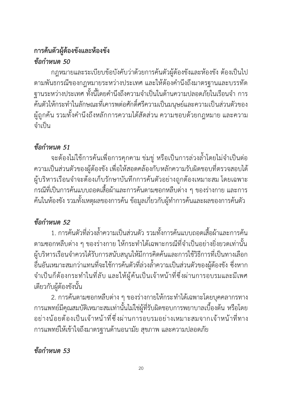### **การค้นตัวผู้ต้องขังและห้องขัง** *ข้อกำหนด 50*

กฎหมายและระเบียบข้อบังคับว่าด้วยการค้นตัวผู้ต้องขังและห้องขัง ต้องเป็นไป ตามพันธกรณีของกฎหมายระหว่างประเทศ และให้ต้องคำนึงถึงมาตรฐานและบรรทัด ฐานระหว่างประเทศ ทั้งนี้โดยคำนึงถึงความจำเป็นในด้านความปลอดภัยในเรือนจำ การ ค้นตัวให้กระทำในลักษณะที่เคารพต่อศักดิ์ศรีความเป็นมนุษย์และความเป็นส่วนตัวของ ผู้ถูกค้น รวมทั้งคำนึงถึงหลักการความได้สัดส่วน ความชอบด้วยกฎหมาย และความ จำเป็น

### *ข้อกำหนด 51*

จะต้องไม่ใช้การค้นเพื่อการคุกคาม ข่มขู่ หรือเป็นการล่วงล้ำโดยไม่จำเป็นต่อ ความเป็นส่วนตัวของผู้ต้องขัง เพื่อให้สอดคล้องกับหลักความรับผิดชอบที่ตรวจสอบได้ ผู้บริหารเรือนจำจะต้องเก็บรักษาบันทึกการค้นตัวอย่างถูกต้องเหมาะสม โดยเฉพาะ กรณีที่เป็นการค้นแบบถอดเสื้อผ้าและการค้นตามซอกหลืบต่าง ๆ ของร่างกาย และการ ค้นในห้องขัง รวมทั้งเหตุผลของการค้น ข้อมูลเกี่ยวกับผู้ทำการค้นและผลของการค้นตัว

### *ข้อกำหนด 52*

1. การค้นตัวที่ล่วงล้ำความเป็นส่วนตัว รวมทั้งการค้นแบบถอดเสื้อผ้าและการค้น ตามซอกหลืบต่าง ๆ ของร่างกาย ให้กระทำได้เฉพาะกรณีที่จำเป็นอย่างยิ่งยวดเท่านั้น ผู้บริหารเรือนจำควรได้รับการสนับสนุนให้มีการคิดค้นและการใช้วิธีการที่เป็นทางเลือก อื่นอันเหมาะสมกว่าแทนที่จะใช้การค้นตัวที่ล่วงล้ำความเป็นส่วนตัวของผู้ต้องขัง ซึ่งหาก จำเป็นก็ต้องกระทำในที่ลับ และให้ผู้ค้นเป็นเจ้าหน้าที่ซึ่งผ่านการอบรมและมีเพศ เดียวกับผู้ต้องขังนั้น

2. การค้นตามซอกหลืบต่าง ๆ ของร่างกายให้กระทำได้เฉพาะโดยบุคคลากรทาง การแพทย์มีคุณสมบัติเหมาะสมเท่านั้นไม่ใช่ผู้ที่รับผิดชอบการพยาบาลเบื้องต้น หรือโดย อย่างน้อยต้องเป็นเจ้าหน้าที่ซึ่งผ่านการอบรมอย่างเหมาะสมจากเจ้าหน้าที่ทาง การแพทย์ให้เข้าใจถึงมาตรฐานด้านอนามัย สุขภาพ และความปลอดภัย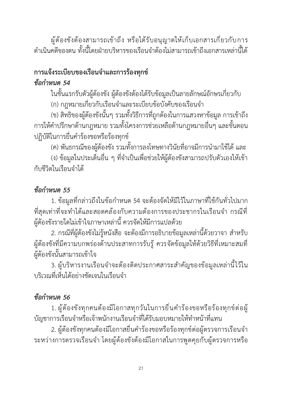ผู้ต้องขังต้องสามารถเข้าถึง หรือได้รับอนุญาตให้เก็บเอกสารเกี่ยวกับการ ดำเนินคดีของตน ทั้งนี้โดยฝ่ายบริหารของเรือนจำต้องไม่สามารถเข้าถึงเอกสารเหล่านี้ได้

## **การแจ้งระเบียบของเรือนจำและการร้องทุกข์**

### *ข้อกำหนด 54*

ในชั้นแรกรับตัวผู้ต้องขัง ผู้ต้องขังต้องได้รับข้อมูลเป็นลายลักษณ์อักษรเกี่ยวกับ

(ก) กฎหมายเกี่ยวกับเรือนจำและระเบียบข้อบังคับของเรือนจำ

(ข) สิทธิของผู้ต้องขังนั้นๆ รวมทั้งวิธีการที่ถูกต้องในการแสวงหาข้อมูล การเข้าถึง การให้คำปรึกษาด้านกฎหมาย รวมทั้งโครงการช่วยเหลือด้านกฎหมายอื่นๆ และขั้นตอน ปฏิบัติในการยื่นคำร้องขอหรือร้องทุกข์

(ค) พันธกรณีของผู้ต้องขัง รวมทั้งการลงโทษทางวินัยที่อาจมีการนำมาใช้ได้ และ

(ง) ข้อมูลในประเด็นอื่น ๆ ที่จำเป็นเพื่อช่วยให้ผู้ต้องขังสามารถปรับตัวเองให้เข้า กับชีวิตในเรือนจำได้

### *ข้อกำหนด 55*

1. ข้อมูลที่กล่าวถึงในข้อกำหนด 54 จะต้องจัดให้มีไว้ในภาษาที่ใช้กันทั่วไปมาก ที่สุดเท่าที่จะทำได้และสอดคล้องกับความต้องการของประชากรในเรือนจำ กรณีที่ ผู้ต้องขังรายใดไม่เข้าใจภาษาเหล่านี้ ควรจัดให้มีการแปลด้วย

2. กรณีที่ผู้ต้องขังไม่รู้หนังสือ จะต้องมีการอธิบายข้อมูลเหล่านี้ด้วยวาจา สำหรับ ผู้ต้องขังที่มีความบกพร่องด้านประสาทการรับรู้ ควรจัดข้อมูลให้ด้วยวิธีที่เหมาะสมที่ ผู้ต้องขังนั้นสามารถเข้าใจ

3. ผู้บริหารงานเรือนจำจะต้องติดประกาศสาระสำคัญของข้อมูลเหล่านี้ไว้ใน บริเวณที่เห็นได้อย่างชัดเจนในเรือนจำ

## *ข้อกำหนด 56*

1. ผู้ต้องขังทุกคนต้องมีโอกาสทุกวันในการยื่นคำร้องขอหรือร้องทุกข์ต่อผู้ บัญชาการเรือนจำหรือเจ้าพนักงานเรือนจำที่ได้รับมอบหมายให้ทำหน้าที่แทน

2. ผู้ต้องขังทุกคนต้องมีโอกาสยื่นคำร้องขอหรือร้องทุกข์ต่อผู้ตรวจการเรือนจำ ระหว่างการตรวจเรือนจำ โดยผู้ต้องขังต้องมีโอกาสในการพูดคุยกับผู้ตรวจการหรือ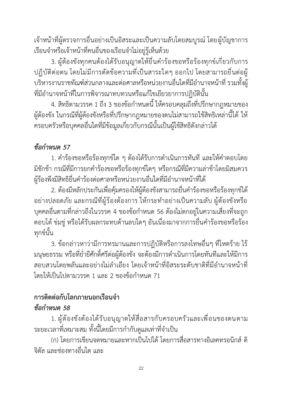เจ้าหน้าที่ผู้ตรวจการอื่นอย่างเป็นอิสระและเป็นความลับโดยสมบูรณ์ โดยผู้บัญชาการ เรือนจำหรือเจ้าหน้าที่คนอื่นของเรือนจำไม่อยู่รู้เห็นด้วย

3. ผู้ต้องขังทุกคนต้องได้รับอนุญาตให้ยื่นคำร้องขอหรือร้องทุกข์เกี่ยวกับการ ปฏิบัติต่อตน โดยไม่มีการตัดข้อความที่เป็นสาระใดๆ ออกไป โดยสามารถยื่นต่อผู้ บริหารงานราชทัณฑ์ส่วนกลางและต่อศาลหรือหน่วยงานอื่นใดที่มีอำนาจหน้าที่รวมทั้งผู้ ที่มีอำนาจหน้าที่ในการพิจารณาทบทวนหรือแก้ไขเยียวยาการปฏิบัตินั้น

4. สิทธิตามวรรค 1 ถึง 3 ของข้อกำหนดนี้ให้ครอบคลุมถึงที่ปรึกษากฎหมายของ ผู้ต้องขัง ในกรณีที่ผู้ต้องขังหรือที่ปรึกษากฎหมายของตนไม่สามารถใช้สิทธิเหล่านี้ได้ ให้ ครอบครัวหรือบุคคลอื่นใดที่มีข้อมูลเกี่ยวกับกรณีนั้นเป็นผู้ใช้สิทธิดังกล่าวได้

### *ข้อกำหนด 57*

1. คำร้องขอหรือร้องทุกข์ใด ๆ ต้องได้รับการดำเนินการทันที และให้คำตอบโดย มิชักช้า กรณีที่มีการยกคำร้องขอหรือร้องทุกข์ใดๆ หรือกรณีที่มีความล่าช้าโดยมิสมควร ผู้ร้องพึงมีสิทธิยื่นคำร้องต่อศาลหรือหน่วยงานอื่นใดที่มีอำนาจหน้าที่ได้

2. ต้องมีหลักประกันเพื่อคุ้มครองให้ผู้ต้องขังสามารถยื่นคำร้องขอหรือร้องทุกข์ได้ อย่างปลอดภัย และกรณีที่ผู้ร้องต้องการ ให้กระทำอย่างเป็นความลับ ผู้ต้องขังหรือ บุคคลอื่นตามที่กล่าวถึงในวรรค 4 ของข้อกำหนด 56 ต้องไม่ตกอยู่ในความเสี่ยงที่จะถูก ตอบโต้ ข่มขู่ หรือได้รับผลกระทบด้านลบใดๆ อันเนื่องมาจากการยื่นคำร้องขอหรือร้อง ทุกข์นั้น

3. ข้อกล่าวหาว่ามีการทรมานและการปฏิบัติหรือการลงโทษอื่นๆ ที่โหดร้าย ไร้ มนุษยธรรม หรือที่ย่ำยีศักดิ์ศรีต่อผู้ต้องขัง จะต้องมีการดำเนินการโดยทันทีและให้มีการ สอบสวนโดยพลันและอย่างไม่ลำเอียง โดยเจ้าหน้าที่อิสระระดับชาติที่มีอำนาจหน้าที่ โดยให้เป็นไปตามวรรค 1 และ 2 ของข้อกำหนด 71

#### **การติดต่อกับโลกภายนอกเรือนจำ** *ข้อกำหนด 58*

1. ผู้ต้องขังต้องได้รับอนุญาตให้สื่อสารกับครอบครัวและเพื่อนของตนตาม ระยะเวลาที่เหมาะสม ทั้งนี้โดยมีการกำกับดูแลเท่าที่จำเป็น

(ก) โดยการเขียนจดหมายและหากเป็นไปได้ โดยการสื่อสารทางอิเลคทรอนิกส์ ดิ จิตัล และช่องทางอื่นใด และ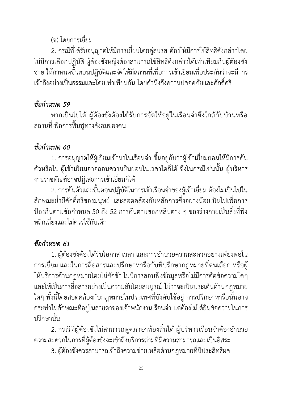### (ข) โดยการเยี่ยม

2. กรณีที่ได้รับอนุญาตให้มีการเยี่ยมโดยคู่สมรส ต้องให้มีการใช้สิทธิดังกล่าวโดย ไม่มีการเลือกปฏิบัติ ผู้ต้องขังหญิงต้องสามารถใช้สิทธิดังกล่าวได้เท่าเทียมกับผู้ต้องขัง ชาย ให้กำหนดขั้นตอนปฏิบัติและจัดให้มีสถานที่เพื่อการเข้าเยี่ยมเพื่อประกันว่าจะมีการ เข้าถึงอย่างเป็นธรรมและโดยเท่าเทียมกัน โดยคำนึงถึงความปลอดภัยและศักดิ์ศรี

### *ข้อกำหนด 59*

หากเป็นไปได้ ผู้ต้องขังต้องได้รับการจัดให้อยู่ในเรือนจำซึ่งใกล้กับบ้านหรือ สถานที่เพื่อการฟื้นฟูทางสังคมของตน

### *ข้อกำหนด 60*

1. การอนุญาตให้ผู้เยี่ยมเข้ามาในเรือนจำ ขึ้นอยู่กับว่าผู้เข้าเยี่ยมยอมให้มีการค้น ตัวหรือไม่ ผู้เข้าเยี่ยมอาจถอนความยินยอมในเวลาใดก็ได้ ซึ่งในกรณีเช่นนั้น ผู้บริหาร งานราชทัณฑ์อาจปฏิเสธการเข้าเยี่ยมก็ได้

2. การค้นตัวและขั้นตอนปฏิบัติในการเข้าเรือนจำของผู้เข้าเยี่ยม ต้องไม่เป็นไปใน ลักษณะย่ำยีศักดิ์ศรีของมนุษย์ และสอดคล้องกับหลักการซึ่งอย่างน้อยเป็นไปเพื่อการ ป้องกันตามข้อกำหนด 50 ถึง 52 การค้นตามซอกหลืบต่าง ๆ ของร่างกายเป็นสิ่งที่พึง หลีกเลี่ยงและไม่ควรใช้กับเด็ก

### *ข้อกำหนด 61*

1. ผู้ต้องขังต้องได้รับโอกาส เวลา และการอำนวยความสะดวกอย่างเพียงพอใน การเยี่ยม และในการสื่อสารและปรึกษาหารือกับที่ปรึกษากฎหมายที่ตนเลือก หรือผู้ ให้บริการด้านกฎหมายโดยไม่ชักช้า ไม่มีการลอบฟังข้อมูลหรือไม่มีการตัดข้อความใดๆ และให้เป็นการสื่อสารอย่างเป็นความลับโดยสมบูรณ์ ไม่ว่าจะเป็นประเด็นด้านกฎหมาย ใดๆ ทั้งนี้โดยสอดคล้องกับกฎหมายในประเทศที่บังคับใช้อยู่ การปรึกษาหารือนั้นอาจ กระทำในลักษณะที่อยู่ในสายตาของเจ้าพนักงานเรือนจำ แต่ต้องไม่ได้ยินข้อความในการ ปรึกษานั้น

2. กรณีที่ผู้ต้องขังไม่สามารถพูดภาษาท้องถิ่นได้ ผู้บริหารเรือนจำต้องอำนวย ความสะดวกในการที่ผู้ต้องขังจะเข้าถึงบริการล่ามที่มีความสามารถและเป็นอิสระ

3. ผู้ต้องขังควรสามารถเข้าถึงความช่วยเหลือด้านกฎหมายที่มีประสิทธิผล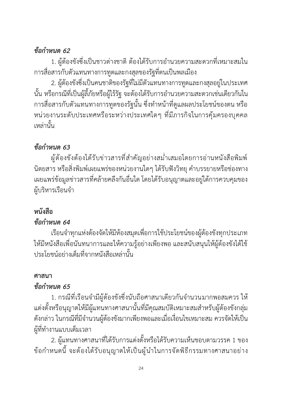### *ข้อกำหนด 62*

1. ผู้ต้องขังซึ่งเป็นชาวต่างชาติ ต้องได้รับการอำนวยความสะดวกที่เหมาะสมใน การสื่อสารกับตัวแทนทางการทูตและกงสุลของรัฐที่ตนเป็นพลเมือง

2. ผู้ต้องขังซึ่งเป็นคนชาติของรัฐที่ไม่มีตัวแทนทางการทูตและกงสุลอยู่ในประเทศ นั้น หรือกรณีที่เป็นผู้ลี้ภัยหรือผู้ไร้รัฐ จะต้องได้รับการอำนวยความสะดวกเช่นเดียวกันใน การสื่อสารกับตัวแทนทางการทูตของรัฐนั้น ซึ่งทำหน้าที่ดูแลผลประโยชน์ของตน หรือ หน่วยงานระดับประเทศหรือระหว่างประเทศใดๆ ที่มีภารกิจในการคุ้มครองบุคคล เหล่านั้น

# *ข้อกำหนด 63*

ผู้ต้องขังต้องได้รับข่าวสารที่สำคัญอย่างสม่ำเสมอโดยการอ่านหนังสือพิมพ์ นิตยสาร หรือสิ่งพิมพ์เผยแพร่ของหน่วยงานใดๆ ได้รับฟังวิทยุ คำบรรยายหรือช่องทาง เผยแพร่ข้อมูลข่าวสารที่คล้ายคลึงกันอื่นใด โดยได้รับอนุญาตและอยู่ใต้การควบคุมของ ผู้บริหารเรือนจำ

# **หนังสือ**

### *ข้อกำหนด 64*

เรือนจำทุกแห่งต้องจัดให้มีห้องสมุดเพื่อการใช้ประโยชน์ของผู้ต้องขังทุกประเภท ให้มีหนังสือเพื่อนันทนาการและให้ความรู้อย่างเพียงพอ และสนับสนุนให้ผู้ต้องขังได้ใช้ ประโยชน์อย่างเต็มที่จากหนังสือเหล่านั้น

### **ศาสนา**

### *ข้อกำหนด 65*

1. กรณีที่เรือนจำมีผู้ต้องขังซึ่งนับถือศาสนาเดียวกันจำนวนมากพอสมควร ให้ แต่งตั้งหรือนุญาตให้มีผู้แทนทางศาสนานั้นที่มีคุณสมบัติเหมาะสมสำหรับผู้ต้องขังกลุ่ม ดังกล่าว ในกรณีที่มีจำนวนผู้ต้องขังมากเพียงพอและเมื่อเงื่อนไขเหมาะสม ควรจัดให้เป็น ผู้ที่ทำงานแบบเต็มเวลา

2. ผู้แทนทางศาสนาที่ได้รับการแต่งตั้งหรือได้รับความเห็นชอบตามวรรค 1 ของ ข้อกำหนดนี้จะต้องได้รับอนุญาตให้เป็นผู้นำในการจัดพิธีกรรมทางศาสนาอย่าง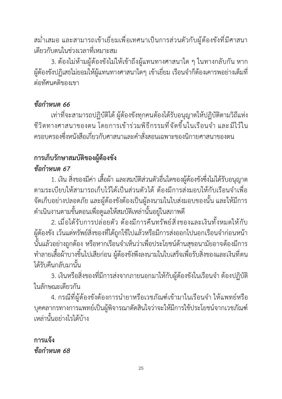สม่ำเสมอ และสามารถเข้าเยี่ยมเพื่อเทศนาเป็นการส่วนตัวกับผู้ต้องขังที่มีศาสนา เดียวกับตนในช่วงเวลาที่เหมาะสม

3. ต้องไม่ห้ามผู้ต้องขังไม่ให้เข้าถึงผู้แทนทางศาสนาใด ๆ ในทางกลับกัน หาก ผู้ต้องขังปฏิเสธไม่ยอมให้ผู้แทนทางศาสนาใดๆ เข้าเยี่ยม เรือนจำก็ต้องเคารพอย่างเต็มที่ ต่อทัศนคติของเขา

### *ข้อกำหนด 66*

เท่าที่จะสามารถปฏิบัติได้ ผู้ต้องขังทุกคนต้องได้รับอนุญาตให้ปฏิบัติตามวิถีแห่ง ชีวิตทางศาสนาของตน โดยการเข้าร่วมพิธีกรรมที่จัดขึ้นในเรือนจำ และ มีไว้ใน ครอบครองซึ่งหนังสือเกี่ยวกับศาสนาและคำสั่งสอนเฉพาะของนิกายศาสนาของตน

### **การเก็บรักษาสมบัติของผู้ต้องขัง** *ข้อกำหนด 67*

1. เงิน สิ่งของมีค่า เสื้อผ้า และสมบัติส่วนตัวอื่นใดของผู้ต้องขังซึ่งไม่ได้รับอนุญาต ตามระเบียบให้สามารถเก็บไว้ได้เป็นส่วนตัวได้ต้องมีการส่งมอบให้กับเรือนจำเพื่อ จัดเก็บอย่างปลอดภัย และผู้ต้องขังต้องเป็นผู้ลงนามในใบส่งมอบของนั้น และให้มีการ ดำเนินงานตามขั้นตอนเพื่อดูแลให้สมบัติเหล่านั้นอยู่ในสภาพดี

2. เมื่อได้รับการปล่อยตัว ต้องมีการคืนทรัพย์สิ่งของและเงินทั้งหมดให้กับ ผู้ต้องขัง เว้นแต่ทรัพย์สิ่งของที่ได้ถูกใช้ไปแล้วหรือมีการส่งออกไปนอกเรือนจำก่อนหน้า นั้นแล้วอย่างถูกต้อง หรือหากเรือนจำเห็นว่าเพื่อประโยชน์ด้านสุขอนามัยอาจต้องมีการ ทำลายเสื้อผ้าบางชิ้นไปเสียก่อน ผู้ต้องขังพึงลงนามในใบเสร็จเพื่อรับสิ่งของและเงินที่ตน ได้รับคืนกลับมานั้น

3. เงินหรือสิ่งของที่มีการส่งจากภายนอกมาให้กับผู้ต้องขังในเรือนจำ ต้องปฏิบัติ ในลักษณะเดียวกัน

4. กรณีที่ผู้ต้องขังต้องการนำยาหรือเวชภัณฑ์เข้ามาในเรือนจำ ให้แพทย์หรือ บุคคลากรทางการแพทย์เป็นผู้พิจารณาตัดสินใจว่าจะให้มีการใช้ประโยชน์จากเวชภัณฑ์ เหล่านั้นอย่างไรได้บ้าง

**การแจ้ง** *ข้อกำหนด 68*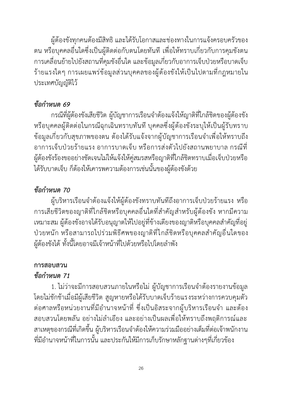ผู้ต้องขังทุกคนต้องมีสิทธิและได้รับโอกาสและช่องทางในการแจ้งครอบครัวของ ตน หรือบุคคลอื่นใดซึ่งเป็นผู้ติดต่อกับตนโดยทันทีเพื่อให้ทราบเกี่ยวกับการคุมขังตน การเคลื่อนย้ายไปยังสถานที่คุมขังอื่นใด และข้อมูลเกี่ยวกับอาการเจ็บป่วยหรือบาดเจ็บ ร้ายแรงใดๆ การเผยแพร่ข้อมูลส่วนบุคคลของผู้ต้องขังให้เป็นไปตามที่กฎหมายใน ประเทศบัญญัติไว้

#### *ข้อกำหนด 69*

กรณีที่ผู้ต้องขังเสียชีวิต ผู้บัญชาการเรือนจำต้องแจ้งให้ญาติที่ใกล้ชิดของผู้ต้องขัง หรือบุคคลผู้ติดต่อในกรณีฉุกเฉินทราบทันที บุคคลซึ่งผู้ต้องขังระบุให้เป็นผู้รับทราบ ข้อมูลเกี่ยวกับสุขภาพของตน ต้องได้รับแจ้งจากผู้บัญชาการเรือนจำเพื่อให้ทราบถึง อาการเจ็บป่วยร้ายแรง อาการบาดเจ็บ หรือการส่งตัวไปยังสถานพยาบาล กรณีที่ ผู้ต้องขังร้องขออย่างชัดเจนไม่ให้แจ้งให้คู่สมรสหรือญาติที่ใกล้ชิดทราบเมื่อเจ็บป่วยหรือ ได้รับบาดเจ็บ ก็ต้องให้เคารพความต้องการเช่นนั้นของผู้ต้องขังด้วย

#### *ข้อกำหนด 70*

ผู้บริหารเรือนจำต้องแจ้งให้ผู้ต้องขังทราบทันทีถึงอาการเจ็บป่วยร้ายแรง หรือ การเสียชีวิตของญาติที่ใกล้ชิดหรือบุคคลอื่นใดที่สำคัญสำหรับผู้ต้องขัง หากมีความ เหมาะสม ผู้ต้องขังอาจได้รับอนุญาตให้ไปอยู่ที่ข้างเตียงของญาติหรือบุคคลสำคัญที่อยู่ ป่วยหนัก หรือสามารถไปร่วมพิธีศพของญาติที่ใกล้ชิดหรือบุคคลสำคัญอื่นใดของ ผู้ต้องขังได้ทั้งนี้โดยอาจมีเจ้าหน้าที่ไปด้วยหรือไปโดยลำพัง

### **การสอบสวน**

#### *ข้อกำหนด 71*

1. ไม่ว่าจะมีการสอบสวนภายในหรือไม่ ผู้บัญชาการเรือนจำต้องรายงานข้อมูล โดยไม่ชักช้าเมื่อมีผู้เสียชีวิต สูญหายหรือได้รับบาดเจ็บร้ายแรงระหว่างการควบคุมตัว ต่อศาลหรือหน่วยงานที่มีอำนาจหน้าที่ ซึ่งเป็นอิสระจากผู้บริหารเรือนจำ และต้อง สอบสวนโดยพลัน อย่างไม่ลำเอียง และอย่างเป็นผลเพื่อให้ทราบถึงพฤติการณ์และ สาเหตุของกรณีที่เกิดขึ้น ผู้บริหารเรือนจำต้องให้ความร่วมมืออย่างเต็มที่ต่อเจ้าพนักงาน ที่มีอำนาจหน้าที่ในการนั้น และประกันให้มีการเก็บรักษาหลักฐานต่างๆที่เกี่ยวข้อง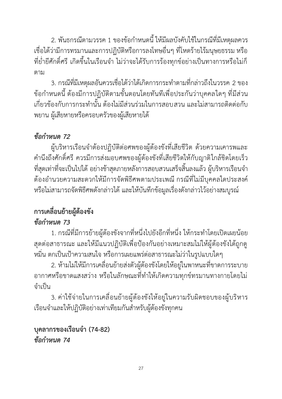2. พันธกรณีตามวรรค 1 ของข้อกำหนดนี้ให้มีผลบังคับใช้ในกรณีที่มีเหตุผลควร เชื่อได้ว่ามีการทรมานและการปฏิบัติหรือการลงโทษอื่นๆ ที่โหดร้ายไร้มนุษยธรรม หรือ ที่ย่ำยีศักดิ์ศรี เกิดขึ้นในเรือนจำ ไม่ว่าจะได้รับการร้องทุกข์อย่างเป็นทางการหรือไม่ก็ ตาม

3. กรณีที่มีเหตุผลอันควรเชื่อได้ว่าได้เกิดการกระทำตามที่กล่าวถึงในวรรค 2 ของ ข้อกำหนดนี้ต้องมีการปฏิบัติตามขั้นตอนโดยทันทีเพื่อประกันว่าบุคคลใดๆ ที่มีส่วน เกี่ยวข้องกับการกระทำนั้น ต้องไม่มีส่วนร่วมในการสอบสวน และไม่สามารถติดต่อกับ พยาน ผู้เสียหายหรือครอบครัวของผู้เสียหายได้

### *ข้อกำหนด 72*

ผู้บริหารเรือนจำต้องปฏิบัติต่อศพของผู้ต้องขังที่เสียชีวิต ด้วยความเคารพและ คำนึงถึงศักดิ์ศรี ควรมีการส่งมอบศพของผู้ต้องขังที่เสียชีวิตให้กับญาติใกล้ชิดโดยเร็ว ที่สุดเท่าที่จะเป็นไปได้ อย่างช้าสุดภายหลังการสอบสวนเสร็จสิ้นลงแล้ว ผู้บริหารเรือนจำ ต้องอำนวยความสะดวกให้มีการจัดพิธีศพตามประเพณีกรณีที่ไม่มีบุคคลใดประสงค์ หรือไม่สามารถจัดพิธีศพดังกล่าวได้และให้บันทึกข้อมูลเรื่องดังกล่าวไว้อย่างสมบูรณ์

### **การเคลื่อนย้ายผู้ต้องขัง** *ข้อกำหนด 73*

1. กรณีที่มีการย้ายผู้ต้องขังจากที่หนึ่งไปยังอีกที่หนึ่ง ให้กระทำโดยเปิดเผยน้อย สุดต่อสาธารณะ และให้มีแนวปฏิบัติเพื่อป้องกันอย่างเหมาะสมไม่ให้ผู้ต้องขังได้ถูกดู หมิ่น ตกเป็นเป้าความสนใจ หรือการเผยแพร่ต่อสาธารณะไม่ว่าในรูปแบบใดๆ

2. ห้ามไม่ให้มีการเคลื่อนย้ายส่งตัวผู้ต้องขังโดยให้อยู่ในพาหนะที่ขาดการระบาย อากาศหรือขาดแสงสว่าง หรือในลักษณะที่ทำให้เกิดความทุกข์ทรมานทางกายโดยไม่ จำเป็น

3. ค่าใช้จ่ายในการเคลื่อนย้ายผู้ต้องขังให้อยู่ในความรับผิดชอบของผู้บริหาร เรือนจำและให้ปฏิบัติอย่างเท่าเทียมกันสำหรับผู้ต้องขังทุกคน

#### **บุคลากรของเรือนจำ (74-82)** *ข้อกำหนด 74*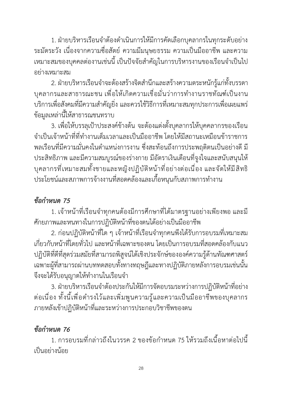1. ฝ่ายบริหารเรือนจำต้องดำเนินการให้มีการคัดเลือกบุคลากรในทุกระดับอย่าง ระมัดระวัง เนื่องจากความซื่อสัตย์ ความมีมนุษยธรรม ความเป็นมืออาชีพ และความ เหมาะสมของบุคคลต่องานเช่นนี้เป็นปัจจัยสำคัญในการบริหารงานของเรือนจำเป็นไป อย่างเหมาะสม

2. ฝ่ายบริหารเรือนจำจะต้องสร้างจิตสำนึกและสร้างความตระหนักรู้แก่ทั้งบรรดา บุคลากรและสาธารณะชน เพื่อให้เกิดความเชื่อมั่นว่าการทำงานราชทัณฑ์เป็นงาน บริการเพื่อสังคมที่มีความสำคัญยิ่ง และควรใช้วิธีการที่เหมาะสมทุกประการเพื่อเผยแพร่ ข้อมูลเหล่านี้ให้สาธารณชนทราบ

3. เพื่อให้บรรลุเป้าประสงค์ข้างต้น จะต้องแต่งตั้งบุคลากรให้บุคคลากรของเรือน จำเป็นเจ้าหน้าที่ที่ทำงานเต็มเวลาและเป็นมืออาชีพ โดยให้มีสถานะเหมือนข้าราชการ พลเรือนที่มีความมั่นคงในตำแหน่งการงาน ซึ่งสะท้อนถึงการประพฤติตนเป็นอย่างดี มี ประสิทธิภาพ และมีความสมบูรณ์ของร่างกาย มีอัตราเงินเดือนที่จูงใจและสนับสนุนให้ บุคลากรที่เหมาะสมทั้งชายและหญิงปฏิบัติหน้าที่อย่างต่อเนื่อง และจัดให้มีสิทธิ ประโยชน์และสภาพการจ้างงานที่สอดคล้องและเกื้อหนุนกับสภาพการทำงาน

### *ข้อกำหนด 75*

1. เจ้าหน้าที่เรือนจำทุกคนต้องมีการศึกษาที่ได้มาตรฐานอย่างเพียงพอ และมี ศักยภาพและหนทางในการปฏิบัติหน้าที่ของตนได้อย่างเป็นมืออาชีพ

2. ก่อนปฏิบัติหน้าที่ใด ๆ เจ้าหน้าที่เรือนจำทุกคนพึงได้รับการอบรมที่เหมาะสม เกี่ยวกับหน้าที่โดยทั่วไป และหน้าที่เฉพาะของตน โดยเป็นการอบรมที่สอดคล้องกับแนว ปฏิบัติที่ดีที่สุดร่วมสมัยที่สามารถพิสูจน์ได้เชิงประจักษ์ขององค์ความรู้ด้านทัณฑศาสตร์ เฉพาะผู้ที่สามารถผ่านบททดสอบทั้งทางทฤษฎีและทางปฏิบัติภายหลังการอบรมเช่นนั้น จึงจะได้รับอนุญาตให้ทำงานในเรือนจำ

3. ฝ่ายบริหารเรือนจำต้องประกันให้มีการจัดอบรมระหว่างการปฏิบัติหน้าที่อย่าง ต่อเนื่อง ทั้งนี้เพื่อดำรงไว้และเพิ่มพูนความรู้และความเป็นมืออาชีพของบุคลากร ภายหลังเข้าปฏิบัติหน้าที่และระหว่างการประกอบวิชาชีพของตน

### *ข้อกำหนด 76*

1. การอบรมที่กล่าวถึงในวรรค 2 ของข้อกำหนด 75 ให้รวมถึงเนื้อหาต่อไปนี้ เป็นอย่างน้อย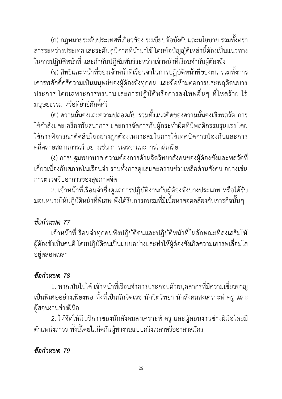29

(ก) กฎหมายระดับประเทศที่เกี่ยวข้อง ระเบียบข้อบังคับและนโยบาย รวมทั้งตรา สารระหว่างประเทศและระดับภูมิภาคที่นำมาใช้โดยข้อบัญญัติเหล่านี้ต้องเป็นแนวทาง ในการปฏิบัติหน้าที่ และกำกับปฏิสัมพันธ์ระหว่างเจ้าหน้าที่เรือนจำกับผู้ต้องขัง

(ข) สิทธิและหน้าที่ของเจ้าหน้าที่เรือนจำในการปฏิบัติหน้าที่ของตน รวมทั้งการ เคารพศักดิ์ศรีความเป็นมนุษย์ของผู้ต้องขังทุกคน และข้อห้ามต่อการประพฤติตนบาง ประการ โดยเฉพาะการทรมานและการปฏิบัติหรือการลงโทษอื่นๆ ที่โหดร้าย ไร้ มนุษยธรรม หรือที่ย่ำยีศักดิ์ศรี

(ค) ความมั่นคงและความปลอดภัย รวมทั้งแนวคิดของความมั่นคงเชิงพลวัต การ ใช้กำลังและเครื่องพันธนาการ และการจัดการกับผู้กระทำผิดที่มีพฤติกรรมรุนแรง โดย ใช้การพิจารณาตัดสินใจอย่างถูกต้องเหมาะสมในการใช้เทคนิคการป้องกันและการ คลี่คลายสถานการณ์ อย่างเช่น การเจรจาและการไกล่เกลี่ย

(ง) การปฐมพยาบาล ความต้องการด้านจิตวิทยาสังคมของผู้ต้องขังและพลวัตที่ เกี่ยวเนื่องกับสภาพในเรือนจำ รวมทั้งการดูแลและความช่วยเหลือด้านสังคม อย่างเช่น การตรวจจับอาการของสุขภาพจิต

2. เจ้าหน้าที่เรือนจำซึ่งดูแลการปฏิบัติงานกับผู้ต้องขังบางประเภท หรือได้รับ มอบหมายให้ปฏิบัติหน้าที่พิเศษ พึงได้รับการอบรมที่มีเนื้อหาสอดคล้องกับภารกิจนั้นๆ

### *ข้อกำหนด 77*

เจ้าหน้าที่เรือนจำทุกคนพึงปฏิบัติตนและปฏิบัติหน้าที่ในลักษณะที่ส่งเสริมให้ ผู้ต้องขังเป็นคนดี โดยปฏิบัติตนเป็นแบบอย่างและทำให้ผู้ต้องขังเกิดความเคารพเลื่อมใส อยู่ตลอดเวลา

### *ข้อกำหนด 78*

1. หากเป็นไปได้ เจ้าหน้าที่เรือนจำควรประกอบด้วยบุคลากรที่มีความเชี่ยวชาญ เป็นพิเศษอย่างเพียงพอ ทั้งที่เป็นนักจิตเวช นักจิตวิทยา นักสังคมสงเคราะห์ ครู และ ผู้สอนงานช่างฝีมือ

2. ให้จัดให้มีบริการของนักสังคมสงเคราะห์ ครู และผู้สอนงานช่างฝีมือโดยมี ตำแหน่งถาวร ทั้งนี้โดยไม่กีดกันผู้ทำงานแบบครึ่งเวลาหรืออาสาสมัคร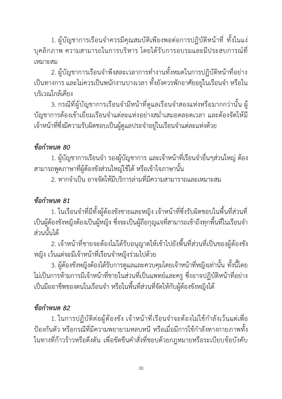1. ผู้บัญชาการเรือนจำควรมีคุณสมบัติเพียงพอต่อการปฏิบัติหน้าที่ ทั้งในแง่ บุคลิกภาพ ความสามารถในการบริหาร โดยได้รับการอบรมและมีประสบการณ์ที่ เหมาะสม

2. ผู้บัญชาการเรือนจำพึงสละเวลาการทำงานทั้งหมดในการปฏิบัติหน้าที่อย่าง เป็นทางการ และไม่ควรเป็นพนักงานบางเวลา ทั้งยังควรพักอาศัยอยู่ในเรือนจำ หรือใน บริเวณใกล้เคียง

3. กรณีที่ผู้บัญชาการเรือนจำมีหน้าที่ดูแลเรือนจำสองแห่งหรือมากกว่านั้น ผู้ บัญชาการต้องเข้าเยี่ยมเรือนจำแต่ละแห่งอย่างสม่ำเสมอตลอดเวลา และต้องจัดให้มี เจ้าหน้าที่ซึ่งมีความรับผิดชอบเป็นผู้ดูแลประจำอยู่ในเรือนจำแต่ละแห่งด้วย

### *ข้อกำหนด 80*

1. ผู้บัญชาการเรือนจำ รองผู้บัญชาการ และเจ้าหน้าที่เรือนจำอื่นๆส่วนใหญ่ต้อง สามารถพูดภาษาที่ผู้ต้องขังส่วนใหญ่ใช้ได้ หรือเข้าใจภาษานั้น

2. หากจำเป็น อาจจัดให้มีบริการล่ามที่มีความสามาราถและเหมาะสม

### *ข้อกำหนด 81*

1. ในเรือนจำที่มีทั้งผู้ต้องขังชายและหญิง เจ้าหน้าที่ซึ่งรับผิดชอบในพื้นที่ส่วนที่ เป็นผู้ต้องขังหญิงต้องเป็นผู้หญิง ซึ่งจะเป็นผู้ถือกุญแจที่สามารถเข้าถึงทุกพื้นที่ในเรือนจำ ส่วนนั้นได้

2. เจ้าหน้าที่ชายจะต้องไม่ได้รับอนุญาตให้เข้าไปยังพื้นที่ส่วนที่เป็นของผู้ต้องขัง หญิง เว้นแต่จะมีเจ้าหน้าที่เรือนจำหญิงร่วมไปด้วย

3. ผู้ต้องขังหญิงต้องได้รับการดูแลและควบคุมโดยเจ้าหน้าที่หญิงเท่านั้น ทั้งนี้โดย ไม่เป็นการห้ามการมีเจ้าหน้าที่ชายในส่วนที่เป็นแพทย์และครู ซึ่งอาจปฏิบัติหน้าที่อย่าง เป็นมืออาชีพของตนในเรือนจำ หรือในพื้นที่ส่วนที่จัดให้กับผู้ต้องขังหญิงได้

### *ข้อกำหนด 82*

1. ในการปฏิบัติต่อผู้ต้องขัง เจ้าหน้าที่เรือนจำจะต้องไม่ใช้กำลังเว้นแต่เพื่อ ป้องกันตัว หรือกรณีที่มีความพยายามหลบหนี หรือเมื่อมีการใช้กำลังทางกายภาพทั้ง ในทางที่ก้าวร้าวหรือดึงดัน เพื่อขัดขืนคำสั่งที่ชอบด้วยกฎหมายหรือระเบียบข้อบังคับ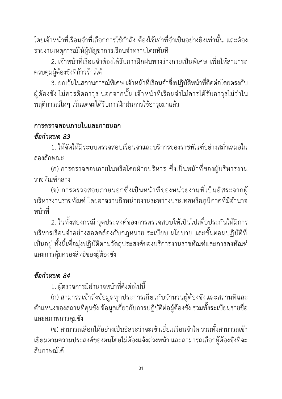โดยเจ้าหน้าที่เรือนจำที่เลือกการใช้กำลัง ต้องใช้เท่าที่จำเป็นอย่างยิ่งเท่านั้น และต้อง รายงานเหตุการณ์ให้ผู้บัญชาการเรือนจำทราบโดยทันที

2. เจ้าหน้าที่เรือนจำต้องได้รับการฝึกฝนทางร่างกายเป็นพิเศษ เพื่อให้สามารถ ควบคุมผู้ต้องขังที่ก้าวร้าวได้

3. ยกเว้นในสถานการณ์พิเศษ เจ้าหน้าที่เรือนจำซึ่งปฏิบัติหน้าที่ติดต่อโดยตรงกับ ผู้ต้องขัง ไม่ควรติดอาวุธ นอกจากนั้น เจ้าหน้าที่เรือนจำไม่ควรได้รับอาวุธไม่ว่าใน พฤติการณ์ใดๆ เว้นแต่จะได้รับการฝึกฝนการใช้อาวุธมาแล้ว

#### **การตรวจสอบภายในและภายนอก**

#### *ข้อกำหนด 83*

1. ให้จัดให้มีระบบตรวจสอบเรือนจำและบริการของราชทัณฑ์อย่างสม่ำเสมอใน สองลักษณะ

(ก) การตรวจสอบภายในหรือโดยฝ่ายบริหาร ซึ่งเป็นหน้าที่ของผู้บริหารงาน ราชทัณฑ์กลาง

(ข) การตรวจสอบภายนอกซึ่งเป็นหน้าที่ของหน่วยงานที่เป็นอิสระจากผู้ บริหารงานราชทัณฑ์โดยอาจรวมถึงหน่วยงานระหว่างประเทศหรือภูมิภาคที่มีอำนาจ หน้าที่

2. ในทั้งสองกรณี จุดประสงค์ของการตรวจสอบให้เป็นไปเพื่อประกันให้มีการ บริหารเรือนจำอย่างสอดคล้องกับกฎหมาย ระเบียบ นโยบาย และขั้นตอนปฏิบัติที่ เป็นอยู่ ทั้งนี้เพื่อมุ่งปฏิบัติตามวัตถุประสงค์ของบริการงานราชทัณฑ์และการลงทัณฑ์ และการคุ้มครองสิทธิของผู้ต้องขัง

### *ข้อกำหนด 84*

1. ผู้ตรวจการมีอำนาจหน้าที่ดังต่อไปนี้

(ก) สามารถเข้าถึงข้อมูลทุกประการเกี่ยวกับจำนวนผู้ต้องขังและสถานที่และ ตำแหน่งของสถานที่คุมขัง ข้อมูลเกี่ยวกับการปฏิบัติต่อผู้ต้องขัง รวมทั้งระเบียนรายชื่อ และสภาพการคุมขัง

(ข) สามารถเลือกได้อย่างเป็นอิสระว่าจะเข้าเยี่ยมเรือนจำใด รวมทั้งสามารถเข้า เยี่ยมตามความประสงค์ของตนโดยไม่ต้องแจ้งล่วงหน้า และสามารถเลือกผู้ต้องขังที่จะ สัมภาษณ์ได้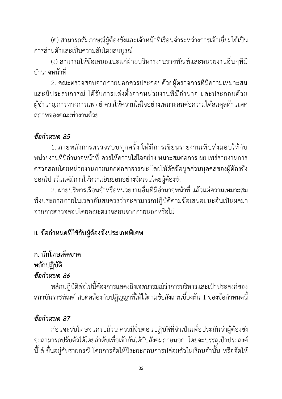(ค) สามารถสัมภาษณ์ผู้ต้องขังและเจ้าหน้าที่เรือนจำระหว่างการเข้าเยี่ยมได้เป็น การส่วนตัวและเป็นความลับโดยสมบูรณ์

(ง) สามารถให้ข้อเสนอแนะแก่ฝ่ายบริหารงานราชทัณฑ์และหน่วยงานอื่นๆที่มี อำนาจหน้าที่

2. คณะตรวจสอบจากภายนอกควรประกอบด้วยผู้ตรวจการที่มีความเหมาะสม และมีประสบการณ์ ได้รับการแต่งตั้งจากหน่วยงานที่มีอำนาจ และประกอบด้วย ผู้ชำนาญการทางการแพทย์ควรให้ความใส่ใจอย่างเหมาะสมต่อความได้สมดุลด้านเพศ สภาพของคณะทำงานด้วย

#### *ข้อกำหนด 85*

1. ภายหลังการตรวจสอบทุกครั้ง ให้มีการเขียนรายงานเพื่อส่งมอบให้กับ หน่วยงานที่มีอำนาจหน้าที่ ควรให้ความใส่ใจอย่างเหมาะสมต่อการเผยแพร่รายงานการ ตรวจสอบโดยหน่วยงานภายนอกต่อสาธารณะ โดยให้ตัดข้อมูลส่วนบุคคลของผู้ต้องขัง ออกไป เว้นแต่มีการให้ความยินยอมอย่างชัดเจนโดยผู้ต้องขัง

2. ฝ่ายบริหารเรือนจำหรือหน่วยงานอื่นที่มีอำนาจหน้าที่ แล้วแต่ความเหมาะสม พึงประกาศภายในเวลาอันสมควรว่าจะสามารถปฏิบัติตามข้อเสนอแนะอันเป็นผลมา จากการตรวจสอบโดยคณะตรวจสอบจากภายนอกหรือไม่

### **II. ข้อกำหนดที่ใช้กับผู้ต้องขังประเภทพิเศษ**

### **ก. นักโทษเด็ดขาด**

### **หลักปฏิบัติ**

### *ข้อกำหนด 86*

หลักปฏิบัติต่อไปนี้ต้องการแสดงถึงเจตนารมณ์ว่าการบริหารและเป้าประสงค์ของ สถาบันราชทัณฑ์สอดคล้องกับปฏิญญาที่ให้ไว้ตามข้อสังเกตเบื้องต้น 1 ของข้อกำหนดนี้

### *ข้อกำหนด 87*

ก่อนจะรับโทษจนครบถ้วน ควรมีขั้นตอนปฏิบัติที่จำเป็นเพื่อประกันว่าผู้ต้องขัง จะสามารถปรับตัวได้โดยลำดับเพื่อเข้ากันได้กับสังคมภายนอก โดยจะบรรลุเป้าประสงค์ นี้ได้ขึ้นอยู่กับรายกรณี โดยการจัดให้มีระยะก่อนการปล่อยตัวในเรือนจำนั้น หรือจัดให้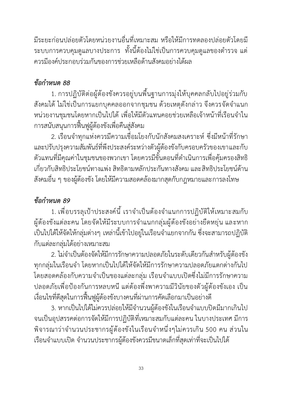มีระยะก่อนปล่อยตัวโดยหน่วยงานอื่นที่เหมาะสม หรือให้มีการทดลองปล่อยตัวโดยมี ระบบการควบคุมดูแลบางประการ ทั้งนี้ต้องไม่ใช่เป็นการควบคุมดูแลของตำรวจ แต่ ควรมีองค์ประกอบร่วมกันของการช่วยเหลือด้านสังคมอย่างได้ผล

### *ข้อกำหนด 88*

1. การปฏิบัติต่อผู้ต้องขังควรอยู่บนพื้นฐานการมุ่งให้บุคคลกลับไปอยู่ร่วมกับ สังคมได้ไม่ใช่เป็นการแยกบุคคลออกจากชุมชน ด้วยเหตุดังกล่าว จึงควรจัดจำแนก หน่วยงานชุมชนโดยหากเป็นไปได้ เพื่อให้มีตัวแทนคอยช่วยเหลือเจ้าหน้าที่เรือนจำใน การสนับสนุนการฟื้นฟูผู้ต้องขังเพื่อคืนสู่สังคม

2. เรือนจำทุกแห่งควรมีความเชื่อมโยงกับนักสังคมสงเคราะห์ ซึ่งมีหน้าที่รักษา และปรับปรุงความสัมพันธ์ที่พึงประสงค์ระหว่างตัวผู้ต้องขังกับครอบครัวของเขาและกับ ตัวแทนที่มีคุณค่าในชุมชนของพวกเขา โดยควรมีขั้นตอนที่ดำเนินการเพื่อคุ้มครองสิทธิ เกี่ยวกับสิทธิประโยชน์ทางแพ่ง สิทธิตามหลักประกันทางสังคม และสิทธิประโยชน์ด้าน สังคมอื่น ๆ ของผู้ต้องขัง โดยให้มีความสอดคล้องมากสุดกับกฎหมายและการลงโทษ

### *ข้อกำหนด 89*

1. เพื่อบรรลุเป้าประสงค์นี้ เราจำเป็นต้องจำแนกการปฏิบัติให้เหมาะสมกับ ผู้ต้องขังแต่ละคน โดยจัดให้มีระบบการจำแนกกลุ่มผู้ต้องขังอย่างยืดหยุ่น และหาก เป็นไปได้ให้จัดให้กลุ่มต่างๆ เหล่านี้เข้าไปอยู่ในเรือนจำแยกจากกัน ซึ่งจะสามารถปฏิบัติ กับแต่ละกลุ่มได้อย่างเหมาะสม

2. ไม่จำเป็นต้องจัดให้มีการรักษาความปลอดภัยในระดับเดียวกันสำหรับผู้ต้องขัง ทุกกลุ่มในเรือนจำ โดยหากเป็นไปได้ให้จัดให้มีการรักษาความปลอดภัยแตกต่างกันไป โดยสอดคล้องกับความจำเป็นของแต่ละกลุ่ม เรือนจำแบบเปิดซึ่งไม่มีการรักษาความ ปลอดภัยเพื่อป้องกันการหลบหนี แต่ต้องพึ่งพาความมีวินัยของตัวผู้ต้องขังเอง เป็น เงื่อนไขที่ดีสุดในการฟื้นฟูผู้ต้องขังบางคนที่ผ่านการคัดเลือกมาเป็นอย่างดี

3. หากเป็นไปได้ไม่ควรปล่อยให้มีจำนวนผู้ต้องขังในเรือนจำแบบปิดมีมากเกินไป จนเป็นอุปสรรคต่อการจัดให้มีการปฏิบัติที่เหมาะสมกับแต่ละคน ในบางประเทศ มีการ พิจารณาว่าจำนวนประชากรผู้ต้องขังในเรือนจำหนึ่งๆไม่ควรเกิน 500 คน ส่วนใน เรือนจำแบบเปิด จำนวนประชากรผู้ต้องขังควรมีขนาดเล็กที่สุดเท่าที่จะเป็นไปได้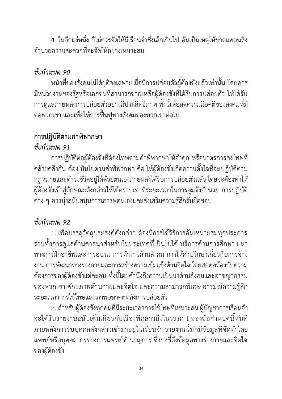4. ในอีกแง่หนึ่ง ก็ไม่ควรจัดให้มีเรือนจำซึ่งเล็กเกินไป อันเป็นเหตุให้ขาดแคลนสิ่ง อำนวยความสะดวกที่จะจัดให้อย่างเหมาะสม

### *ข้อกำหนด 90*

หน้าที่ของสังคมไม่ได้ยุติลงเฉพาะเมื่อมีการปล่อยตัวผู้ต้องขังแล้วเท่านั้น โดยควร มีหน่วยงานของรัฐหรือเอกชนที่สามารถช่วยเหลือผู้ต้องขังที่ได้รับการปล่อยตัว ให้ได้รับ การดูแลภายหลังการปล่อยตัวอย่างมีประสิทธิภาพ ทั้งนี้เพื่อลดความมีอคติของสังคมที่มี ต่อพวกเขา และเพื่อให้การฟื้นฟูทางสังคมของพวกเขาต่อไป

### **การปฏิบัติตามคำพิพากษา** *ข้อกำหนด 91*

การปฏิบัติต่อผู้ต้องขังที่ต้องโทษตามคำพิพากษาให้จำคุก หรือมาตรการลงโทษที่ คล้ายคลึงกัน ต้องเป็นไปตามคำพิพากษา คือ ให้ผู้ต้องขังเกิดความตั้งใจที่จะปฏิบัติตาม กฎหมายและดำรงชีวิตอยู่ได้ด้วยตนเองภายหลังได้รับการปล่อยตัวแล้ว โดยจะต้องทำให้ ผู้ต้องขังเข้าสู่ลักษณะดังกล่าวให้ได้ตราบเท่าที่ระยะเวลาในการคุมขังอำนวย การปฏิบัติ ต่าง ๆ ควรมุ่งสนับสนุนการเคารพตนเองและส่งเสริมความรู้สึกรับผิดชอบ

## *ข้อกำหนด 92*

1. เพื่อบรรลุวัตถุประสงค์ดังกล่าว ต้องมีการใช้วิธีการอันเหมาะสมทุกประการ รวมทั้งการดูแลด้านศาสนาสำหรับในประเทศที่เป็นไปได้บริการด้านการศึกษา แนว ทางการฝึกอาชีพและการอบรม การทำงานด้านสังคม การให้คำปรึกษาเกี่ยวกับการจ้าง งาน การพัฒนาทางร่างกายและการสร้างความเข้มแข็งด้านจิตใจ โดยสอดคล้องกับความ ต้องการของผู้ต้องขังแต่ละคน ทั้งนี้โดยคำนึงถึงความเป็นมาด้านสังคมและอาชญากรรม ของพวกเขา ศักยภาพด้านกายและจิตใจ และความสามารถพิเศษ อารมณ์ความรู้สึก ระยะเวลาการใช้โทษและภาพอนาคตหลังการปล่อยตัว

2. สำหรับผู้ต้องขังทุกคนที่มีระยะเวลาการใช้โทษที่เหมาะสม ผู้บัญชาการเรือนจำ จะได้รับรายงานฉบับเต็มเกี่ยวกับเรื่องที่กล่าวถึงในวรรค 1 ของข้อกำหนดนี้ทันที ภายหลังการรับบุคคลดังกล่าวเข้ามาอยู่ในเรือนจำ รายงานนี้มักมีข้อมูลที่จัดทำโดย แพทย์หรือบุคคลากรทางการแพทย์ชำนาญการ ซึ่งบ่งชี้ถึงข้อมูลทางร่างกายและจิตใจ ของผู้ต้องขัง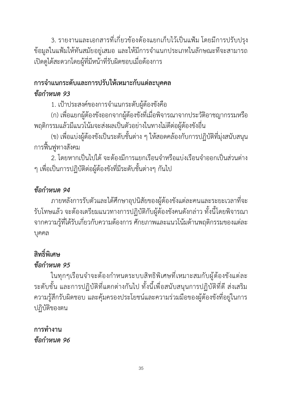3. รายงานและเอกสารที่เกี่ยวข้องต้องแยกเก็บไว้เป็นแฟ้ม โดยมีการปรับปรุง ข้อมูลในแฟ้มให้ทันสมัยอยู่เสมอ และให้มีการจำแนกประเภทในลักษณะทีจะสามารถ เปิดดูได้สะดวกโดยผู้ที่มีหน้าที่รับผิดชอบเมื่อต้องการ

### **การจำแนกระดับและการปรับให้เหมาะกับแต่ละบุคคล**  *ข้อกำหนด 93*

1. เป้าประสงค์ของการจำแนกระดับผู้ต้องขังคือ

(ก) เพื่อแยกผู้ต้องขังออกจากผู้ต้องขังที่เมื่อพิจารณาจากประวัติอาชญากรรมหรือ พฤติกรรมแล้วมีแนวโน้มจะส่งผลเป็นตัวอย่างในทางไม่ดีต่อผู้ต้องขังอื่น

(ข) เพื่อแบ่งผู้ต้องขังเป็นระดับชั้นต่าง ๆ ให้สอดคล้องกับการปฏิบัติที่มุ่งสนับสนุน การฟื้นฟูทางสังคม

2. โดยหากเป็นไปได้ จะต้องมีการแยกเรือนจำหรือแบ่งเรือนจำออกเป็นส่วนต่าง ๆ เพื่อเป็นการปฏิบัติต่อผู้ต้องขังที่มีระดับชั้นต่างๆ กันไป

### *ข้อกำหนด 94*

ภายหลังการรับตัวและได้ศึกษาอุปนิสัยของผู้ต้องขังแต่ละคนและระยะเวลาที่จะ รับโทษแล้ว จะต้องเตรียมแนวทางการปฏิบัติกับผู้ต้องขังคนดังกล่าว ทั้งนี้โดยพิจารณา จากความรู้ที่ได้รับเกี่ยวกับความต้องการ ศักยภาพและแนวโน้มด้านพฤติกรรมของแต่ละ บุคคล

# **สิทธิ์พิเศษ**

### *ข้อกำหนด 95*

ในทุกๆเรือนจำจะต้องกำหนดระบบสิทธิพิเศษที่เหมาะสมกับผู้ต้องขังแต่ละ ระดับชั้น และการปฏิบัติที่แตกต่างกันไป ทั้งนี้เพื่อสนับสนุนการปฏิบัติที่ดี ส่งเสริม ความรู้สึกรับผิดชอบ และคุ้มครองประโยชน์และความร่วมมือของผู้ต้องขังที่อยู่ในการ ปฏิบัติของตน

## **การทำงาน**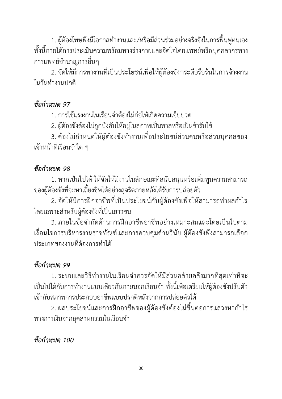1. ผู้ต้องโทษพึงมีโอกาสทำงานและ/หรือมีส่วนร่วมอย่างจริงจังในการฟื้นฟูตนเอง ทั้งนี้ภายใต้การประเมินความพร้อมทางร่างกายและจิตใจโดยแพทย์หรือบุคคลากรทาง การแพทย์ชำนาญการอื่นๆ

2. จัดให้มีการทำงานที่เป็นประโยชน์เพื่อให้ผู้ต้องขังกระตือรือร้นในการจ้างงาน ในวันทำงานปกติ

#### *ข้อกำหนด 97*

1. การใช้แรงงานในเรือนจำต้องไม่ก่อให้เกิดความเจ็บปวด

2. ผู้ต้องขังต้องไม่ถูกบังคับให้อยู่ในสภาพเป็นทาสหรือเป็นข้ารับใช้

3. ต้องไม่กำหนดให้ผู้ต้องขังทำงานเพื่อประโยชน์ส่วนตนหรือส่วนบุคคลของ เจ้าหน้าที่เรือนจำใด ๆ

#### *ข้อกำหนด 98*

1. หากเป็นไปได้ให้จัดให้มีงานในลักษณะที่สนับสนุนหรือเพิ่มพูนความสามารถ ของผู้ต้องขังที่จะหาเลี้ยงชีพได้อย่างสุจริตภายหลังได้รับการปล่อยตัว

2. จัดให้มีการฝึกอาชีพที่เป็นประโยชน์กับผู้ต้องขังเพื่อให้สามารถทำผลกำไร โดยเฉพาะสำหรับผู้ต้องขังที่เป็นเยาวชน

3. ภายในข้อจำกัดด้านการฝึกอาชีพอาชีพอย่างเหมาะสมและโดยเป็นไปตาม เงื่อนไขการบริหารงานราชทัณฑ์และการควบคุมด้านวินัย ผู้ต้องขังพึงสามารถเลือก ประเภทของงานที่ต้องการทำได้

### *ข้อกำหนด 99*

1. ระบบและวิธีทำงานในเรือนจำควรจัดให้มีส่วนคล้ายคลึงมากที่สุดเท่าที่จะ เป็นไปได้กับการทำงานแบบเดียวกันภายนอกเรือนจำ ทั้งนี้เพื่อเตรียมให้ผู้ต้องขังปรับตัว เข้ากับสภาพการประกอบอาชีพแบบปรกติหลังจากการปล่อยตัวได้

2. ผลประโยชน์และการฝึกอาชีพของผู้ต้องขังต้องไม่ขึ้นต่อการแสวงหากำไร ทางการเงินจากอุตสาหกรรมในเรือนจำ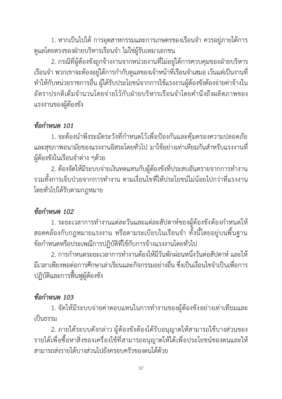1. หากเป็นไปได้ การอุตสาหกรรมและการเกษตรของเรือนจำ ควรอยู่ภายใต้การ ดูแลโดยตรงของฝ่ายบริหารเรือนจำ ไม่ใช่ผู้รับเหมาเอกชน

2. กรณีที่ผู้ต้องขังถูกจ้างงานจากหน่วยงานที่ไม่อยู่ใต้การควบคุมของฝ่ายบริหาร เรือนจำ พวกเขาจะต้องอยู่ใต้การกำกับดูแลของเจ้าหน้าที่เรือนจำเสมอ เว้นแต่เป็นงานที่ ทำให้กับหน่วยราชการอื่น ผู้ได้รับประโยชน์จากการใช้แรงงานผู้ต้องขังต้องจ่ายค่าจ้างใน อัตราปรกติเต็มจำนวนโดยจ่ายไว้กับฝ่ายบริหารเรือนจำโดยคำนึงถึงผลิตภาพของ แรงงานของผู้ต้องขัง

#### *ข้อกำหนด 101*

1. จะต้องนำพึงระมัดระวังที่กำหนดไว้เพื่อป้องกันและคุ้มครองความปลอดภัย และสุขภาพอนามัยของแรงงานอิสระโดยทั่วไป มาใช้อย่างเท่าเทียมกันสำหรับแรงงานที่ ผู้ต้องขังในเรือนจำต่าง ๆด้วย

2. ต้องจัดให้มีระบบจ่ายเงินทดแทนกับผู้ต้องขังที่ประสบอันตรายจากการทำงาน รวมทั้งการเจ็บป่วยจากการทำงาน ตามเงื่อนไขที่ให้ประโยชน์ไม่น้อยไปกว่าที่แรงงาน โดยทั่วไปได้รับตามกฎหมาย

#### *ข้อกำหนด 102*

1. ระยะเวลาการทำงานแต่ละวันและแต่ละสัปดาห์ของผู้ต้องขังต้องกำหนดให้ สอดคล้องกับกฎหมายแรงงาน หรือตามระเบียบในเรือนจำ ทั้งนี้โดยอยู่บนพื้นฐาน ข้อกำหนดหรือประเพณีการปฏิบัติที่ใช้กับการจ้างแรงงานโดยทั่วไป

2. การกำหนดระยะเวลาการทำงานต้องให้มีวันพักผ่อนหนึ่งวันต่อสัปดาห์ และให้ มีเวลาเพียงพอต่อการศึกษาเล่าเรียนและกิจกรรมอย่างอื่น ซึ่งเป็นเงื่อนไขจำเป็นเพื่อการ ปฏิบัติและการฟื้นฟูผู้ต้องขัง

# *ข้อกำหนด 103*

1. จัดให้มีระบบจ่ายค่าตอบแทนในการทำงานของผู้ต้องขังอย่างเท่าเทียมและ เป็นธรรม

2. ภายใต้ระบบดังกล่าว ผู้ต้องขังต้องได้รับอนุญาตให้สามารถใช้บางส่วนของ รายได้เพื่อซื้อหาสิ่งของเครื่องใช้ที่สามารถอนุญาตให้ได้เพื่อประโยชน์ของตนและให้ สามารถส่งรายได้บางส่วนไปยังครอบครัวของตนได้ด้วย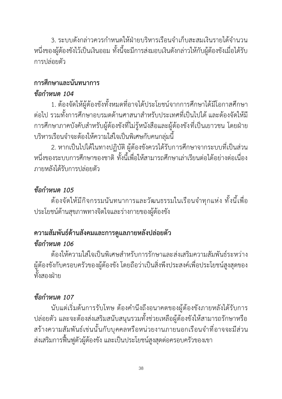3. ระบบดังกล่าวควรกำหนดให้ฝ่ายบริหารเรือนจำเก็บสะสมเงินรายได้จำนวน หนึ่งของผู้ต้องขังไว้เป็นเงินออม ทั้งนี้จะมีการส่งมอบเงินดังกล่าวให้กับผู้ต้องขังเมื่อได้รับ การปล่อยตัว

# **การศึกษาและนันทนาการ**

#### *ข้อกำหนด 104*

1. ต้องจัดให้ผู้ต้องขังทั้งหมดที่อาจได้ประโยชน์จากการศึกษาได้มีโอกาสศึกษา ต่อไป รวมทั้งการศึกษาอบรมดด้านศาสนาสำหรับประเทศที่เป็นไปได้ และต้องจัดให้มี การศึกษาภาคบังคับสำหรับผู้ต้องขังที่ไม่รู้หนังสือและผู้ต้องขังที่เป็นเยาวชน โดยฝ่าย บริหารเรือนจำจะต้องให้ความใส่ใจเป็นพิเศษกับคนกลุ่มนี้

2. หากเป็นไปได้ในทางปฏิบัติ ผู้ต้องขังควรได้รับการศึกษาจากระบบที่เป็นส่วน หนึ่งของระบบการศึกษาของชาติ ทั้งนี้เพื่อให้สามารถศึกษาเล่าเรียนต่อได้อย่างต่อเนื่อง ภายหลังได้รับการปล่อยตัว

## *ข้อกำหนด 105*

ต้องจัดให้มีกิจกรรมนันทนาการและวัฒนธรรมในเรือนจำทุกแห่ง ทั้งนี้เพื่อ ประโยชน์ด้านสุขภาพทางจิตใจและร่างกายของผู้ต้องขัง

# **ความสัมพันธ์ด้านสังคมและการดูแลภายหลังปล่อยตัว**

#### *ข้อกำหนด 106*

ต้องให้ความใส่ใจเป็นพิเศษสำหรับการรักษาและส่งเสริมความสัมพันธ์ระหว่าง ผู้ต้องขังกับครอบครัวของผู้ต้องขัง โดยถือว่าเป็นสิ่งพึงประสงค์เพื่อประโยชน์สูงสุดของ ทั้งสองฝ่าย

# *ข้อกำหนด 107*

นับแต่เริ่มต้นการรับโทษ ต้องคำนึงถึงอนาคตของผู้ต้องขังภายหลังได้รับการ ปล่อยตัว และจะต้องส่งเสริมสนับสนุนรวมทั้งช่วยเหลือผู้ต้องขังให้สามารถรักษาหรือ สร้างความสัมพันธ์เช่นนั้นกับบุคคลหรือหน่วยงานภายนอกเรือนจำที่อาจจะมีส่วน ส่งเสริมการฟื้นฟูตัวผู้ต้องขัง และเป็นประโยชน์สูงสุดต่อครอบครัวของเขา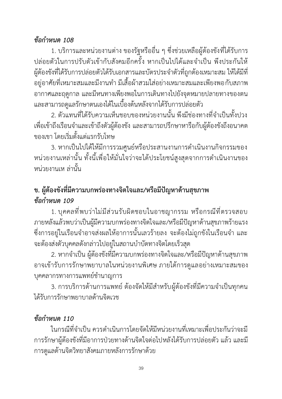#### *ข้อกำหนด 108*

1. บริการและหน่วยงานต่าง ของรัฐหรืออื่น ๆ ซึ่งช่วยเหลือผู้ต้องขังที่ได้รับการ ปล่อยตัวในการปรับตัวเข้ากับสังคมอีกครั้ง หากเป็นไปได้และจำเป็น พึงประกันให้ ผู้ต้องขังที่ได้รับการปล่อยตัวได้รับเอกสารและบัตรประจำตัวที่ถูกต้องเหมาะสม ให้ได้มีที่ อยู่อาศัยที่เหมาะสมและมีงานทำ มีเสื้อผ้าสวมใส่อย่างเหมาะสมและเพียงพอกับสภาพ อากาศและฤดูกาล และมีหนทางเพียงพอในการเดินทางไปยังจุดหมายปลายทางของตน และสามารถดูแลรักษาตนเองได้ในเบื้องต้นหลังจากได้รับการปล่อยตัว

2. ตัวแทนที่ได้รับความเห็นชอบของหน่วยงานนั้น พึงมีช่องทางที่จำเป็นทั้งปวง เพื่อเข้าถึงเรือนจำและเข้าถึงตัวผู้ต้องขัง และสามารถปรึกษาหารือกับผู้ต้องขังถึงอนาคต ของเขา โดยเริ่มตั้งแต่แรกรับโทษ

3. หากเป็นไปได้ให้มีการรวมศูนย์หรือประสานงานการดำเนินงานกิจกรรมของ หน่วยงานเหล่านั้น ทั้งนี้เพื่อให้มั่นใจว่าจะได้ประโยชน์สูงสุดจากการดำเนินงานของ หน่วยงานเห ล่านั้น

## **ข. ผู้ต้องขังที่มีความบกพร่องทางจิตใจและ/หรือมีปัญหาด้านสุขภาพ** *ข้อกำหนด 109*

1. บุคคลที่พบว่าไม่มีส่วนรับผิดชอบในอาชญากรรม หรือกรณีที่ตรวจสอบ ภายหลังแล้วพบว่าเป็นผู้มีความบกพร่องทางจิตใจและ/หรือมีปัญหาด้านสุขภาพร้ายแรง ซึ่งการอยู่ในเรือนจำอาจส่งผลให้อาการนั้นเลวร้ายลง จะต้องไม่ถูกขังในเรือนจำ และ จะต้องส่งตัวบุคคลดังกล่าวไปอยู่ในสถานบำบัดทางจิตโดยเร็วสุด

2. หากจำเป็น ผู้ต้องขังที่มีความบกพร่องทางจิตใจและ/หรือมีปัญหาด้านสุขภาพ อาจเข้ารับการรักษาพยาบาลในหน่วยงานพิเศษ ภายใต้การดูแลอย่างเหมาะสมของ บุคคลากรทางการแพทย์ชำนาญการ

3. การบริการด้านการแพทย์ ต้องจัดให้มีสำหรับผู้ต้องขังที่มีความจำเป็นทุกคน ได้รับการรักษาพยาบาลด้านจิตเวช

#### *ข้อกำหนด 110*

ในกรณีที่จำเป็น ควรดำเนินการโดยจัดให้มีหน่วยงานที่เหมาะเพื่อประกันว่าจะมี การรักษาผู้ต้องขังที่มีอาการป่วยทางด้านจิตใจต่อไปหลังได้รับการปล่อยตัว แล้ว และมี การดูแลด้านจิตวิทยาสังคมภายหลังการรักษาด้วย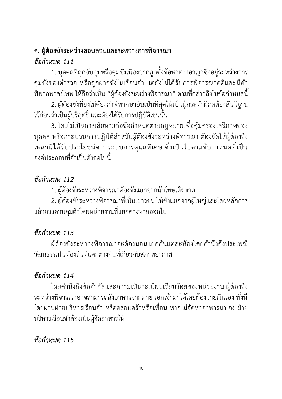## **ค. ผู้ต้องขังระหว่างสอบสวนและระหว่างการพิจารณา** *ข้อกำหนด 111*

1. บุคคลที่ถูกจับกุมหรือคุมขังเนื่องจากถูกตั้งข้อหาทางอาญาซึ่งอยู่ระหว่างการ คุมขังของตำรวจ หรือถูกฝากขังในเรือนจำ แต่ยังไม่ได้รับการพิจารณาคดีและมีคำ พิพากษาลงโทษ ให้ถือว่าเป็น "ผู้ต้องขังระหว่างพิจารณา" ตามที่กล่าวถึงในข้อกำหนดนี้

2. ผู้ต้องขังที่ยังไม่ต้องคำพิพากษาอันเป็นที่สุดให้เป็นผู้กระทำผิดดต้องสันนิฐาน ไว้ก่อนว่าเป็นผู้บริสุทธิ์ และต้องได้รับการปฏิบัติเช่นนั้น

3. โดยไม่เป็นการเสียหายต่อข้อกำหนดตามกฎหมายเพื่อคุ้มครองเสรีภาพของ บุคคล หรือกระบวนการปฏิบัติสำหรับผู้ต้องขังระหว่างพิจารณา ต้องจัดให้ผู้ต้องขัง เหล่านี้ได้รับประโยชน์จากระบบการดูแลพิเศษ ซึ่งเป็นไปตามข้อกำหนดที่เป็น องค์ประกอบที่จำเป็นดังต่อไปนี้

#### *ข้อกำหนด 112*

1. ผู้ต้องขังระหว่างพิจารณาต้องขังแยกจากนักโทษเด็ดขาด

2. ผู้ต้องขังระหว่างพิจารณาที่เป็นเยาวชน ให้ขังแยกจากผู้ใหญ่และโดยหลักการ แล้วควรควบคุมตัวโดยหน่วยงานที่แยกต่างหากออกไป

## *ข้อกำหนด 113*

ผู้ต้องขังระหว่างพิจารณาจะต้องนอนแยกกันแต่ละห้องโดยคำนึงถึงประเพณี วัฒนธรรมในท้องถิ่นที่แตกต่างกันที่เกี่ยวกับสภาพอากาศ

# *ข้อกำหนด 114*

โดยคำนึงถึงข้อจำกัดและความเป็นระเบียบเรียบร้อยของหน่วยงาน ผู้ต้องขัง ระหว่างพิจารณาอาจสามารถสั่งอาหารจากภายนอกเข้ามาได้โดยต้องจ่ายเงินเอง ทั้งนี้ โดยผ่านฝ่ายบริหารเรือนจำ หรือครอบครัวหรือเพื่อน หากไม่จัดหาอาหารมาเอง ฝ่าย บริหารเรือนจำต้องเป็นผู้จัดอาหารให้

## *ข้อกำหนด 115*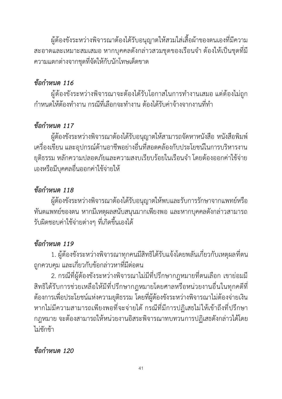ผู้ต้องขังระหว่างพิจารณาต้องได้รับอนุญาตให้สวมใส่เสื้อผ้าของตนเองที่มีความ สะอาดและเหมาะสมเสมอ หากบุคคลดังกล่าวสวมชุดของเรือนจำ ต้องให้เป็นชุดที่มี ความแตกต่างจากชุดที่จัดให้กับนักโทษเด็ดขาด

#### *ข้อกำหนด 116*

ผู้ต้องขังระหว่างพิจารณาจะต้องได้รับโอกาสในการทำงานเสมอ แต่ต้องไม่ถูก กำหนดให้ต้องทำงาน กรณีที่เลือกจะทำงาน ต้องได้รับค่าจ้างจากงานที่ทำ

#### *ข้อกำหนด 117*

ผู้ต้องขังระหว่างพิจารณาต้องได้รับอนุญาตให้สามารถจัดหาหนังสือ หนังสือพิมพ์ เครื่องเขียน และอุปกรณ์ด้านอาชีพอย่างอื่นที่สอดคล้องกับประโยชน์ในการบริหารงาน ยุติธรรม หลักความปลอดภัยและความสงบเรียบร้อยในเรือนจำ โดยต้องออกค่าใช้จ่าย เองหรือมีบุคคลอื่นออกค่าใช้จ่ายให้

## *ข้อกำหนด 118*

ผู้ต้องขังระหว่างพิจารณาต้องได้รับอนุญาตให้พบและรับการรักษาจากแพทย์หรือ ทันตแพทย์ของตน หากมีเหตุผลสนับสนุนมากเพียงพอ และหากบุคคลดังกล่าวสามารถ รับผิดชอบค่าใช้จ่ายต่างๆ ที่เกิดขึ้นเองได้

## *ข้อกำหนด 119*

1. ผู้ต้องขังระหว่างพิจารณาทุกคนมีสิทธิได้รับแจ้งโดยพลันเกี่ยวกับเหตุผลที่ตน ถูกควบคุม และเกี่ยวกับข้อกล่าวหาที่มีต่อตน

2. กรณีที่ผู้ต้องขังระหว่างพิจารณาไม่มีที่ปรึกษากฎหมายที่ตนเลือก เขาย่อมมี สิทธิได้รับการช่วยเหลือให้มีที่ปรึกษากฎหมายโดยศาลหรือหน่วยงานอื่นในทุกคดีที่ ต้องการเพื่อประโยชน์แห่งความยุติธรรม โดยที่ผู้ต้องขังระหว่างพิจารณาไม่ต้องจ่ายเงิน หากไม่มีความสามารถเพียงพอที่จะจ่ายได้ กรณีที่มีการปฏิเสธไม่ให้เข้าถึงที่ปรึกษา กฎหมาย จะต้องสามารถให้หน่วยงานอิสระพิจารณาทบทวนการปฏิเสธดังกล่าวได้โดย ไม่ชักช้า

#### *ข้อกำหนด 120*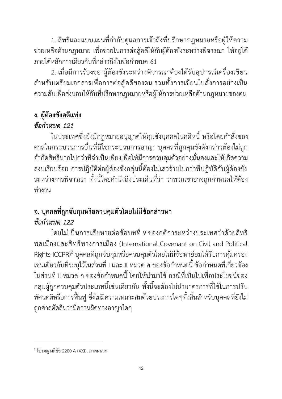1. สิทธิและแบบแผนที่กำกับดูแลการเข้าถึงที่ปรึกษากฎหมายหรือผู้ให้ความ ช่วยเหลือด้านกฎหมาย เพื่อช่วยในการต่อสู้คดีให้กับผู้ต้องขังระหว่างพิจารณา ให้อยู่ใต้ ภายใต้หลักการเดียวกับที่กล่าวถึงในข้อกำหนด 61

2. เมื่อมีการร้องขอ ผู้ต้องขังระหว่างพิจารณาต้องได้รับอุปกรณ์เครื่องเขียน สำหรับเตรียมเอกสารเพื่อการต่อสู้คดีของตน รวมทั้งการเขียนใบสั่งการอย่างเป็น ความลับเพื่อส่งมอบให้กับที่ปรึกษากฎหมายหรือผู้ให้การช่วยเหลือด้านกฎหมายของตน

## **ง. ผู้ต้องขังคดีแพ่ง**

#### *ข้อกำหนด 121*

ในประเทศซึ่งยังมีกฎหมายอนุญาตให้คุมขังบุคคลในคดีหนี้ หรือโดยคำสั่งของ ศาลในกระบวนการอื่นที่มิใช่กระบวนการอาญา บุคคลที่ถูกคุมขังดังกล่าวต้องไม่ถูก จำกัดสิทธิมากไปกว่าที่จำเป็นเพียงเพื่อให้มีการควบคุมตัวอย่างมั่นคงและให้เกิดความ สงบเรียบร้อย การปฏิบัติต่อผู้ต้องขังกลุ่มนี้ต้องไม่เลวร้ายไปกว่าที่ปฏิบัติกับผู้ต้องขัง ระหว่างการพิจารณา ทั้งนี้โดยคำนึงถึงประเด็นที่ว่า ว่าพวกเขาอาจถูกกำหนดให้ต้อง ทำงาน

# **จ. บุคคลที่ถูกจับกุมหรือควบคุมตัวโดยไม่มีข้อกล่าวหา** *ข้อกำหนด 122*

โดยไม่เป็นการเสียหายต่อข้อบทที่9 ของกติการะหว่างประเทศว่าด้วยสิทธิ พลเมืองและสิทธิทางการเมือง (International Covenant on Civil and Political Rights-ICCPR)<sup>2</sup> บุคคลที่ถูกจับกุมหรือควบคุมตัวโดยไม่มีข้อหาย่อมได้รับการคุ้มครอง เช่นเดียวกับที่ระบุไว้ในส่วนที่ I และ II หมวด ค ของข้อกำหนดนี้ ข้อกำหนดที่เกี่ยวข้อง ในส่วนที่ II หมวด ก ของข้อกำหนดนี้ โดยให้นำมาใช้ กรณีที่เป็นไปเพื่อประโยชน์ของ กลุ่มผู้ถูกควบคุมตัวประเภทนี้เช่นเดียวกัน ทั้งนี้จะต้องไม่นำมาตรการที่ใช้ในการปรับ ทัศนคติหรือการฟื้นฟูซึ่งไม่มีความเหมาะสมด้วยประการใดๆทั้งสิ้นสำหรับบุคคลที่ยังไม่ ถูกศาลตัดสินว่ามีความผิดทางอาญาใดๆ

 $^2$  โปรดดู มติข้อ 2200 A (XXI), ภาคผนวก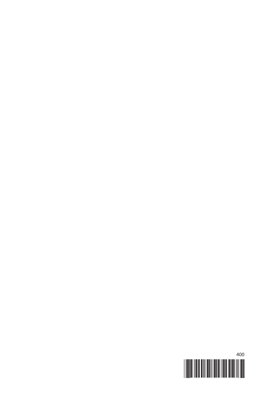